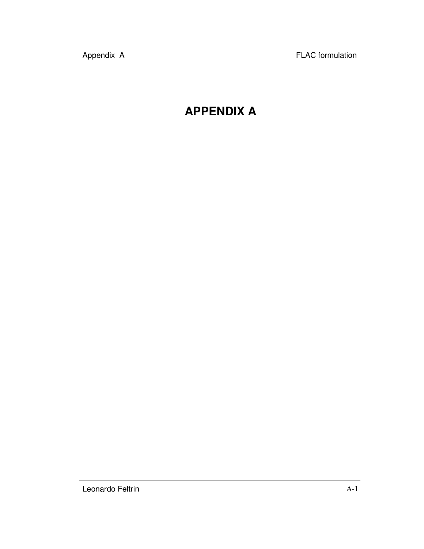# **APPENDIX A**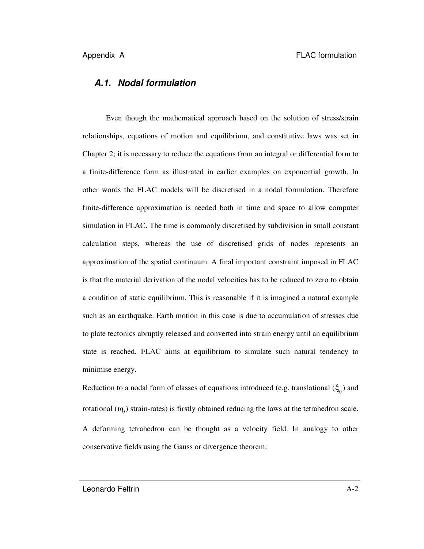### *A.1. Nodal formulation*

Even though the mathematical approach based on the solution of stress/strain relationships, equations of motion and equilibrium, and constitutive laws was set in Chapter 2; it is necessary to reduce the equations from an integral or differential form to a finite-difference form as illustrated in earlier examples on exponential growth. In other words the FLAC models will be discretised in a nodal formulation. Therefore finite-difference approximation is needed both in time and space to allow computer simulation in FLAC. The time is commonly discretised by subdivision in small constant calculation steps, whereas the use of discretised grids of nodes represents an approximation of the spatial continuum. A final important constraint imposed in FLAC is that the material derivation of the nodal velocities has to be reduced to zero to obtain a condition of static equilibrium. This is reasonable if it is imagined a natural example such as an earthquake. Earth motion in this case is due to accumulation of stresses due to plate tectonics abruptly released and converted into strain energy until an equilibrium state is reached. FLAC aims at equilibrium to simulate such natural tendency to minimise energy.

Reduction to a nodal form of classes of equations introduced (e.g. translational (ξ*ij* ) and rotational  $(\mathbf{Q}_i)$  strain-rates) is firstly obtained reducing the laws at the tetrahedron scale. A deforming tetrahedron can be thought as a velocity field. In analogy to other conservative fields using the Gauss or divergence theorem: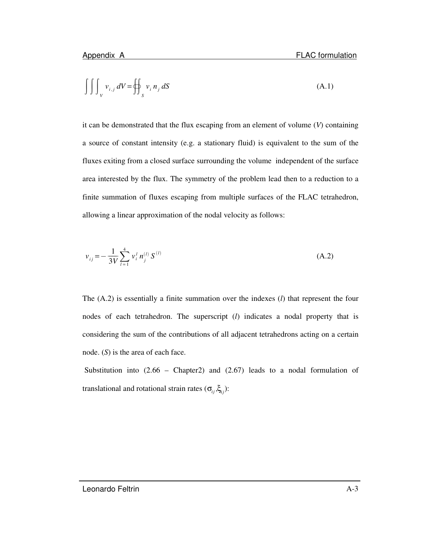$$
\iiint_{V} v_{i,j} dV = \oiint_{S} v_i n_j dS
$$
 (A.1)

it can be demonstrated that the flux escaping from an element of volume (*V*) containing a source of constant intensity (e.g. a stationary fluid) is equivalent to the sum of the fluxes exiting from a closed surface surrounding the volume independent of the surface area interested by the flux. The symmetry of the problem lead then to a reduction to a finite summation of fluxes escaping from multiple surfaces of the FLAC tetrahedron, allowing a linear approximation of the nodal velocity as follows:

$$
v_{ij} = -\frac{1}{3V} \sum_{l=1}^{4} v_i^l n_j^{(l)} S^{(l)}
$$
 (A.2)

The (A.2) is essentially a finite summation over the indexes (*l*) that represent the four nodes of each tetrahedron. The superscript (*l*) indicates a nodal property that is considering the sum of the contributions of all adjacent tetrahedrons acting on a certain node. (*S*) is the area of each face.

Substitution into  $(2.66 - Chapter2)$  and  $(2.67)$  leads to a nodal formulation of translational and rotational strain rates  $(\sigma_{ij}, \xi_{ij})$ :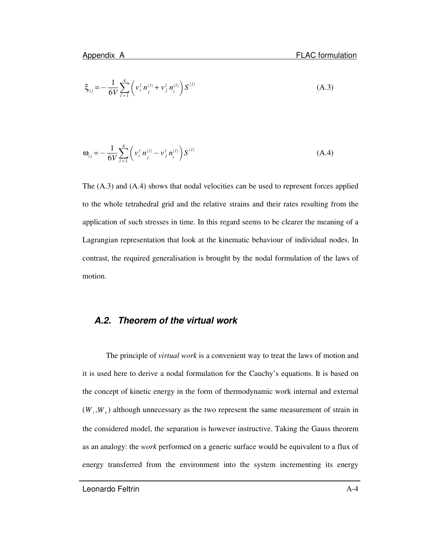$$
\xi_{ij} = -\frac{1}{6V} \sum_{l=1}^{4} \left( v_i^l \, n_j^{(l)} + v_j^l \, n_i^{(l)} \right) S^{(l)} \tag{A.3}
$$

$$
\omega_{ij} = -\frac{1}{6V} \sum_{l=1}^{4} \left( v_i^l n_j^{(l)} - v_j^l n_i^{(l)} \right) S^{(l)} \tag{A.4}
$$

The (A.3) and (A.4) shows that nodal velocities can be used to represent forces applied to the whole tetrahedral grid and the relative strains and their rates resulting from the application of such stresses in time. In this regard seems to be clearer the meaning of a Lagrangian representation that look at the kinematic behaviour of individual nodes. In contrast, the required generalisation is brought by the nodal formulation of the laws of motion.

#### *A.2. Theorem of the virtual work*

The principle of *virtual work* is a convenient way to treat the laws of motion and it is used here to derive a nodal formulation for the Cauchy's equations. It is based on the concept of kinetic energy in the form of thermodynamic work internal and external  $(W_i, W_e)$  although unnecessary as the two represent the same measurement of strain in the considered model, the separation is however instructive. Taking the Gauss theorem as an analogy: the *work* performed on a generic surface would be equivalent to a flux of energy transferred from the environment into the system incrementing its energy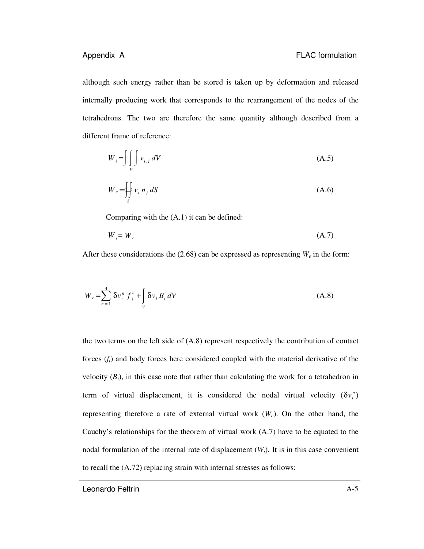although such energy rather than be stored is taken up by deformation and released internally producing work that corresponds to the rearrangement of the nodes of the tetrahedrons. The two are therefore the same quantity although described from a different frame of reference:

$$
W_i = \iiint_V v_{i,j} dV \tag{A.5}
$$

$$
W_e = \bigoplus_{S} v_i n_j dS \tag{A.6}
$$

Comparing with the (A.1) it can be defined:

$$
W_i = W_e \tag{A.7}
$$

After these considerations the  $(2.68)$  can be expressed as representing  $W_e$  in the form:

$$
W_e = \sum_{n=1}^{4} \delta v_i^n f_i^n + \int_V \delta v_i B_i dV
$$
 (A.8)

the two terms on the left side of (A.8) represent respectively the contribution of contact forces (*fi*) and body forces here considered coupled with the material derivative of the velocity  $(B_i)$ , in this case note that rather than calculating the work for a tetrahedron in term of virtual displacement, it is considered the nodal virtual velocity  $(\delta v_i^n)$ representing therefore a rate of external virtual work  $(W_e)$ . On the other hand, the Cauchy's relationships for the theorem of virtual work (A.7) have to be equated to the nodal formulation of the internal rate of displacement  $(W_i)$ . It is in this case convenient to recall the (A.72) replacing strain with internal stresses as follows:

Leonardo Feltrin A-5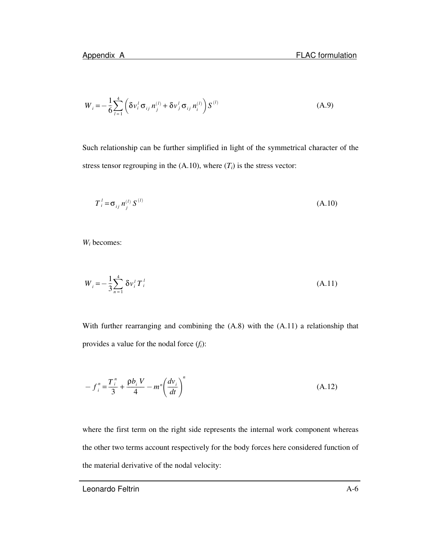$$
W_{i} = -\frac{1}{6} \sum_{l=1}^{4} \left( \delta v_{i}^{l} \sigma_{ij} n_{j}^{(l)} + \delta v_{j}^{l} \sigma_{ij} n_{i}^{(l)} \right) S^{(l)}
$$
(A.9)

Such relationship can be further simplified in light of the symmetrical character of the stress tensor regrouping in the  $(A.10)$ , where  $(T<sub>i</sub>)$  is the stress vector:

$$
T_i^l = \sigma_{ij} n_j^{(l)} S^{(l)} \tag{A.10}
$$

*W<sup>i</sup>* becomes:

$$
W_i = -\frac{1}{3} \sum_{n=1}^{4} \delta v_i^T T_i^T
$$
\n(A.11)

With further rearranging and combining the (A.8) with the (A.11) a relationship that provides a value for the nodal force (*fi*):

$$
-f_i^n = \frac{T_i^n}{3} + \frac{\rho b_i V}{4} - m^n \left(\frac{d v_i}{d t}\right)^n
$$
 (A.12)

where the first term on the right side represents the internal work component whereas the other two terms account respectively for the body forces here considered function of the material derivative of the nodal velocity: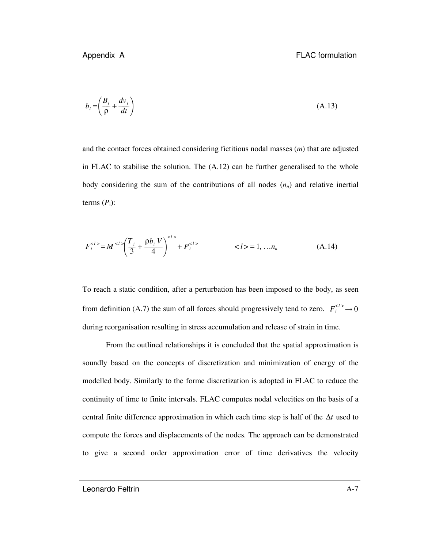$$
b_i = \left(\frac{B_i}{\rho} + \frac{dv_i}{dt}\right) \tag{A.13}
$$

and the contact forces obtained considering fictitious nodal masses (*m*) that are adjusted in FLAC to stabilise the solution. The (A.12) can be further generalised to the whole body considering the sum of the contributions of all nodes  $(n_n)$  and relative inertial terms  $(P_i)$ :

$$
F_i^{} = M^{} \left(\frac{T_i}{3} + \frac{\rho b_i V}{4}\right)^{} + P_i^{} \qquad \qquad  = 1, ... n_n \qquad (A.14)
$$

To reach a static condition, after a perturbation has been imposed to the body, as seen from definition (A.7) the sum of all forces should progressively tend to zero.  $F_i^{2} \rightarrow 0$ during reorganisation resulting in stress accumulation and release of strain in time.

From the outlined relationships it is concluded that the spatial approximation is soundly based on the concepts of discretization and minimization of energy of the modelled body. Similarly to the forme discretization is adopted in FLAC to reduce the continuity of time to finite intervals. FLAC computes nodal velocities on the basis of a central finite difference approximation in which each time step is half of the ∆*t* used to compute the forces and displacements of the nodes. The approach can be demonstrated to give a second order approximation error of time derivatives the velocity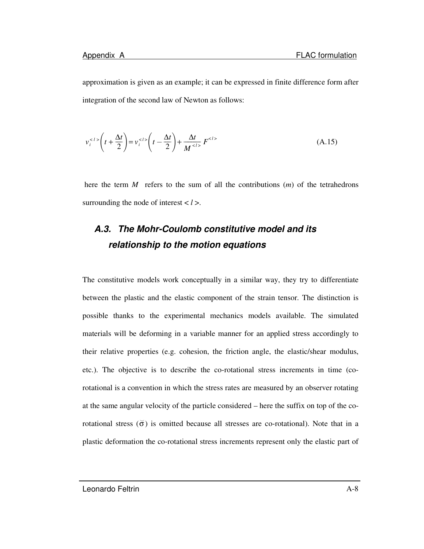approximation is given as an example; it can be expressed in finite difference form after integration of the second law of Newton as follows:

$$
v_i^{} \left( t + \frac{\Delta t}{2} \right) = v_i^{} \left( t - \frac{\Delta t}{2} \right) + \frac{\Delta t}{M^{}} F^{} \tag{A.15}
$$

here the term *M* refers to the sum of all the contributions (*m*) of the tetrahedrons surrounding the node of interest < *l* >.

## *A.3. The Mohr-Coulomb constitutive model and its relationship to the motion equations*

The constitutive models work conceptually in a similar way, they try to differentiate between the plastic and the elastic component of the strain tensor. The distinction is possible thanks to the experimental mechanics models available. The simulated materials will be deforming in a variable manner for an applied stress accordingly to their relative properties (e.g. cohesion, the friction angle, the elastic/shear modulus, etc.). The objective is to describe the co-rotational stress increments in time (corotational is a convention in which the stress rates are measured by an observer rotating at the same angular velocity of the particle considered – here the suffix on top of the corotational stress  $(\breve{\sigma})$  is omitted because all stresses are co-rotational). Note that in a plastic deformation the co-rotational stress increments represent only the elastic part of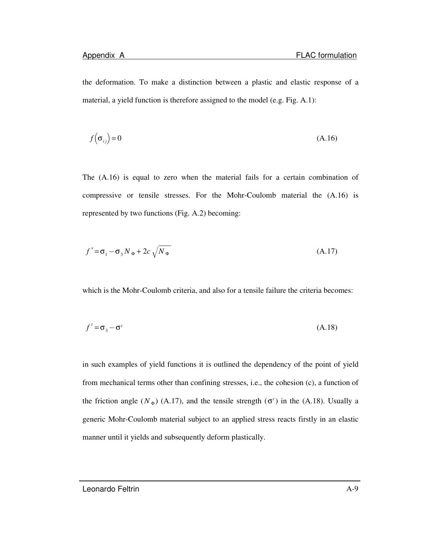the deformation. To make a distinction between a plastic and elastic response of a material, a yield function is therefore assigned to the model (e.g. Fig. A.1):

$$
f\left(\sigma_{ij}\right) = 0\tag{A.16}
$$

The (A.16) is equal to zero when the material fails for a certain combination of compressive or tensile stresses. For the Mohr-Coulomb material the (A.16) is represented by two functions (Fig. A.2) becoming:

$$
f^s = \sigma_1 - \sigma_3 N_\Phi + 2c \sqrt{N_\Phi} \tag{A.17}
$$

which is the Mohr-Coulomb criteria, and also for a tensile failure the criteria becomes:

$$
f' = \sigma_3 - \sigma'
$$
 (A.18)

in such examples of yield functions it is outlined the dependency of the point of yield from mechanical terms other than confining stresses, i.e., the cohesion (c), a function of the friction angle  $(N_{\Phi})$  (A.17), and the tensile strength  $(\sigma^t)$  in the (A.18). Usually a generic Mohr-Coulomb material subject to an applied stress reacts firstly in an elastic manner until it yields and subsequently deform plastically.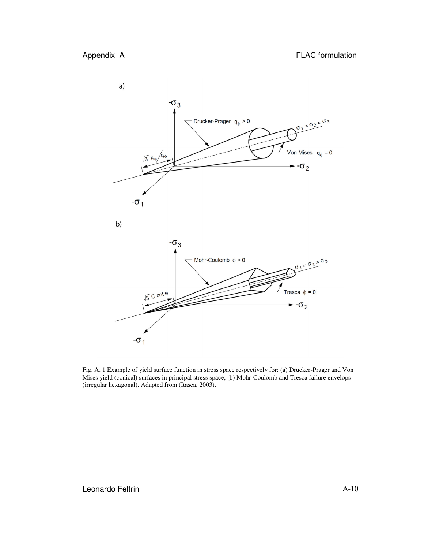

Fig. A. 1 Example of yield surface function in stress space respectively for: (a) Drucker-Prager and Von Mises yield (conical) surfaces in principal stress space; (b) Mohr-Coulomb and Tresca failure envelops (irregular hexagonal). Adapted from (Itasca, 2003).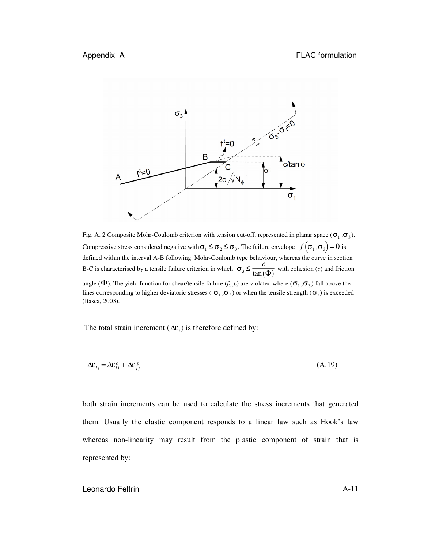

Fig. A. 2 Composite Mohr-Coulomb criterion with tension cut-off. represented in planar space  $(\sigma_1, \sigma_3)$ . Compressive stress considered negative with  $\sigma_1 \leq \sigma_2 \leq \sigma_3$ . The failure envelope  $f(\sigma_1, \sigma_3) = 0$  is defined within the interval A-B following Mohr-Coulomb type behaviour, whereas the curve in section B-C is characterised by a tensile failure criterion in which  $\sigma_3 \leq \frac{c}{\tan \theta}$  $\frac{c}{\tan(\Phi)}$  with cohesion (*c*) and friction angle ( $\Phi$ ). The yield function for shear/tensile failure ( $f_s$ ,  $f_t$ ) are violated where ( $\sigma_1$ , $\sigma_3$ ) fall above the lines corresponding to higher deviatoric stresses ( $\sigma_1$ , $\sigma_3$ ) or when the tensile strength ( $\sigma_t$ ) is exceeded (Itasca, 2003).

The total strain increment ( $\Delta \varepsilon$ <sub>*i*</sub>) is therefore defined by:

$$
\Delta \varepsilon_{ij} = \Delta \varepsilon_{ij}^e + \Delta \varepsilon_{ij}^p \tag{A.19}
$$

both strain increments can be used to calculate the stress increments that generated them. Usually the elastic component responds to a linear law such as Hook's law whereas non-linearity may result from the plastic component of strain that is represented by: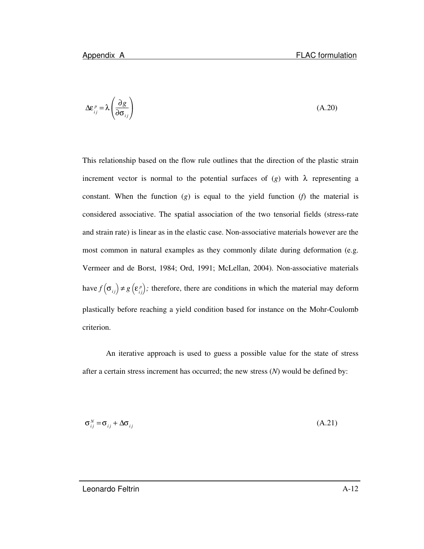$$
\Delta \varepsilon_{ij}^p = \lambda \left( \frac{\partial g}{\partial \sigma_{ij}} \right) \tag{A.20}
$$

This relationship based on the flow rule outlines that the direction of the plastic strain increment vector is normal to the potential surfaces of  $(g)$  with  $\lambda$  representing a constant. When the function  $(g)$  is equal to the yield function  $(f)$  the material is considered associative. The spatial association of the two tensorial fields (stress-rate and strain rate) is linear as in the elastic case. Non-associative materials however are the most common in natural examples as they commonly dilate during deformation (e.g. Vermeer and de Borst, 1984; Ord, 1991; McLellan, 2004). Non-associative materials have  $f\left(\sigma_{ij}\right) \neq g\left(\varepsilon_{ij}^p\right)$  $\left(\varepsilon_{i,j}^p\right)$ ; therefore, there are conditions in which the material may deform plastically before reaching a yield condition based for instance on the Mohr-Coulomb criterion.

An iterative approach is used to guess a possible value for the state of stress after a certain stress increment has occurred; the new stress (*N*) would be defined by:

$$
\sigma_{ij}^N = \sigma_{ij} + \Delta \sigma_{ij} \tag{A.21}
$$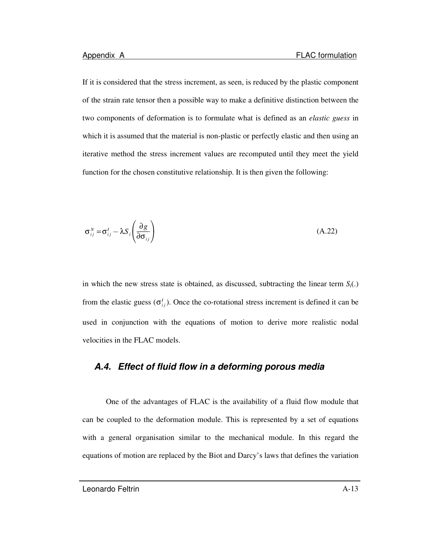If it is considered that the stress increment, as seen, is reduced by the plastic component of the strain rate tensor then a possible way to make a definitive distinction between the two components of deformation is to formulate what is defined as an *elastic guess* in which it is assumed that the material is non-plastic or perfectly elastic and then using an iterative method the stress increment values are recomputed until they meet the yield function for the chosen constitutive relationship. It is then given the following:

$$
\sigma_{ij}^N = \sigma_{ij}^I - \lambda S_i \left( \frac{\partial g}{\partial \sigma_{ij}} \right)
$$
 (A.22)

in which the new stress state is obtained, as discussed, subtracting the linear term  $S_i(.)$ from the elastic guess  $(\sigma_{ij}^I)$ . Once the co-rotational stress increment is defined it can be used in conjunction with the equations of motion to derive more realistic nodal velocities in the FLAC models.

### *A.4. Effect of fluid flow in a deforming porous media*

One of the advantages of FLAC is the availability of a fluid flow module that can be coupled to the deformation module. This is represented by a set of equations with a general organisation similar to the mechanical module. In this regard the equations of motion are replaced by the Biot and Darcy's laws that defines the variation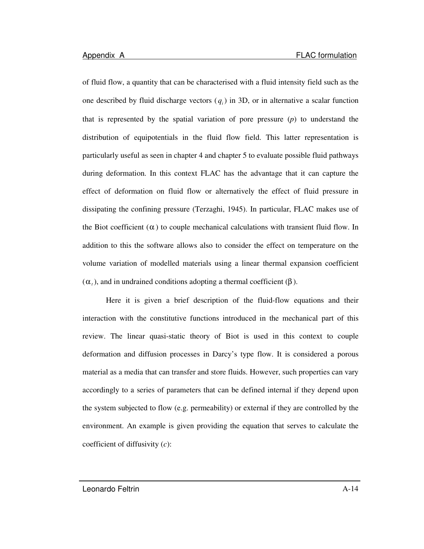of fluid flow, a quantity that can be characterised with a fluid intensity field such as the one described by fluid discharge vectors  $(q_i)$  in 3D, or in alternative a scalar function that is represented by the spatial variation of pore pressure (*p*) to understand the distribution of equipotentials in the fluid flow field. This latter representation is particularly useful as seen in chapter 4 and chapter 5 to evaluate possible fluid pathways during deformation. In this context FLAC has the advantage that it can capture the effect of deformation on fluid flow or alternatively the effect of fluid pressure in dissipating the confining pressure (Terzaghi, 1945). In particular, FLAC makes use of the Biot coefficient  $(\alpha)$  to couple mechanical calculations with transient fluid flow. In addition to this the software allows also to consider the effect on temperature on the volume variation of modelled materials using a linear thermal expansion coefficient (α*<sup>t</sup>* ), and in undrained conditions adopting a thermal coefficient (β ).

Here it is given a brief description of the fluid-flow equations and their interaction with the constitutive functions introduced in the mechanical part of this review. The linear quasi-static theory of Biot is used in this context to couple deformation and diffusion processes in Darcy's type flow. It is considered a porous material as a media that can transfer and store fluids. However, such properties can vary accordingly to a series of parameters that can be defined internal if they depend upon the system subjected to flow (e.g. permeability) or external if they are controlled by the environment. An example is given providing the equation that serves to calculate the coefficient of diffusivity (*c*):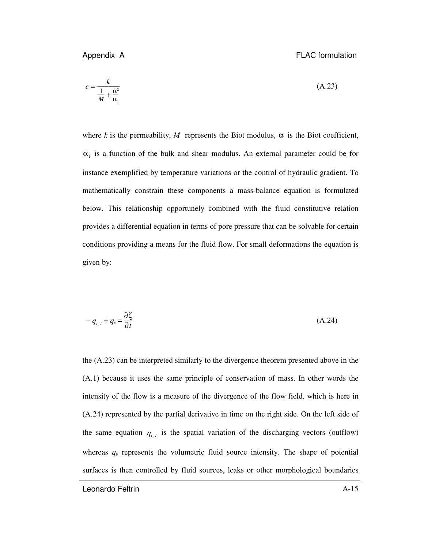$$
c = \frac{k}{\frac{1}{M} + \frac{\alpha^2}{\alpha_1}}
$$
 (A.23)

where *k* is the permeability, *M* represents the Biot modulus,  $\alpha$  is the Biot coefficient,  $\alpha_1$  is a function of the bulk and shear modulus. An external parameter could be for instance exemplified by temperature variations or the control of hydraulic gradient. To mathematically constrain these components a mass-balance equation is formulated below. This relationship opportunely combined with the fluid constitutive relation provides a differential equation in terms of pore pressure that can be solvable for certain conditions providing a means for the fluid flow. For small deformations the equation is given by:

$$
-q_{i,i} + q_{v} = \frac{\partial \zeta}{\partial t}
$$
 (A.24)

the (A.23) can be interpreted similarly to the divergence theorem presented above in the (A.1) because it uses the same principle of conservation of mass. In other words the intensity of the flow is a measure of the divergence of the flow field, which is here in (A.24) represented by the partial derivative in time on the right side. On the left side of the same equation  $q_{i,i}$  is the spatial variation of the discharging vectors (outflow) whereas  $q<sub>v</sub>$  represents the volumetric fluid source intensity. The shape of potential surfaces is then controlled by fluid sources, leaks or other morphological boundaries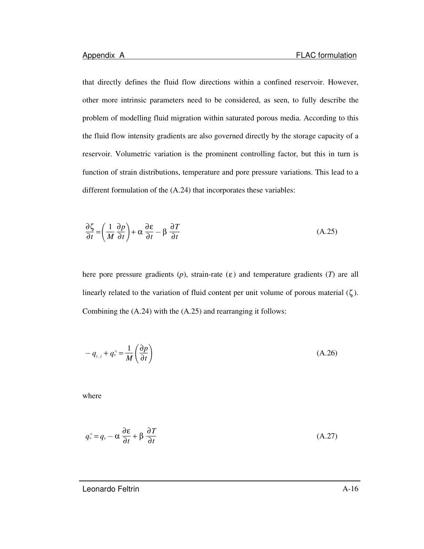that directly defines the fluid flow directions within a confined reservoir. However, other more intrinsic parameters need to be considered, as seen, to fully describe the problem of modelling fluid migration within saturated porous media. According to this the fluid flow intensity gradients are also governed directly by the storage capacity of a reservoir. Volumetric variation is the prominent controlling factor, but this in turn is function of strain distributions, temperature and pore pressure variations. This lead to a different formulation of the (A.24) that incorporates these variables:

$$
\frac{\partial \zeta}{\partial t} = \left(\frac{1}{M} \frac{\partial p}{\partial t}\right) + \alpha \frac{\partial \epsilon}{\partial t} - \beta \frac{\partial T}{\partial t}
$$
(A.25)

here pore pressure gradients  $(p)$ , strain-rate  $(\varepsilon)$  and temperature gradients  $(T)$  are all linearly related to the variation of fluid content per unit volume of porous material  $(\zeta)$ . Combining the (A.24) with the (A.25) and rearranging it follows:

$$
-q_{i,i} + q_{\nu}^{\times} = \frac{1}{M} \left( \frac{\partial p}{\partial t} \right)
$$
 (A.26)

where

$$
q_{\nu}^{\times} = q_{\nu} - \alpha \frac{\partial \varepsilon}{\partial t} + \beta \frac{\partial T}{\partial t}
$$
 (A.27)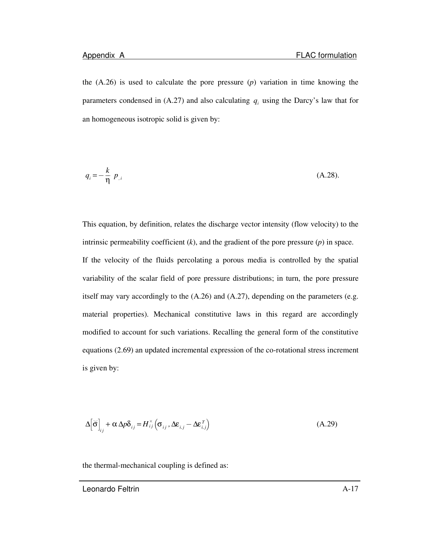the (A.26) is used to calculate the pore pressure (*p*) variation in time knowing the parameters condensed in  $(A.27)$  and also calculating  $q_i$  using the Darcy's law that for an homogeneous isotropic solid is given by:

$$
q_i = -\frac{k}{\eta} p_{i} \tag{A.28}
$$

This equation, by definition, relates the discharge vector intensity (flow velocity) to the intrinsic permeability coefficient (*k*), and the gradient of the pore pressure (*p*) in space. If the velocity of the fluids percolating a porous media is controlled by the spatial variability of the scalar field of pore pressure distributions; in turn, the pore pressure itself may vary accordingly to the  $(A.26)$  and  $(A.27)$ , depending on the parameters (e.g. material properties). Mechanical constitutive laws in this regard are accordingly modified to account for such variations. Recalling the general form of the constitutive equations (2.69) an updated incremental expression of the co-rotational stress increment is given by:

$$
\Delta \left[ \vec{\sigma} \right]_{ij} + \alpha \Delta p \delta_{ij} = H_{ij}^{\times} \left( \sigma_{ij}, \Delta \varepsilon_{i,j} - \Delta \varepsilon_{i,j}^{T} \right)
$$
 (A.29)

the thermal-mechanical coupling is defined as: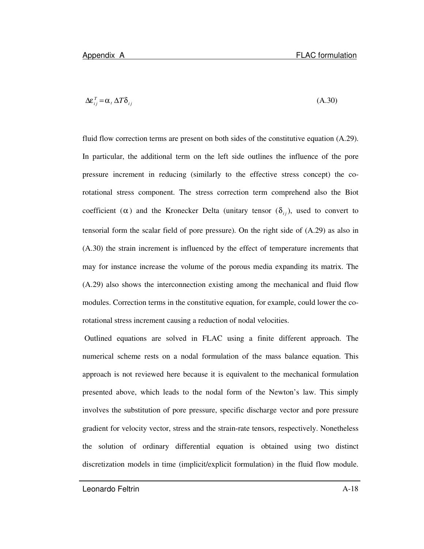$$
\Delta \varepsilon_{ij}^T = \alpha_t \, \Delta T \delta_{ij} \tag{A.30}
$$

fluid flow correction terms are present on both sides of the constitutive equation (A.29). In particular, the additional term on the left side outlines the influence of the pore pressure increment in reducing (similarly to the effective stress concept) the corotational stress component. The stress correction term comprehend also the Biot coefficient ( $\alpha$ ) and the Kronecker Delta (unitary tensor ( $\delta_{ij}$ ), used to convert to tensorial form the scalar field of pore pressure). On the right side of (A.29) as also in (A.30) the strain increment is influenced by the effect of temperature increments that may for instance increase the volume of the porous media expanding its matrix. The (A.29) also shows the interconnection existing among the mechanical and fluid flow modules. Correction terms in the constitutive equation, for example, could lower the corotational stress increment causing a reduction of nodal velocities.

Outlined equations are solved in FLAC using a finite different approach. The numerical scheme rests on a nodal formulation of the mass balance equation. This approach is not reviewed here because it is equivalent to the mechanical formulation presented above, which leads to the nodal form of the Newton's law. This simply involves the substitution of pore pressure, specific discharge vector and pore pressure gradient for velocity vector, stress and the strain-rate tensors, respectively. Nonetheless the solution of ordinary differential equation is obtained using two distinct discretization models in time (implicit/explicit formulation) in the fluid flow module.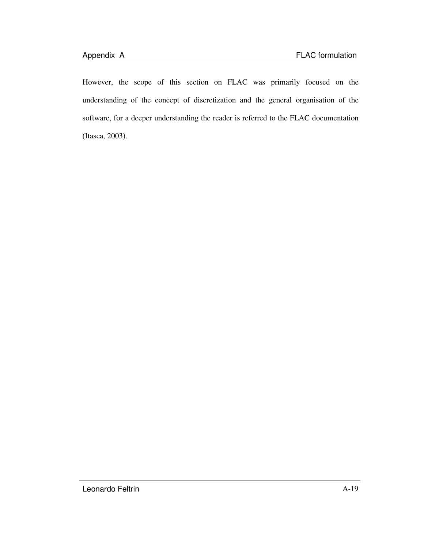However, the scope of this section on FLAC was primarily focused on the understanding of the concept of discretization and the general organisation of the software, for a deeper understanding the reader is referred to the FLAC documentation (Itasca, 2003).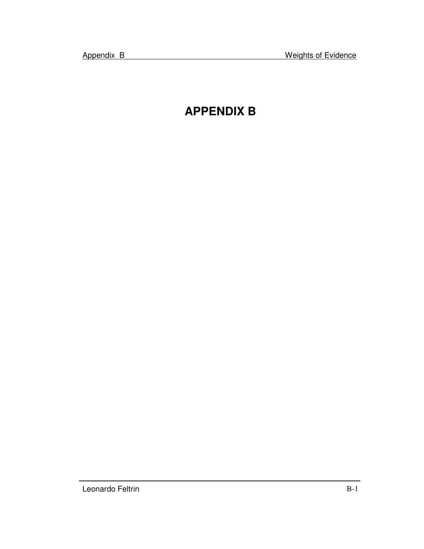# **APPENDIX B**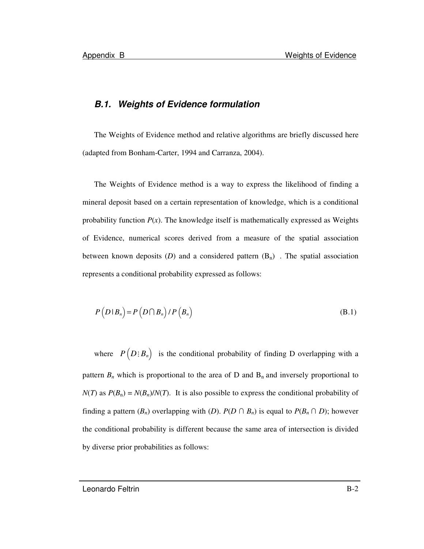### *B.1. Weights of Evidence formulation*

The Weights of Evidence method and relative algorithms are briefly discussed here (adapted from Bonham-Carter, 1994 and Carranza, 2004).

The Weights of Evidence method is a way to express the likelihood of finding a mineral deposit based on a certain representation of knowledge, which is a conditional probability function  $P(x)$ . The knowledge itself is mathematically expressed as Weights of Evidence, numerical scores derived from a measure of the spatial association between known deposits (*D*) and a considered pattern  $(B_n)$ . The spatial association represents a conditional probability expressed as follows:

$$
P(D|B_n) = P(D \cap B_n) / P(B_n)
$$
\n(B.1)

where  $P(D; B_n)$  is the conditional probability of finding D overlapping with a pattern  $B_n$  which is proportional to the area of D and  $B_n$  and inversely proportional to  $N(T)$  as  $P(B_n) = N(B_n)/N(T)$ . It is also possible to express the conditional probability of finding a pattern  $(B_n)$  overlapping with  $(D)$ .  $P(D \cap B_n)$  is equal to  $P(B_n \cap D)$ ; however the conditional probability is different because the same area of intersection is divided by diverse prior probabilities as follows:

Leonardo Feltrin B-2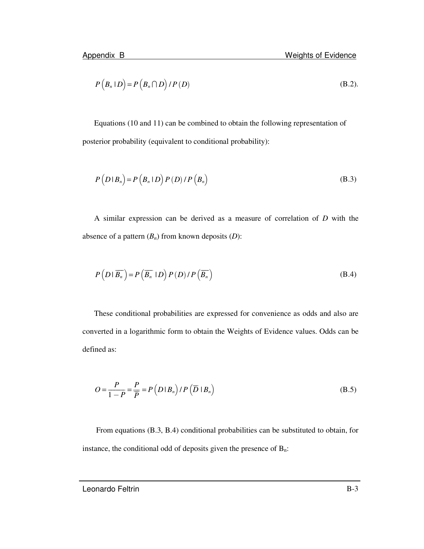$$
P(B_n | D) = P(B_n \cap D) / P(D)
$$
 (B.2).

Equations (10 and 11) can be combined to obtain the following representation of posterior probability (equivalent to conditional probability):

$$
P(D|B_n) = P(B_n|D) P(D) / P(B_n)
$$
\n(B.3)

A similar expression can be derived as a measure of correlation of *D* with the absence of a pattern  $(B_n)$  from known deposits  $(D)$ :

$$
P(D | \overline{B_n}) = P(\overline{B_n} | D) P(D) / P(\overline{B_n})
$$
\n(B.4)

These conditional probabilities are expressed for convenience as odds and also are converted in a logarithmic form to obtain the Weights of Evidence values. Odds can be defined as:

$$
O = \frac{P}{1 - P} = \frac{P}{\overline{P}} = P\left(D \mid B_n\right) / P\left(\overline{D} \mid B_n\right) \tag{B.5}
$$

From equations (B.3, B.4) conditional probabilities can be substituted to obtain, for instance, the conditional odd of deposits given the presence of  $B_n$ :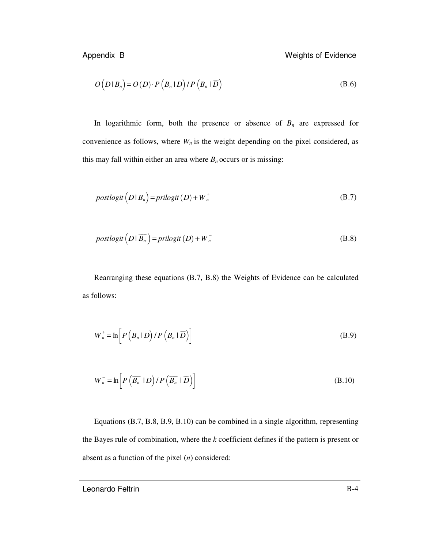$$
O(D|Bn) = O(D) \cdot P(Bn | D) / P(Bn | \overline{D})
$$
 (B.6)

In logarithmic form, both the presence or absence of  $B_n$  are expressed for convenience as follows, where  $W<sub>n</sub>$  is the weight depending on the pixel considered, as this may fall within either an area where  $B_n$  occurs or is missing:

$$
postlogit(D|Bn) = prilogit(D) + Wn+
$$
 (B.7)

$$
postlogit(D|\overline{B_n}) = prilogit(D) + W_n^-
$$
 (B.8)

Rearranging these equations (B.7, B.8) the Weights of Evidence can be calculated as follows:

$$
W_n^+ = \ln \left[ P\left(B_n \mid D\right) / P\left(B_n \mid \overline{D}\right) \right]
$$
 (B.9)

$$
W_n^- = \ln \left[ P\left(\overline{B_n} \mid D\right) / P\left(\overline{B_n} \mid \overline{D}\right) \right]
$$
 (B.10)

Equations (B.7, B.8, B.9, B.10) can be combined in a single algorithm, representing the Bayes rule of combination, where the *k* coefficient defines if the pattern is present or absent as a function of the pixel (*n*) considered: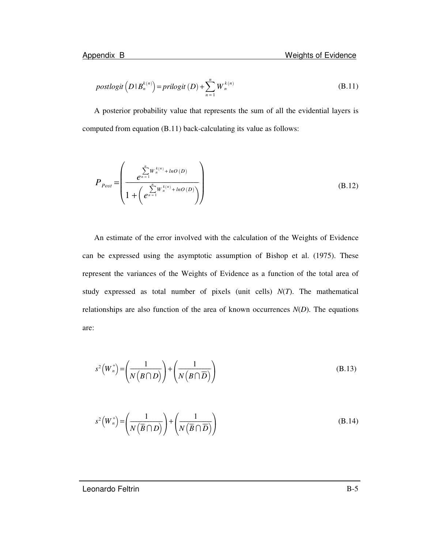$$
postlogit(D|B_n^{k(n)}) = prilogit(D) + \sum_{n=1}^{n} W_n^{k(n)}
$$
\n(B.11)

A posterior probability value that represents the sum of all the evidential layers is computed from equation (B.11) back-calculating its value as follows:

$$
P_{Post} = \left(\frac{\sum_{n=1}^{n} W_n^{k(n)} + lnO(D)}{1 + \left(e^{\sum_{n=1}^{n} W_n^{k(n)} + lnO(D)}\right)}\right)
$$
(B.12)

An estimate of the error involved with the calculation of the Weights of Evidence can be expressed using the asymptotic assumption of Bishop et al. (1975). These represent the variances of the Weights of Evidence as a function of the total area of study expressed as total number of pixels (unit cells) *N*(*T*). The mathematical relationships are also function of the area of known occurrences  $N(D)$ . The equations are:

$$
s^{2}\left(W_{n}^{+}\right) = \left(\frac{1}{N\left(B\cap D\right)}\right) + \left(\frac{1}{N\left(B\cap\overline{D}\right)}\right)
$$
\n(B.13)

$$
s^{2}\left(W_{n}^{+}\right) = \left(\frac{1}{N\left(\overline{B}\cap D\right)}\right) + \left(\frac{1}{N\left(\overline{B}\cap\overline{D}\right)}\right)
$$
\n(B.14)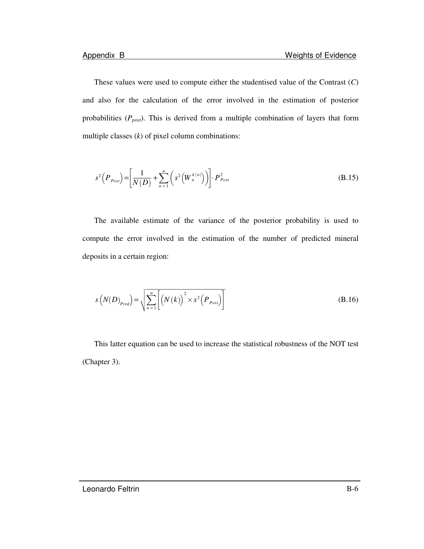These values were used to compute either the studentised value of the Contrast (*C*) and also for the calculation of the error involved in the estimation of posterior probabilities (*Ppost*). This is derived from a multiple combination of layers that form multiple classes (*k*) of pixel column combinations:

$$
s^{2}\left(P_{\text{Pos}t}\right) = \left[\frac{1}{N(D)} + \sum_{n=1}^{n} \left(s^{2}\left(W_{n}^{k(n)}\right)\right)\right] \cdot P_{\text{Pos}t}^{2}
$$
\n(B.15)

The available estimate of the variance of the posterior probability is used to compute the error involved in the estimation of the number of predicted mineral deposits in a certain region:

$$
s\left(N(D)_{Pred}\right) = \sqrt{\sum_{n=1}^{n} \left[ \left(N\left(k\right)\right)^{2} \times s^{2} \left(P_{Post}\right) \right]}
$$
\n(B.16)

This latter equation can be used to increase the statistical robustness of the NOT test (Chapter 3).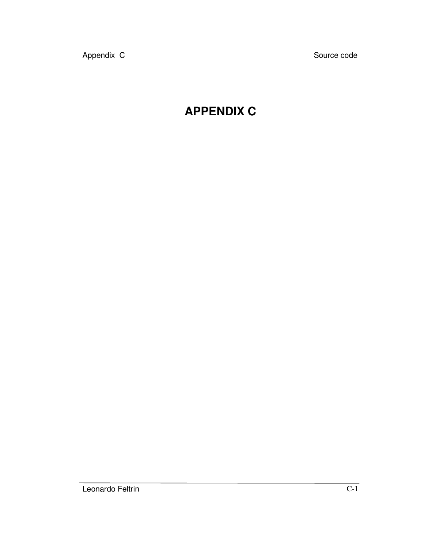# **APPENDIX C**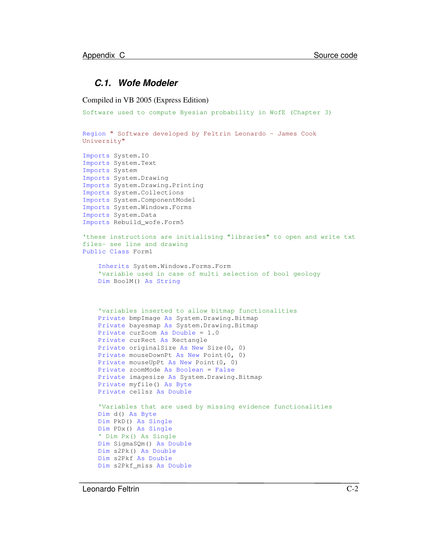### *C.1. Wofe Modeler*

Compiled in VB 2005 (Express Edition)

```
Software used to compute Byesian probability in WofE (Chapter 3)
Region " Software developed by Feltrin Leonardo - James Cook
University"
Imports System.IO
Imports System.Text
Imports System
Imports System.Drawing
Imports System.Drawing.Printing
Imports System.Collections
Imports System.ComponentModel
Imports System.Windows.Forms
Imports System.Data
Imports Rebuild_wofe.Form5
'these instructions are initialising "libraries" to open and write txt
files- see line and drawing
Public Class Form1
    Inherits System.Windows.Forms.Form
    'variable used in case of multi selection of bool geology
   Dim BoolM() As String
    'variables inserted to allow bitmap functionalities
    Private bmpImage As System.Drawing.Bitmap
   Private bayesmap As System.Drawing.Bitmap
   Private curZoom As Double = 1.0
   Private curRect As Rectangle
   Private originalSize As New Size(0, 0)
   Private mouseDownPt As New Point(0, 0)
   Private mouseUpPt As New Point(0, 0)
   Private zoomMode As Boolean = False
   Private imagesize As System.Drawing.Bitmap
   Private myfile() As Byte
   Private cellsz As Double
   'Variables that are used by missing evidence functionalities
   Dim d() As Byte
   Dim PkD() As Single
   Dim PDx() As Single
    ' Dim Px() As Single
   Dim SigmaSQm() As Double
   Dim s2Pk() As Double
   Dim s2Pkf As Double
   Dim s2Pkf_miss As Double
```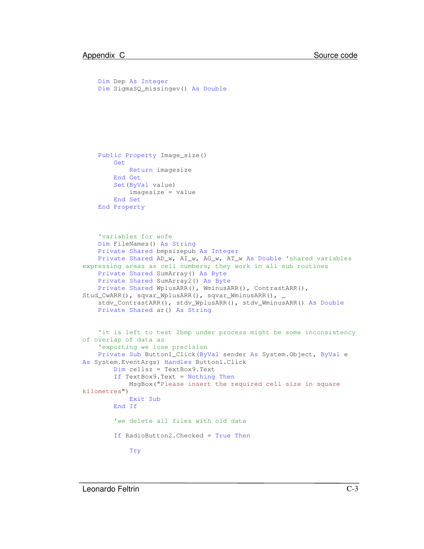```
Dim Dep As Integer
   Dim SigmaSQ_missingev() As Double
    Public Property Image_size()
       Get
            Return imagesize
       End Get
       Set(ByVal value)
            imagesize = value
       End Set
    End Property
    'variables for wofe
   Dim FileNames() As String
   Private Shared bmpsizepub As Integer
   Private Shared AD_w, AI_w, AG_w, AT_w As Double 'shared variables
expressing areas as cell numbers; they work in all sub routines
    Private Shared SumArray() As Byte
   Private Shared SumArray2() As Byte
   Private Shared WplusARR(), WminusARR(), ContrastARR(),
Stud_CwARR(), sqvar_WplusARR(), sqvar_WminusARR(), _
    stdv_ContrastARR(), stdv_WplusARR(), stdv_WminusARR() As Double
   Private Shared ar() As String
    'it is left to test 2bmp under process might be some inconsistency
of overlap of data as
    'exporting we lose precision
    Private Sub Button1_Click(ByVal sender As System.Object, ByVal e
As System.EventArgs) Handles Button1.Click
       Dim cellsz = TextBox9.Text
       If TextBox9.Text = Nothing Then
            MsgBox("Please insert the required cell size in square
kilometres")
            Exit Sub
       End If
        'we delete all files with old data
        If RadioButton2.Checked = True Then
            Try
```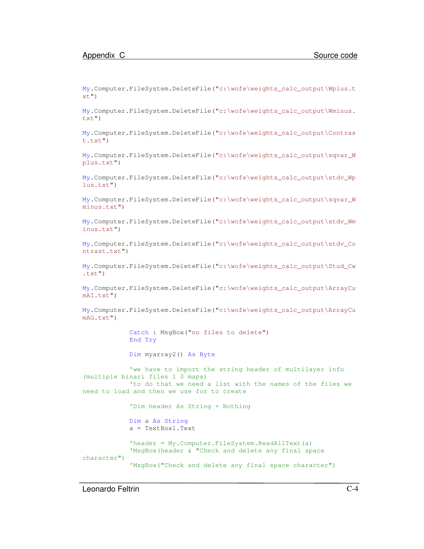My.Computer.FileSystem.DeleteFile("c:\wofe\weights\_calc\_output\Wplus.t  $xt$ ")

My.Computer.FileSystem.DeleteFile("c:\wofe\weights\_calc\_output\Wminus. txt")

My.Computer.FileSystem.DeleteFile("c:\wofe\weights\_calc\_output\Contras t.txt")

My.Computer.FileSystem.DeleteFile("c:\wofe\weights\_calc\_output\sqvar\_W plus.txt")

My.Computer.FileSystem.DeleteFile("c:\wofe\weights\_calc\_output\stdv\_Wp lus.txt")

My.Computer.FileSystem.DeleteFile("c:\wofe\weights\_calc\_output\sqvar\_W minus.txt")

My.Computer.FileSystem.DeleteFile("c:\wofe\weights\_calc\_output\stdv\_Wm inus.txt")

My.Computer.FileSystem.DeleteFile("c:\wofe\weights\_calc\_output\stdv\_Co ntrast.txt")

My.Computer.FileSystem.DeleteFile("c:\wofe\weights\_calc\_output\Stud\_Cw  $.txt")$ 

My.Computer.FileSystem.DeleteFile("c:\wofe\weights\_calc\_output\ArrayCu mAI.txt")

```
My.Computer.FileSystem.DeleteFile("c:\wofe\weights_calc_output\ArrayCu
mAG.txt")
```
Catch : MsgBox("no files to delete") End Try

Dim myarray2() As Byte

'we have to import the string header of multilayer info (multiple binari files 1 0 maps) 'to do that we need a list with the names of the files we need to load and then we use for to create

'Dim header As String = Nothing Dim a As String a = TextBox1.Text 'header = My.Computer.FileSystem.ReadAllText(a) 'MsgBox(header & "Check and delete any final space character") 'MsgBox("Check and delete any final space character")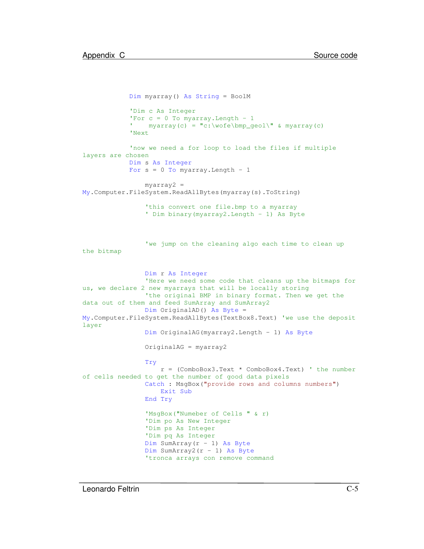```
Dim myarray() As String = BoolM
            'Dim c As Integer
            'For c = 0 To myarray. Length - 1
            ' myarray(c) = "c:\wofe\bmp_geol\" & myarray(c)
            'Next
            'now we need a for loop to load the files if multiple
layers are chosen
            Dim s As Integer
            For s = 0 To myarray. Length - 1
                myarray2 =
My.Computer.FileSystem.ReadAllBytes(myarray(s).ToString)
                'this convert one file.bmp to a myarray
                ' Dim binary(myarray2.Length - 1) As Byte
                'we jump on the cleaning algo each time to clean up
the bitmap
                Dim r As Integer
                'Here we need some code that cleans up the bitmaps for
us, we declare 2 new myarrays that will be locally storing
                'the original BMP in binary format. Then we get the
data out of them and feed SumArray and SumArray2
                Dim OriginalAD() As Byte =
My.Computer.FileSystem.ReadAllBytes(TextBox8.Text) 'we use the deposit
layer
                Dim OriginalAG(myarray2.Length - 1) As Byte
                OriginalAG = myarray2
                Try
                    r = (ComboBox3.Text * ComboBox4.Text) ' the number
of cells needed to get the number of good data pixels
                Catch : MsgBox("provide rows and columns numbers")
                    Exit Sub
                End Try
                'MsgBox("Numeber of Cells " & r)
                'Dim po As New Integer
                'Dim ps As Integer
                'Dim pq As Integer
                Dim SumArray(r - 1) As Byte
                Dim SumArray2(r - 1) As Byte
                'tronca arrays con remove command
```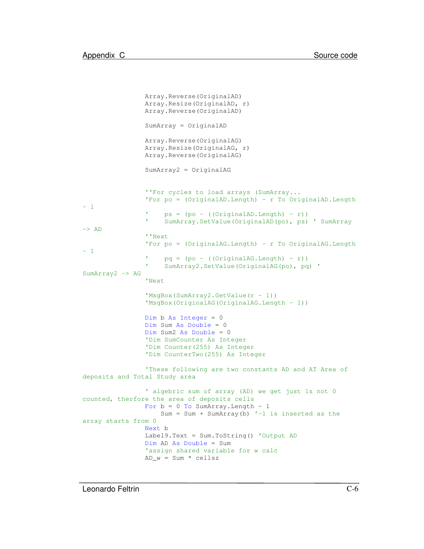```
Array.Reverse(OriginalAD)
                Array.Resize(OriginalAD, r)
                Array.Reverse(OriginalAD)
                SumArray = OriginalAD
                Array.Reverse(OriginalAG)
                Array.Resize(OriginalAG, r)
                Array.Reverse(OriginalAG)
                SumArray2 = OriginalAG
                ''For cycles to load arrays (SumArray...
                'For po = (OriginalAD.Length) - r To OriginalAD.Length
- 1
                     ps = (po - ((OriginalAD.Length) - r))' SumArray.SetValue(OriginalAD(po), ps) ' SumArray
\rightarrow AD
                ''Next
                'For po = (OriginalAG.Length) - r To OriginalAG.Length
- 1
                     pq = (po - ((Original AG.Length) - r)) SumArray2.SetValue(OriginalAG(po), pq) '
SumArray2 -> AG
                'Next
                'MsgBox(SumArray2.GetValue(r - 1))
                'MsgBox(OriginalAG(OriginalAG.Length - 1))
                Dim b As Integer = 0Dim Sum As Double = 0
                Dim Sum2 As Double = 0
                'Dim SumCounter As Integer
                'Dim Counter(255) As Integer
                'Dim CounterTwo(255) As Integer
                'These following are two constants AD and AT Area of
deposits and Total Study area
                 ' algebric sum of array (AD) we get just 1s not 0
counted, therfore the area of deposits cells
                For b = 0 To SumArray. Length - 1
                    Sum = Sum + SumArray(b) '-1 is inserted as the
array starts from 0
                Next b
                Label9.Text = Sum.ToString() 'Output AD
                Dim AD As Double = Sum
                'assign shared variable for w calc
                AD_w = Sum * cells
```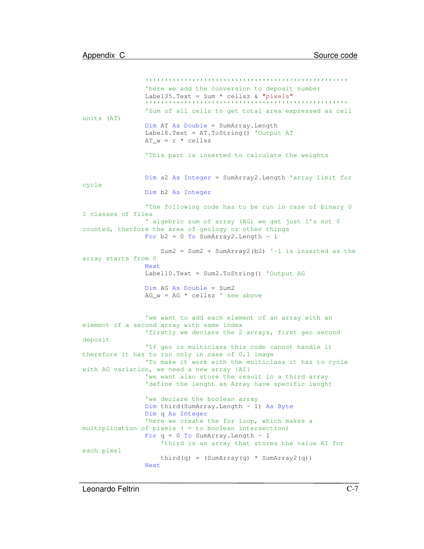```
'''''''''''''''''''''''''''''''''''''''''''''''''''''here we add the conversion to deposit number
                Label35.Text = Sum * cellsz & "pixels"
                '''''''''''''''''''''''''''''''''''''''''''''''''''''Sum of all cells to get total area expressed as cell
units (AT)
                Dim AT As Double = SumArray.Length
                Label8.Text = AT.ToString() 'Output AT
                AT_w = r * cellsz'This part is inserted to calculate the weights
                Dim a2 As Integer = SumArray2.Length 'array limit for
cycle
                Dim b2 As Integer
                'The following code has to be run in case of binary 0
1 classes of files
                ' algebric sum of array (AG) we get just 1's not 0
counted, therfore the area of geology or other things
                For b2 = 0 To SumArray2. Length - 1
                    Sum2 = Sum2 + SumArray2(b2) -1 is inserted as the
array starts from 0
                Next
                Label10.Text = Sum2.ToString() 'Output AG
                Dim AG As Double = Sum2
                AG w = AG * cellsz ' see above
                'we want to add each element of an array with an
element of a second array with same index
                'firstly we declare the 2 arrays, first geo second
deposit
                'If geo is multiclass this code cannot handle it
therefore it has to run only in case of 0,1 image
                'To make it work with the multiclass it has to cycle
with AG variation, we need a new array {AI}
                'we want also store the result in a third array
                'define the lenght as Array have specific lenght
                'we declare the boolean array
                Dim third(SumArray.Length - 1) As Byte
                Dim q As Integer
                'here we create the for loop, which makes a
multiplication of pixels ( = to boolean intersection)
                For q = 0 To SumArray. Length - 1
                    'third is an array that stores the value AI for
each pixel
                    third(q) = (SumArray(q) * SumArray(q))Next
```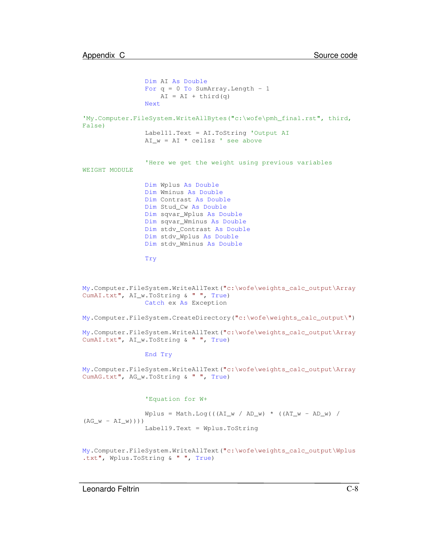```
Dim AI As Double
                For q = 0 To SumArray. Length - 1
                   AI = AI + third(q)Next
'My.Computer.FileSystem.WriteAllBytes("c:\wofe\pmh_final.rst", third,
False)
                Label11.Text = AI.ToString 'Output AI
                AI_w = AI * cellsz ' see above
                'Here we get the weight using previous variables
WEIGHT MODULE
                Dim Wplus As Double
                Dim Wminus As Double
                Dim Contrast As Double
                Dim Stud_Cw As Double
                Dim sqvar_Wplus As Double
                Dim sqvar_Wminus As Double
                Dim stdv_Contrast As Double
                Dim stdv_Wplus As Double
                Dim stdv_Wminus As Double
                Try
My.Computer.FileSystem.WriteAllText("c:\wofe\weights_calc_output\Array
CumAI.txt", AI_w.ToString & " ", True)
```
Catch ex As Exception

My.Computer.FileSystem.CreateDirectory("c:\wofe\weights\_calc\_output\")

My.Computer.FileSystem.WriteAllText("c:\wofe\weights\_calc\_output\Array CumAI.txt", AI\_w.ToString & " ", True)

#### End Try

My.Computer.FileSystem.WriteAllText("c:\wofe\weights\_calc\_output\Array CumAG.txt", AG\_w.ToString & " ", True)

#### 'Equation for W+

 $Wplus = Math.Loq((AL_w / AD_w) * ((AT_w - AD_w) /$  $(AG_W - AI_W))$ ) Label19.Text = Wplus.ToString

My.Computer.FileSystem.WriteAllText("c:\wofe\weights\_calc\_output\Wplus .txt", Wplus.ToString & " ", True)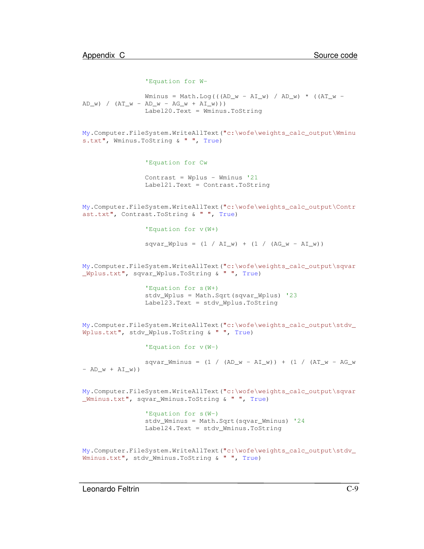```
'Equation for W-
```
Wminus = Math.Log(( $(AD_w - AI_w)$  /  $AD_w$ ) \* ( $AT_w$  - $AD_w$ ) /  $(AT_w - AD_w - AG_w + AI_w))$ Label20.Text = Wminus.ToString

```
My.Computer.FileSystem.WriteAllText("c:\wofe\weights_calc_output\Wminu
s.txt", Wminus.ToString & " ", True)
```

```
'Equation for Cw
```

```
Contrast = Wplus - Wminus '21
Label21.Text = Contrast.ToString
```
My.Computer.FileSystem.WriteAllText("c:\wofe\weights\_calc\_output\Contr ast.txt", Contrast.ToString & " ", True)

```
'Equation for v(W+)
```

```
squar_W plus = (1 / AI_w) + (1 / (AG_w - AI_w))
```

```
My.Computer.FileSystem.WriteAllText("c:\wofe\weights_calc_output\sqvar
_Wplus.txt", sqvar_Wplus.ToString & " ", True)
```

```
'Equation for s(W+)
stdv_Wplus = Math.Sqrt(sqvar_Wplus) '23
Label23.Text = stdv_Wplus.ToString
```

```
My.Computer.FileSystem.WriteAllText("c:\wofe\weights_calc_output\stdv_
Wplus.txt", stdv_Wplus.ToString & " ", True)
```

```
'Equation for v(W-)
```

```
sqvar_Mminus = (1 / (AD_w - AI_w)) + (1 / (AT_w - AG_w))- AD_w + AI_w))
```
My.Computer.FileSystem.WriteAllText("c:\wofe\weights\_calc\_output\sqvar \_Wminus.txt", sqvar\_Wminus.ToString & " ", True)

```
'Equation for s(W-)
stdv_Wminus = Math.Sqrt(sqvar_Wminus) '24
Label24.Text = stdv_Wminus.ToString
```

```
My.Computer.FileSystem.WriteAllText("c:\wofe\weights_calc_output\stdv_
Wminus.txt", stdv_Wminus.ToString & " ", True)
```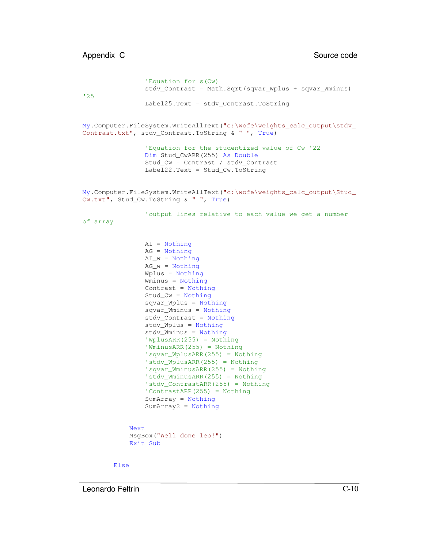```
'Equation for s(Cw)
                stdv_Contrast = Math.Sqrt(sqvar_Wplus + sqvar_Wminus)
'25
                Label25.Text = stdv_Contrast.ToString
My.Computer.FileSystem.WriteAllText("c:\wofe\weights_calc_output\stdv_
Contrast.txt", stdv_Contrast.ToString & " ", True)
                'Equation for the studentized value of Cw '22
                Dim Stud_CwARR(255) As Double
                Stud_Cw = Contrast / stdv_Contrast
                Label22.Text = Stud_Cw.ToString
My.Computer.FileSystem.WriteAllText("c:\wofe\weights_calc_output\Stud_
Cw.txt", Stud_Cw.ToString & " ", True)
                'output lines relative to each value we get a number
of array
                AI = Nothing
                AG = Nothing
                AI_w = Nothing
                AG_w = NotthingWplus = Nothing
                Wminus = Nothing
                Contrast = Nothing
                Stud_Cw = Nothing
                sqvar_Wplus = Nothing
                sqvar_Wminus = Nothing
                stdv_Contrast = Nothing
                stdv_Wplus = Nothing
                stdv_Wminus = Nothing
                'WplusARR(255) = Nothing
                'WminusARR(255) = Nothing
                'sqvar_WplusARR(255) = Nothing
                'stdv_WplusARR(255) = Nothing
                'sqvar_WminusARR(255) = Nothing
                'stdv_WminusARR(255) = Nothing
                'stdv_ContrastARR(255) = Nothing
                'ContrastARR(255) = Nothing
                SumArray = Nothing
                SumArray2 = Nothing
            Next
            MsgBox("Well done leo!")
            Exit Sub
```
Else

Leonardo Feltrin C-10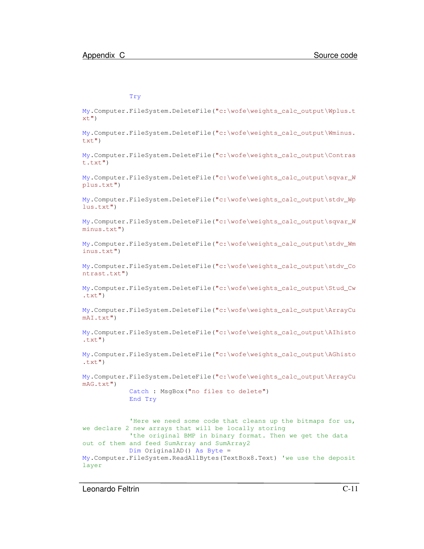#### Try

My.Computer.FileSystem.DeleteFile("c:\wofe\weights\_calc\_output\Wplus.t  $xt$ ")

My.Computer.FileSystem.DeleteFile("c:\wofe\weights\_calc\_output\Wminus. txt")

My.Computer.FileSystem.DeleteFile("c:\wofe\weights\_calc\_output\Contras t.txt")

My.Computer.FileSystem.DeleteFile("c:\wofe\weights\_calc\_output\sqvar\_W plus.txt")

My.Computer.FileSystem.DeleteFile("c:\wofe\weights\_calc\_output\stdv\_Wp lus.txt")

My.Computer.FileSystem.DeleteFile("c:\wofe\weights\_calc\_output\sqvar\_W minus.txt")

My.Computer.FileSystem.DeleteFile("c:\wofe\weights\_calc\_output\stdv\_Wm inus.txt")

My.Computer.FileSystem.DeleteFile("c:\wofe\weights\_calc\_output\stdv\_Co ntrast.txt")

My.Computer.FileSystem.DeleteFile("c:\wofe\weights\_calc\_output\Stud\_Cw  $\texttt{.txt"})$ 

My.Computer.FileSystem.DeleteFile("c:\wofe\weights\_calc\_output\ArrayCu mAI.txt")

My.Computer.FileSystem.DeleteFile("c:\wofe\weights\_calc\_output\AIhisto  $.txt")$ 

```
My.Computer.FileSystem.DeleteFile("c:\wofe\weights_calc_output\AGhisto
.txt")
```
My.Computer.FileSystem.DeleteFile("c:\wofe\weights\_calc\_output\ArrayCu mAG.txt")

```
Catch : MsgBox("no files to delete")
End Try
```
'Here we need some code that cleans up the bitmaps for us, we declare 2 new arrays that will be locally storing 'the original BMP in binary format. Then we get the data out of them and feed SumArray and SumArray2 Dim OriginalAD() As Byte = My.Computer.FileSystem.ReadAllBytes(TextBox8.Text) 'we use the deposit layer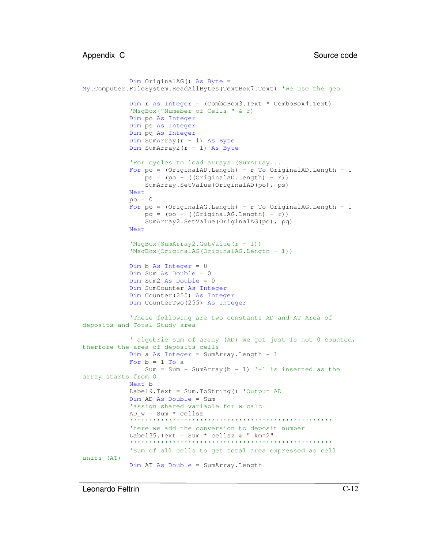```
Dim OriginalAG() As Byte =
My.Computer.FileSystem.ReadAllBytes(TextBox7.Text) 'we use the geo
            Dim r As Integer = (ComboBox3.Text * ComboBox4.Text)
            'MsgBox("Numeber of Cells " & r)
            Dim po As Integer
            Dim ps As Integer
            Dim pq As Integer
            Dim SumArray(r - 1) As Byte
            Dim SumArray2(r - 1) As Byte
            'For cycles to load arrays (SumArray...
            For po = (OriginalAD.Length) - r To OriginalAD.Length - 1
                ps = (po - ((OriginalAD.Lenqth) - r))SumArray.SetValue(OriginalAD(po), ps)
            Next
            po = 0For po = (OriginalAG.Length) - r To OriginalAG.Length - 1
                pq = (po - ((Original AG.Length) - r))SumArray2.SetValue(OriginalAG(po), pq)
            Next
            'MsgBox(SumArray2.GetValue(r - 1))
            'MsgBox(OriginalAG(OriginalAG.Length - 1))
            Dim b As Integer = 0
            Dim Sum As Double = 0
            Dim Sum2 As Double = 0
            Dim SumCounter As Integer
            Dim Counter(255) As Integer
            Dim CounterTwo(255) As Integer
            'These following are two constants AD and AT Area of
deposits and Total Study area
            ' algebric sum of array (AD) we get just 1s not 0 counted,
therfore the area of deposits cells
            Dim a As Integer = SumArray.Length - 1
            For b = 1 To a
                Sum = Sum + SumArray(b - 1) '-1 is inserted as the
array starts from 0
            Next b
            Label9.Text = Sum.ToString() 'Output AD
            Dim AD As Double = Sum
            'assign shared variable for w calc
            AD w = Sum * cellsz'''''''''''''''''''''''''''''''''''''''''''''''''''''here we add the conversion to deposit number
            Label35.Text = Sum * cellsz & "km^2"
            '''''''''''''''''''''''''''''''''''''''''''''''''''''Sum of all cells to get total area expressed as cell
units (AT)
            Dim AT As Double = SumArray.Length
```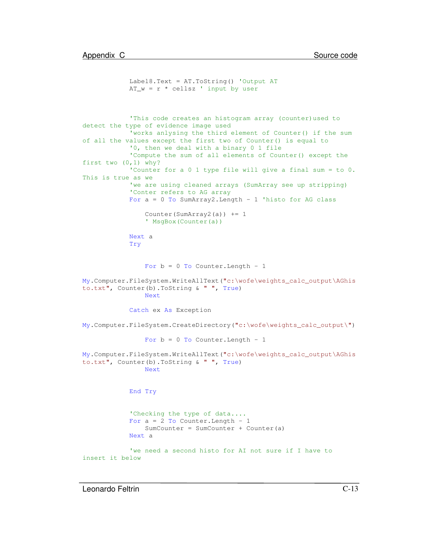```
Label8.Text = AT.ToString() 'Output AT
            AT_w = r * cellsz' input by user
            'This code creates an histogram array (counter)used to
detect the type of evidence image used
            'works anlysing the third element of Counter() if the sum
of all the values except the first two of Counter() is equal to
            '0, then we deal with a binary 0 1 file
            'Compute the sum of all elements of Counter() except the
first two (0,1) why?
            'Counter for a 0 1 type file will give a final sum = to 0.
This is true as we
            'we are using cleaned arrays (SumArray see up stripping)
            'Conter refers to AG array
            For a = 0 To SumArray2. Length - 1 'histo for AG class
                Counter(SumArray2(a)) += 1
                ' MsgBox(Counter(a))
            Next a
            Try
                For b = 0 To Counter. Length - 1
My.Computer.FileSystem.WriteAllText("c:\wofe\weights_calc_output\AGhis
to.txt", Counter(b).ToString & " ", True)
                Next
            Catch ex As Exception
My.Computer.FileSystem.CreateDirectory("c:\wofe\weights_calc_output\")
                For b = 0 To Counter. Length - 1
My.Computer.FileSystem.WriteAllText("c:\wofe\weights_calc_output\AGhis
to.txt", Counter(b).ToString & " ", True)
                Next
            End Try
            'Checking the type of data....
            For a = 2 To Counter. Length - 1
                SumCounter = SumCounter + Counter(a)Next a
            'we need a second histo for AI not sure if I have to
insert it below
```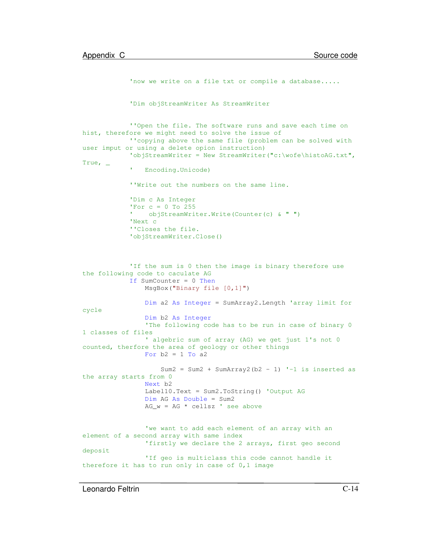```
'now we write on a file txt or compile a database.....
            'Dim objStreamWriter As StreamWriter
            ''Open the file. The software runs and save each time on
hist, therefore we might need to solve the issue of
            ''copying above the same file (problem can be solved with
user imput or using a delete opion instruction)
            'objStreamWriter = New StreamWriter("c:\wofe\histoAG.txt",
True, _
             ' Encoding.Unicode)
            ''Write out the numbers on the same line.
            'Dim c As Integer
            'For c = 0 To 255
            \mathbf{U}^{(n)} objStreamWriter.Write(Counter(c) & " ")
            'Next c
            ''Closes the file.
            'objStreamWriter.Close()
            'If the sum is 0 then the image is binary therefore use
the following code to caculate AG
            If SumCounter = 0 Then
                MsgBox("Binary file [0,1]")
                Dim a2 As Integer = SumArray2.Length 'array limit for
cycle
                Dim b2 As Integer
                'The following code has to be run in case of binary 0
1 classes of files
                 ' algebric sum of array (AG) we get just 1's not 0
counted, therfore the area of geology or other things
                For b2 = 1 To a2
                    Sum2 = Sum2 + SumArray2(b2 - 1) '-1 is inserted as
the array starts from 0
                Next b2
                Label10.Text = Sum2.ToString() 'Output AG
                Dim AG As Double = Sum2
                AG w = AG * cellsz ' see above
                'we want to add each element of an array with an
element of a second array with same index
                'firstly we declare the 2 arrays, first geo second
deposit
                'If geo is multiclass this code cannot handle it
therefore it has to run only in case of 0,1 image
```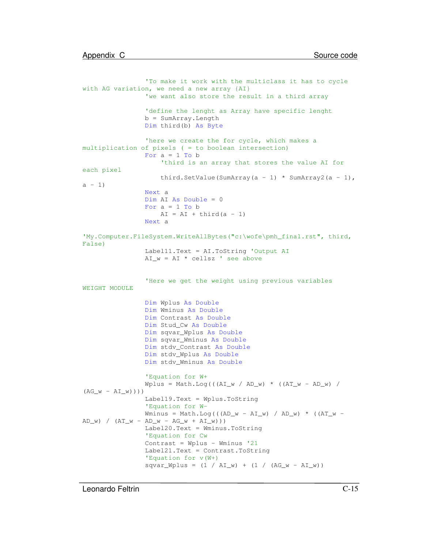```
'To make it work with the multiclass it has to cycle
with AG variation, we need a new array {AI}
                'we want also store the result in a third array
                'define the lenght as Array have specific lenght
               b = SumArray.Length
               Dim third(b) As Byte
                'here we create the for cycle, which makes a
multiplication of pixels ( = to boolean intersection)
               For a = 1 To b'third is an array that stores the value AI for
each pixel
                    third.SetValue(SumArray(a - 1) * SumArray2(a - 1),
a - 1Next a
               Dim AI As Double = 0
               For a = 1 To bAI = AI + third(a - 1)Next a
'My.Computer.FileSystem.WriteAllBytes("c:\wofe\pmh_final.rst", third,
False)
               Label11.Text = AI.ToString 'Output AI
               AI_w = AI * cellsz ' see above'Here we get the weight using previous variables
WEIGHT MODULE
               Dim Wplus As Double
               Dim Wminus As Double
               Dim Contrast As Double
               Dim Stud_Cw As Double
               Dim sqvar_Wplus As Double
               Dim sqvar_Wminus As Double
               Dim stdv_Contrast As Double
               Dim stdv_Wplus As Double
               Dim stdv_Wminus As Double
                'Equation for W+
               Wplus = Math.Log((AL_w / AD_w) * ((AT_w - AD_w) /(AG_w - AI_w)))Label19.Text = Wplus.ToString
                'Equation for W-
               Wminus = Math.Log(((AD w - AI w) / AD w) * ((AT w -
AD_w) / (AT_w - AD_w - AG_w + AI_w))Label20.Text = Wminus.ToString
                'Equation for Cw
               Contrast = Wplus - Wminus '21
               Label21.Text = Contrast.ToString
                'Equation for v(W+)
                squar_W plus = (1 / AI_w) + (1 / (AG_w - AI_w))
```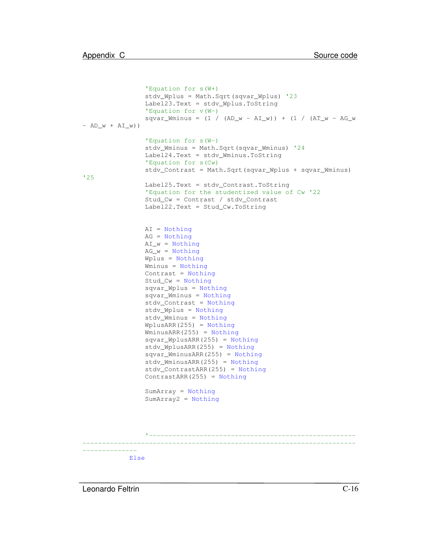```
'Equation for s(W+)
                stdv_Wplus = Math.Sqrt(sqvar_Wplus) '23
                Label23.Text = stdv_Wplus.ToString
                'Equation for v(W-)
                squar_Wminus = (1 / (AD_w - AI_w)) + (1 / (AT_w - AG_w))- AD_w + AL_w))
                'Equation for s(W-)
                stdv_Wminus = Math.Sqrt(sqvar_Wminus) '24
                Label24.Text = stdv_Wminus.ToString
                'Equation for s(Cw)
                stdv_Contrast = Math.Sqrt(sqvar_Wplus + sqvar_Wminus)
'25
                Label25.Text = stdv_Contrast.ToString
                'Equation for the studentized value of Cw '22
                Stud_Cw = Contrast / stdv_Contrast
                Label22.Text = Stud_Cw.ToString
                AI = Nothing
                AG = Nothing
                AI_w = NotbingAG_w = NotbingWplus = Nothing
                Wminus = Nothing
                Contrast = Nothing
                Stud_Cw = Nothing
                sqvar_Wplus = Nothing
                sqvar_Wminus = Nothing
                stdv_Contrast = Nothing
                stdv_Wplus = Nothing
                stdv_Wminus = Nothing
                WplusARR(255) = Nothing
                WminusARR(255) = Nothing
                sqvar_WplusARR(255) = Nothing
                stdv_WplusARR(255) = Nothing
                sqvar_WminusARR(255) = Nothing
                stdv_WminusARR(255) = Nothing
                stdv_ContrastARR(255) = Nothing
                ContrastARR(255) = Nothing
                SumArray = Nothing
                SumArray2 = Nothing
                 '-----------------------------------------------------
                         ----------------------------------------------------------------------
--------------
            Else
```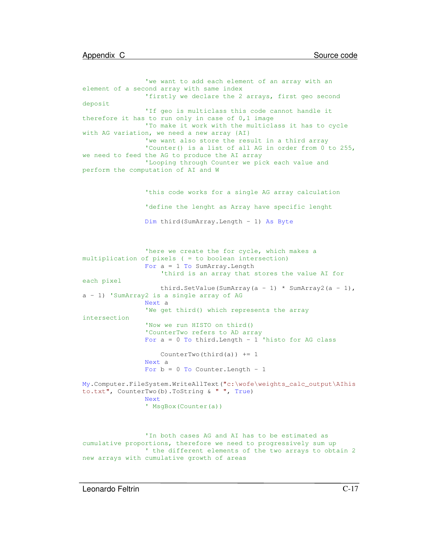```
'we want to add each element of an array with an
element of a second array with same index
                'firstly we declare the 2 arrays, first geo second
deposit
                'If geo is multiclass this code cannot handle it
therefore it has to run only in case of 0,1 image
                'To make it work with the multiclass it has to cycle
with AG variation, we need a new array {AI}
                'we want also store the result in a third array
                'Counter() is a list of all AG in order from 0 to 255,
we need to feed the AG to produce the AI array
                'Looping through Counter we pick each value and
perform the computation of AI and W
                'this code works for a single AG array calculation
                'define the lenght as Array have specific lenght
                Dim third(SumArray.Length - 1) As Byte
                'here we create the for cycle, which makes a
multiplication of pixels ( = to boolean intersection)
                For a = 1 To SumArray. Length
                    'third is an array that stores the value AI for
each pixel
                    third.SetValue(SumArray(a - 1) * SumArray2(a - 1),
a - 1) 'SumArray2 is a single array of AG
                Next a
                'We get third() which represents the array
intersection
                'Now we run HISTO on third()
                'CounterTwo refers to AD array
                For a = 0 To third. Length -1 'histo for AG class
                    CounterTwo(third(a)) += 1Next a
                For b = 0 To Counter. Length - 1
My.Computer.FileSystem.WriteAllText("c:\wofe\weights_calc_output\AIhis
to.txt", CounterTwo(b).ToString & " ", True)
                Next
                ' MsgBox(Counter(a))
                'In both cases AG and AI has to be estimated as
cumulative proportions, therefore we need to progressively sum up
                ' the different elements of the two arrays to obtain 2
new arrays with cumulative growth of areas
```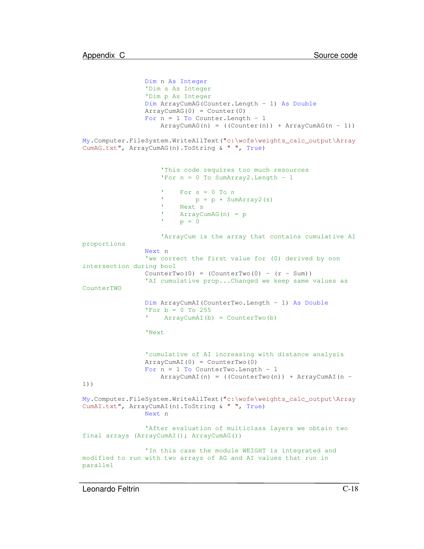```
Dim n As Integer
                'Dim s As Integer
                'Dim p As Integer
                Dim ArrayCumAG(Counter.Length - 1) As Double
                ArrayCumAG(0) = Counter(0)
                For n = 1 To Counter. Length - 1
                    ArrayCumAG(n) = ((Counter(n)) + ArrayCumAG(n - 1))My.Computer.FileSystem.WriteAllText("c:\wofe\weights_calc_output\Array
CumAG.txt", ArrayCumAG(n).ToString & " ", True)
                    'This code requires too much resources
                    'For n = 0 To SumArray2. Length - 1
                    'For s = 0 To np = p + SumArray2(s)' Next s
                    ' ArrayCumAG(n) = p
                    'p = 0'ArrayCum is the array that contains cumulative AI
proportions
                Next n
                'we correct the first value for (0) derived by non
intersection during bool
                CounterTwo(0) = (CounterTwo(0) - (r - Sum))'AI cumulative prop...Changed we keep same values as
CounterTWO
                Dim ArrayCumAI(CounterTwo.Length - 1) As Double
                'For b = 0 To 255 ArrayCumAI(b) = CounterTwo(b)
                'Next
                'cumulative of AI increasing with distance analysis
                ArrayCumAI(0) = CounterTwo(0)
                For n = 1 To CounterTwo. Length - 1
                    ArrayCumAI(n) = ((CounterTwo(n)) + ArrayCumAI(n -1))
My.Computer.FileSystem.WriteAllText("c:\wofe\weights_calc_output\Array
CumAI.txt", ArrayCumAI(n).ToString & " ", True)
                Next n
                'After evaluation of multiclass layers we obtain two
final arrays (ArrayCumAI(); ArrayCumAG())
                'In this case the module WEIGHT is integrated and
modified to run with two arrays of AG and AI values that run in
parallel
```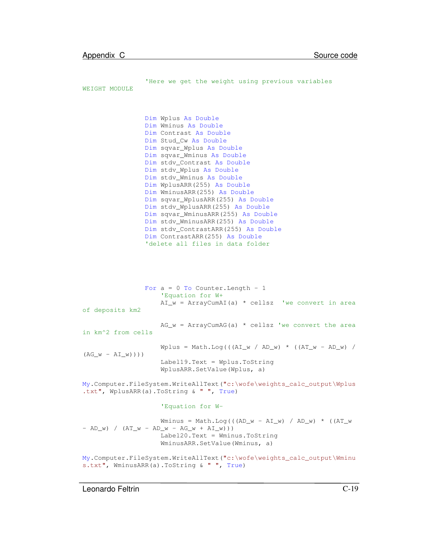```
'Here we get the weight using previous variables
WEIGHT MODULE
                Dim Wplus As Double
                Dim Wminus As Double
                Dim Contrast As Double
                Dim Stud_Cw As Double
                Dim sqvar_Wplus As Double
                Dim sqvar_Wminus As Double
                Dim stdv_Contrast As Double
                Dim stdv_Wplus As Double
                Dim stdv_Wminus As Double
                Dim WplusARR(255) As Double
                Dim WminusARR(255) As Double
                Dim sqvar_WplusARR(255) As Double
                Dim stdv_WplusARR(255) As Double
                Dim sqvar_WminusARR(255) As Double
                Dim stdv_WminusARR(255) As Double
                Dim stdv_ContrastARR(255) As Double
                Dim ContrastARR(255) As Double
                'delete all files in data folder
                For a = 0 To Counter. Length - 1
                    'Equation for W+
                    AI_w = ArrayCumAI(a) * cellsz 'we convert in area
of deposits km2
                    AG_w = ArrayCumAG(a) * cellsz 'we convert the area
in km^2 from cells
                    Wplus = Math.Log((AL_w / AD_w) * ((AT_w - AD_w) /(AG_w - AI_w)))
                    Label19.Text = Wplus.ToString
                    WplusARR.SetValue(Wplus, a)
My.Computer.FileSystem.WriteAllText("c:\wofe\weights_calc_output\Wplus
.txt", WplusARR(a).ToString & " ", True)
                    'Equation for W-
                    Wminus = Math.Log(((AD w - AI w) / AD w) * ((AT w
- AD_w) / (AT_w - AD_w - AG_w + AI_w))Label20.Text = Wminus.ToString
                    WminusARR.SetValue(Wminus, a)
My.Computer.FileSystem.WriteAllText("c:\wofe\weights_calc_output\Wminu
s.txt", WminusARR(a).ToString & " ", True)
```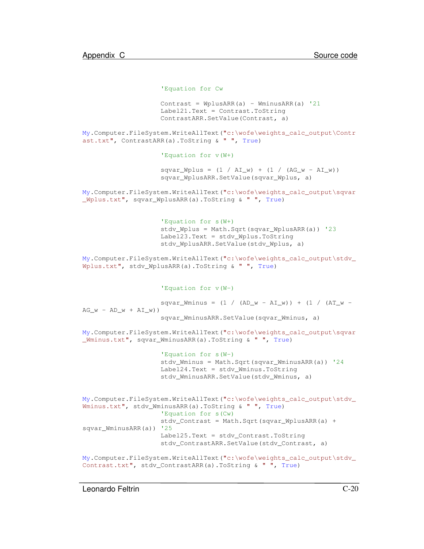```
'Equation for Cw
```

```
Contrast = WplusARR(a) - WminusARR(a) '21
Label21.Text = Contrast.ToString
ContrastARR.SetValue(Contrast, a)
```
My.Computer.FileSystem.WriteAllText("c:\wofe\weights\_calc\_output\Contr ast.txt", ContrastARR(a).ToString & " ", True)

'Equation for v(W+)

 $squar_W plus = (1 / AI_w) + (1 / (AG_w - AI_w))$ sqvar\_WplusARR.SetValue(sqvar\_Wplus, a)

My.Computer.FileSystem.WriteAllText("c:\wofe\weights\_calc\_output\sqvar \_Wplus.txt", sqvar\_WplusARR(a).ToString & " ", True)

```
'Equation for s(W+)
stdv_Wplus = Math.Sqrt(sqvar_WplusARR(a)) '23
Label23.Text = stdv_Wplus.ToString
stdv_WplusARR.SetValue(stdv_Wplus, a)
```
My.Computer.FileSystem.WriteAllText("c:\wofe\weights\_calc\_output\stdv\_ Wplus.txt", stdv\_WplusARR(a).ToString & " ", True)

'Equation for v(W-)

```
squar_Wminus = (1 / (AD_w - AI_w)) + (1 / (AT_w -AG_w - AD_w + AI_w)sqvar_WminusARR.SetValue(sqvar_Wminus, a)
```
My.Computer.FileSystem.WriteAllText("c:\wofe\weights\_calc\_output\sqvar \_Wminus.txt", sqvar\_WminusARR(a).ToString & " ", True)

```
'Equation for s(W-)
stdv_Wminus = Math.Sqrt(sqvar_WminusARR(a)) '24
Label24.Text = stdv_Wminus.ToString
stdv_WminusARR.SetValue(stdv_Wminus, a)
```

```
My.Computer.FileSystem.WriteAllText("c:\wofe\weights_calc_output\stdv_
Wminus.txt", stdv_WminusARR(a).ToString & " ", True)
                    'Equation for s(Cw)
                    stdy Contrast = Math.Sqrt(sqvar WplusARR(a) +
sqvar_WminusARR(a)) '25
                    Label25.Text = stdv_Contrast.ToString
                    stdv_ContrastARR.SetValue(stdv_Contrast, a)
```

```
My.Computer.FileSystem.WriteAllText("c:\wofe\weights_calc_output\stdv_
Contrast.txt", stdv_ContrastARR(a).ToString & " ", True)
```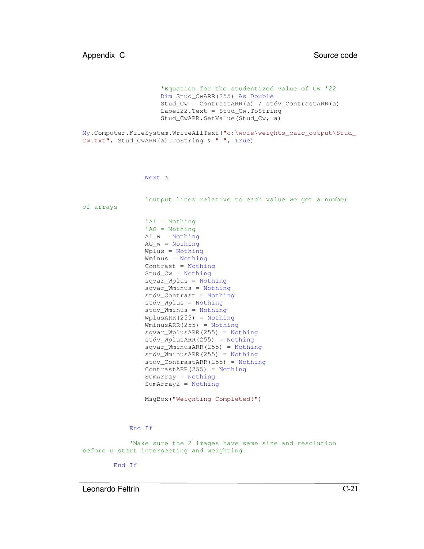```
'Equation for the studentized value of Cw '22
                    Dim Stud_CwARR(255) As Double
                    Stud_Cw = ContrastARR(a) / stdv_ContrastARR(a)
                    Label22.Text = Stud_Cw.ToString
                    Stud_CwARR.SetValue(Stud_Cw, a)
My.Computer.FileSystem.WriteAllText("c:\wofe\weights_calc_output\Stud_
Cw.txt", Stud_CwARR(a).ToString & " ", True)
                Next a
                'output lines relative to each value we get a number
of arrays
                'AI = Nothing
                'AG = Nothing
                AI_w = Nothing
                AG_w = NotbingWplus = Nothing
                Wminus = Nothing
                Contrast = Nothing
                Stud_Cw = Nothing
                sqvar_Wplus = Nothing
                sqvar_Wminus = Nothing
                stdv_Contrast = Nothing
                stdv_Wplus = Nothing
                stdv_Wminus = Nothing
                WplusARR(255) = Nothing
                WminusARR(255) = Nothing
                sqvar_WplusARR(255) = Nothing
                stdv_WplusARR(255) = Nothing
                sqvar_WminusARR(255) = Nothing
                stdv_WminusARR(255) = Nothing
                stdv_ContrastARR(255) = Nothing
                ContrastARR(255) = Nothing
                SumArray = Nothing
                SumArray2 = Nothing
```
MsgBox("Weighting Completed!")

End If

'Make sure the 2 images have same size and resolution before u start intersecting and weighting

End If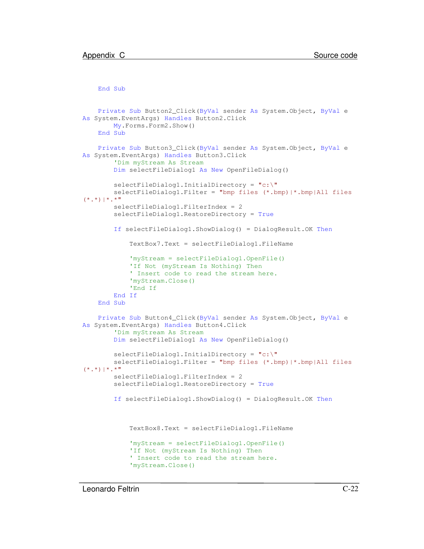End Sub

```
Private Sub Button2_Click(ByVal sender As System.Object, ByVal e
As System.EventArgs) Handles Button2.Click
       My.Forms.Form2.Show()
   End Sub
   Private Sub Button3_Click(ByVal sender As System.Object, ByVal e
As System.EventArgs) Handles Button3.Click
        'Dim myStream As Stream
        Dim selectFileDialog1 As New OpenFileDialog()
        selectFileDialog1.InitialDirectory = "c:\PsiselectFileDialog1.Filter = "bmp files (*.bmp)|*.bmp|All files
(*,*)|*,**"selectFileDialog1.FilterIndex = 2
        selectFileDialog1.RestoreDirectory = True
        If selectFileDialog1.ShowDialog() = DialogResult.OK Then
            TextBox7.Text = selectFileDialog1.FileName
            'myStream = selectFileDialog1.OpenFile()
            'If Not (myStream Is Nothing) Then
            ' Insert code to read the stream here.
            'myStream.Close()
            'End If
        End If
    End Sub
   Private Sub Button4_Click(ByVal sender As System.Object, ByVal e
As System.EventArgs) Handles Button4.Click
        'Dim myStream As Stream
        Dim selectFileDialog1 As New OpenFileDialog()
        selectFileDialog1.InitialDirectory = "c:\"
        selectFileDialog1.Filter = "bmp files (*.bmp)|*.bmp|All files
(*.*) | * . * "
        selectFileDialog1.FilterIndex = 2
        selectFileDialog1.RestoreDirectory = True
        If selectFileDialog1.ShowDialog() = DialogResult.OK Then
            TextBox8.Text = selectFileDialog1.FileName
            'myStream = selectFileDialog1.OpenFile()
            'If Not (myStream Is Nothing) Then
            ' Insert code to read the stream here.
            'myStream.Close()
```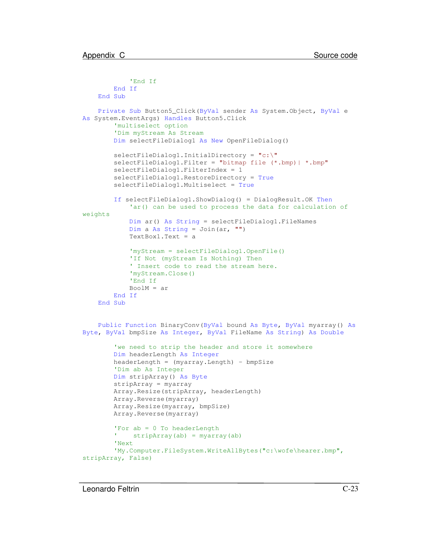```
'End If
       End If
    End Sub
    Private Sub Button5_Click(ByVal sender As System.Object, ByVal e
As System.EventArgs) Handles Button5.Click
        'multiselect option
        'Dim myStream As Stream
       Dim selectFileDialog1 As New OpenFileDialog()
       selectFileDialog1.InitialDirectory = "c:\"
       selectFileDialog1.Filter = "bitmap file (*.bmp)| *.bmp"
       selectFileDialog1.FilterIndex = 1
       selectFileDialog1.RestoreDirectory = True
       selectFileDialog1.Multiselect = True
       If selectFileDialog1.ShowDialog() = DialogResult.OK Then
            'ar() can be used to process the data for calculation of
weights
            Dim ar() As String = selectFileDialog1.FileNames
            Dim a As String = Join(ar, ''')
            TextBox1.Text = a
            'myStream = selectFileDialog1.OpenFile()
            'If Not (myStream Is Nothing) Then
            ' Insert code to read the stream here.
            'myStream.Close()
            'End If
            BoolM = arEnd If
    End Sub
    Public Function BinaryConv(ByVal bound As Byte, ByVal myarray() As
Byte, ByVal bmpSize As Integer, ByVal FileName As String) As Double
        'we need to strip the header and store it somewhere
       Dim headerLength As Integer
       headerLength = (myarray.Length) - bmpSize
        'Dim ab As Integer
       Dim stripArray() As Byte
       stripArray = myarray
       Array.Resize(stripArray, headerLength)
       Array.Reverse(myarray)
       Array.Resize(myarray, bmpSize)
       Array.Reverse(myarray)
        'For ab = 0 To headerLength
        T = 1
            stripArray(ab) = myarray(ab)'Next
        'My.Computer.FileSystem.WriteAllBytes("c:\wofe\hearer.bmp",
stripArray, False)
```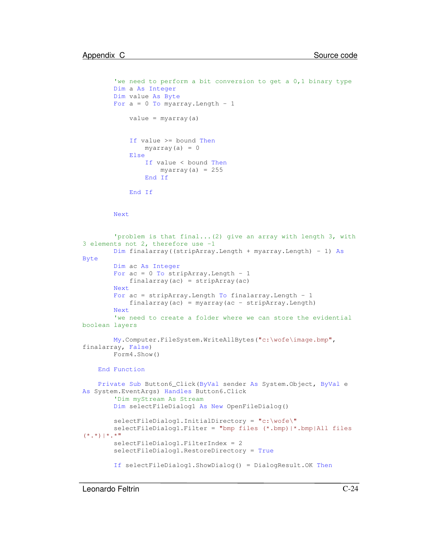```
'we need to perform a bit conversion to get a 0,1 binary type
        Dim a As Integer
        Dim value As Byte
        For a = 0 To myarray. Length - 1
            value = myarray(a)
            If value >= bound Then
                myarray(a) = 0Else
                If value < bound Then
                    myarray(a) = 255End If
            End If
        Next
        'problem is that final...(2) give an array with length 3, with
3 elements not 2, therefore use -1
        Dim finalarray((stripArray.Length + myarray.Length) - 1) As
Byte
        Dim ac As Integer
        For ac = 0 To stripArray. Length - 1
            finalarray(ac) = stripArray(ac)
        Next
        For ac = stripArray. Length To finalarray. Length - 1finalarray(ac) = myarray(ac - stripArray.Length)
        Next
        'we need to create a folder where we can store the evidential
boolean layers
        My.Computer.FileSystem.WriteAllBytes("c:\wofe\image.bmp",
finalarray, False)
        Form4.Show()
    End Function
   Private Sub Button6_Click(ByVal sender As System.Object, ByVal e
As System.EventArgs) Handles Button6.Click
        'Dim myStream As Stream
        Dim selectFileDialog1 As New OpenFileDialog()
        selectFileDialog1.InitialDirectory = "c:\wofe\"
        selectFileDialog1.Filter = "bmp files (*.bmp)|*.bmp|All files
(*.*) | * . * "
        selectFileDialog1.FilterIndex = 2
        selectFileDialog1.RestoreDirectory = True
        If selectFileDialog1.ShowDialog() = DialogResult.OK Then
```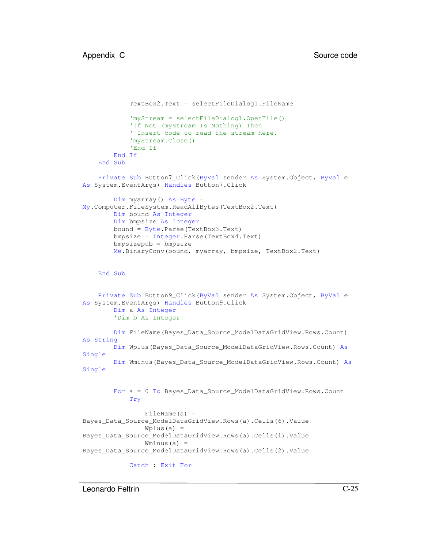```
TextBox2.Text = selectFileDialog1.FileName
            'myStream = selectFileDialog1.OpenFile()
            'If Not (myStream Is Nothing) Then
            ' Insert code to read the stream here.
            'myStream.Close()
            'End If
       End If
    End Sub
   Private Sub Button7_Click(ByVal sender As System.Object, ByVal e
As System.EventArgs) Handles Button7.Click
       Dim myarray() As Byte =
My.Computer.FileSystem.ReadAllBytes(TextBox2.Text)
       Dim bound As Integer
       Dim bmpsize As Integer
       bound = Byte.Parse(TextBox3.Text)
       bmpsize = Integer.Parse(TextBox4.Text)
       bmpsizepub = bmpsize
       Me.BinaryConv(bound, myarray, bmpsize, TextBox2.Text)
    End Sub
   Private Sub Button9_Click(ByVal sender As System.Object, ByVal e
As System.EventArgs) Handles Button9.Click
       Dim a As Integer
        'Dim b As Integer
       Dim FileName(Bayes_Data_Source_ModelDataGridView.Rows.Count)
As String
       Dim Wplus(Bayes_Data_Source_ModelDataGridView.Rows.Count) As
Single
       Dim Wminus(Bayes_Data_Source_ModelDataGridView.Rows.Count) As
Single
       For a = 0 To Bayes_Data_Source_ModelDataGridView.Rows.Count
            Try
                FileName(a) =
Bayes_Data_Source_ModelDataGridView.Rows(a).Cells(6).Value
                Wplus(a) =Bayes_Data_Source_ModelDataGridView.Rows(a).Cells(1).Value
                Wminus(a) =Bayes_Data_Source_ModelDataGridView.Rows(a).Cells(2).Value
            Catch : Exit For
```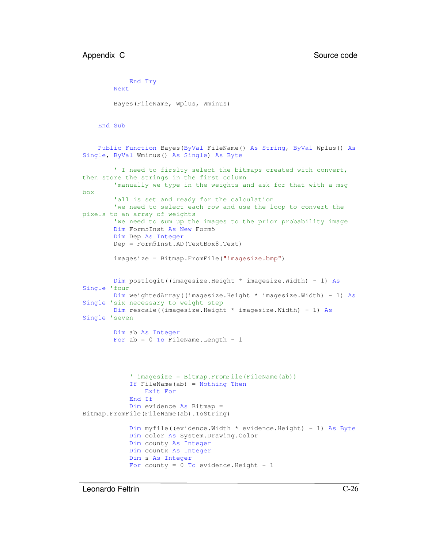```
End Try
       Next
       Bayes(FileName, Wplus, Wminus)
    End Sub
    Public Function Bayes(ByVal FileName() As String, ByVal Wplus() As
Single, ByVal Wminus() As Single) As Byte
        ' I need to firslty select the bitmaps created with convert,
then store the strings in the first column
        'manually we type in the weights and ask for that with a msg
box
        'all is set and ready for the calculation
        'we need to select each row and use the loop to convert the
pixels to an array of weights
        'we need to sum up the images to the prior probability image
       Dim Form5Inst As New Form5
       Dim Dep As Integer
       Dep = Form5Inst.AD(TextBox8.Text)
       imagesize = Bitmap.FromFile("imagesize.bmp")
       Dim postlogit((imagesize.Height * imagesize.Width) - 1) As
Single 'four
       Dim weightedArray((imagesize.Height * imagesize.Width) - 1) As
Single 'six necessary to weight step
       Dim rescale((imagesize.Height * imagesize.Width) - 1) As
Single 'seven
       Dim ab As Integer
       For ab = 0 To FileName. Length - 1
            ' imagesize = Bitmap.FromFile(FileName(ab))
            If FileName(ab) = Nothing Then
                Exit For
            End If
            Dim evidence As Bitmap =
Bitmap.FromFile(FileName(ab).ToString)
            Dim myfile((evidence.Width * evidence.Height) - 1) As Byte
            Dim color As System.Drawing.Color
            Dim county As Integer
            Dim countx As Integer
            Dim s As Integer
            For county = 0 To evidence. Height - 1
```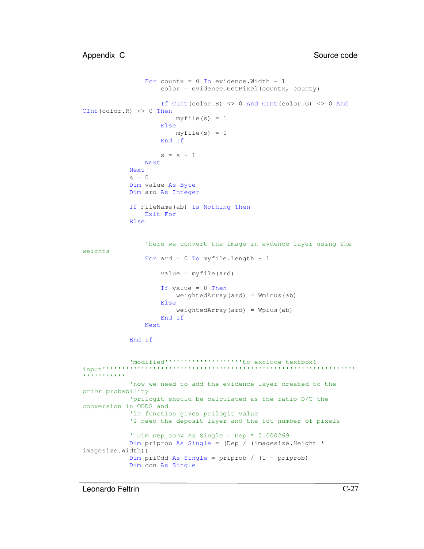```
For countx = 0 To evidence. Width - 1
                    color = evidence.GetPixel(countx, county)
                   If CInt(color.B) <> 0 And CInt(color.G) <> 0 And
CInt(color.R) <> 0 Then
                        myfile(s) = 1Else
                       myfile(s) = 0End If
                    s = s + 1Next
            Next
            s = 0Dim value As Byte
            Dim ard As Integer
            If FileName(ab) Is Nothing Then
                Exit For
            Else
                'here we convert the image in evdence layer using the
weights
                For ard = 0 To myfile. Length - 1
                    value = myfile(ard)
                    If value = 0 Then
                        weightedArray(ard) = Wminus(ab)
                    Else
                        weightedArray(ard) = Why(ab)End If
                Next
            End If
            'modified''''''''''''''''''''to exclude textbox6
input'''''''''''''''''''''''''''''''''''''''''''''''''''''''''''''''''
''''''''''''now we need to add the evidence layer created to the
prior probability
            'prilogit should be calculated as the ratio D/T the
conversion in ODDS and
            'ln function gives prilogit value
            'I need the deposit layer and the tot number of pixels
            ' Dim Dep_conv As Single = Dep * 0.000269
            Dim priprob As Single = (Dep / (imagesize.Height *
imagesize.Width))
            Dim priOdd As Single = priprob / (1 - priprob)
            Dim con As Single
```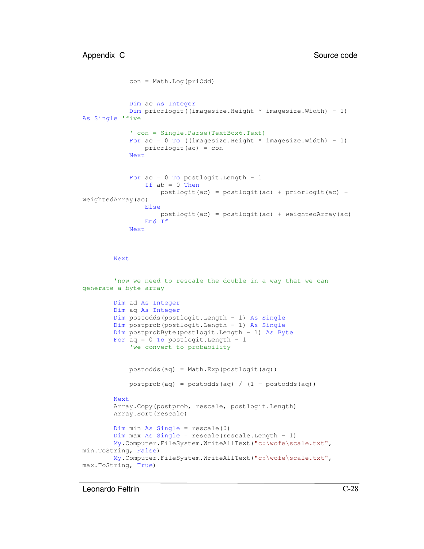```
con = Math.Log(priOdd)
            Dim ac As Integer
            Dim priorlogit((imagesize.Height * imagesize.Width) - 1)
As Single 'five
            ' con = Single.Parse(TextBox6.Text)
            For ac = 0 To ((imagesize.Height * imagesize.Width) - 1)
                priorlogit(ac) = con
            Next
            For ac = 0 To postlogit. Length - 1
                If ab = 0 Then
                    postlogit(ac) = postlogit(ac) + priorlogit(ac) +
weightedArray(ac)
                Else
                    postlogit(ac) = postlogit(ac) + weightedArray(ac)
                End If
            Next
```
Next

```
'now we need to rescale the double in a way that we can
generate a byte array
       Dim ad As Integer
       Dim aq As Integer
       Dim postodds(postlogit.Length - 1) As Single
       Dim postprob(postlogit.Length - 1) As Single
       Dim postprobByte(postlogit.Length - 1) As Byte
       For aq = 0 To postlogit. Length -1'we convert to probability
            postodds(aq) = Math.Exp(postlogit(aq))
            postprob(aq) = postodds(aq) / (1 + postodds(aq))
       Next
       Array.Copy(postprob, rescale, postlogit.Length)
       Array.Sort(rescale)
       Dim min As Single = rescale(0)
       Dim max As Single = rescale(rescale.Length - 1)
       My.Computer.FileSystem.WriteAllText("c:\wofe\scale.txt",
min.ToString, False)
       My.Computer.FileSystem.WriteAllText("c:\wofe\scale.txt",
max.ToString, True)
```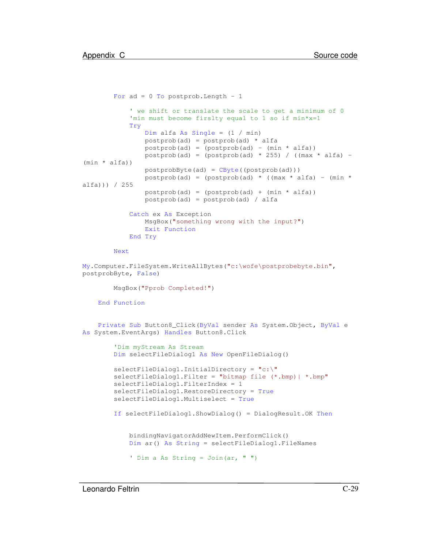```
For ad = 0 To postprob. Length - 1
            ' we shift or translate the scale to get a minimum of 0
            'min must become firslty equal to 1 so if min*x=1
            Try
                Dim alfa As Single = (1 / min)
                postprob(ad) = postprob(ad) * alfa
                postprob(ad) = (postprob(ad) - (min * alfa))postprob(ad) = (postprob(ad) * 255) / ((max * alfa) -(min * alfa))
                postprobByte(ad) = CByte((postprob(ad)))
                postprob(ad) = (postprob(ad) * (max * alfa) - (min *alfa))) / 255
                postprob(ad) = (postprob(ad) + (min * alfa))postprob(ad) = postprob(ad) / alfa
            Catch ex As Exception
                MsgBox("something wrong with the input?")
                Exit Function
            End Try
       Next
My.Computer.FileSystem.WriteAllBytes("c:\wofe\postprobebyte.bin",
postprobByte, False)
       MsgBox("Pprob Completed!")
    End Function
   Private Sub Button8_Click(ByVal sender As System.Object, ByVal e
As System.EventArgs) Handles Button8.Click
        'Dim myStream As Stream
       Dim selectFileDialog1 As New OpenFileDialog()
       selectFileDialog1.InitialDirectory = "c:\"
       selectFileDialog1.Filter = "bitmap file (*.bmp) | *.bmp"
       selectFileDialog1.FilterIndex = 1
        selectFileDialog1.RestoreDirectory = True
       selectFileDialog1.Multiselect = True
       If selectFileDialog1.ShowDialog() = DialogResult.OK Then
            bindingNavigatorAddNewItem.PerformClick()
            Dim ar() As String = selectFileDialog1.FileNames
            ' Dim a As String = Join(ar, " ")
```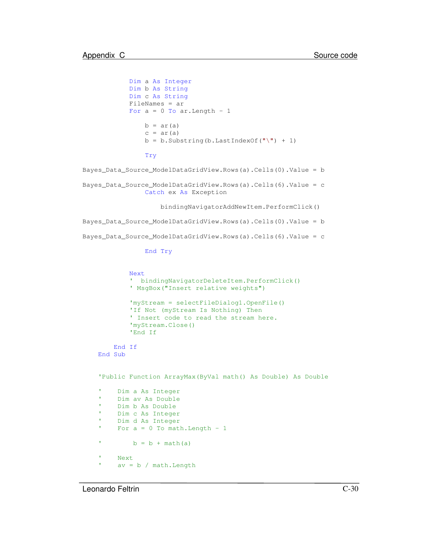Dim a As Integer Dim b As String

```
Dim c As String
            FileNames = ar
            For a = 0 To ar. Length - 1
                b = ar(a)c = ar(a)b = b. Substring (b. LastIndexOf("\") + 1)
                Try
Bayes_Data_Source_ModelDataGridView.Rows(a).Cells(0).Value = b
Bayes_Data_Source_ModelDataGridView.Rows(a).Cells(6).Value = c
                Catch ex As Exception
                    bindingNavigatorAddNewItem.PerformClick()
Bayes_Data_Source_ModelDataGridView.Rows(a).Cells(0).Value = b
Bayes_Data_Source_ModelDataGridView.Rows(a).Cells(6).Value = c
                End Try
            Next
             ' bindingNavigatorDeleteItem.PerformClick()
             ' MsgBox("Insert relative weights")
            'myStream = selectFileDialog1.OpenFile()
            'If Not (myStream Is Nothing) Then
             ' Insert code to read the stream here.
            'myStream.Close()
            'End If
        End If
    End Sub
    'Public Function ArrayMax(ByVal math() As Double) As Double
          Dim a As Integer
          Dim av As Double
          Dim b As Double
          Dim c As Integer
    ' Dim d As Integer
    'For a = 0 To math. Length - 1
    'b = b + \text{math}(a)
    ' Next
          av = b / math.Length
```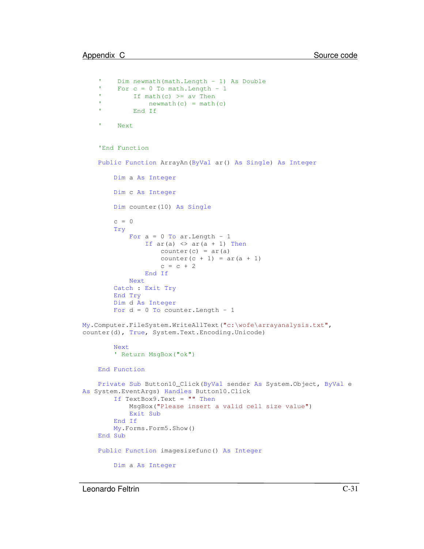```
' Dim newmath(math.Length - 1) As Double
    'For c = 0 To math. Length - 1
    'If math(c) \geq av Then
    'newmath(c) = math(c)' End If
    ' Next
    'End Function
    Public Function ArrayAn(ByVal ar() As Single) As Integer
        Dim a As Integer
        Dim c As Integer
        Dim counter(10) As Single
        c = 0Try
            For a = 0 To ar.Length - 1If ar(a) \Leftrightarrow ar(a + 1) Then
                    counter(c) = ar(a)counter(c + 1) = ar(a + 1)c = c + 2End If
            Next
        Catch : Exit Try
        End Try
        Dim d As Integer
        For d = 0 To counter. Length - 1
My.Computer.FileSystem.WriteAllText("c:\wofe\arrayanalysis.txt",
counter(d), True, System.Text.Encoding.Unicode)
        Next
        ' Return MsgBox("ok")
    End Function
   Private Sub Button10_Click(ByVal sender As System.Object, ByVal e
As System.EventArgs) Handles Button10.Click
        If TextBox9.Text = "" ThenMsgBox("Please insert a valid cell size value")
            Exit Sub
        End If
        My.Forms.Form5.Show()
    End Sub
    Public Function imagesizefunc() As Integer
        Dim a As Integer
```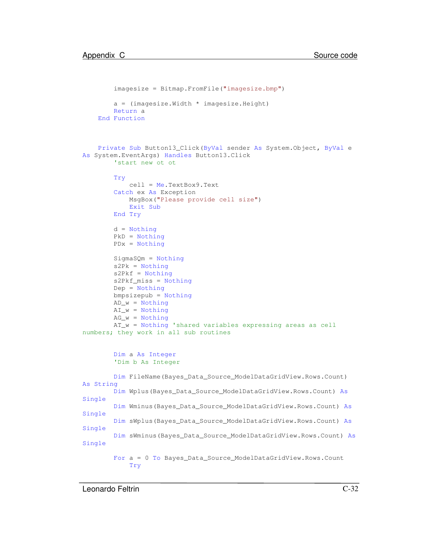```
imagesize = Bitmap.FromFile("imagesize.bmp")
       a = (imagesize.Width * imagesize.Height)
       Return a
    End Function
   Private Sub Button13_Click(ByVal sender As System.Object, ByVal e
As System.EventArgs) Handles Button13.Click
        'start new ot ot
       Try
           cell = Me.TextBox9.Text
        Catch ex As Exception
           MsgBox("Please provide cell size")
           Exit Sub
       End Try
       d = Nothing
       PkD = Nothing
       PDx = Nothing
       SigmaSQm = Nothing
       s2Pk = Notthings2Pkf = Nothing
       s2Pkf_miss = Nothing
       Dep = Nothing
       bmpsizepub = Nothing
       AD w = NotbingAI_w = NotbingAG_w = NotbingAT_w = Nothing 'shared variables expressing areas as cell
numbers; they work in all sub routines
       Dim a As Integer
        'Dim b As Integer
       Dim FileName(Bayes_Data_Source_ModelDataGridView.Rows.Count)
As String
       Dim Wplus(Bayes_Data_Source_ModelDataGridView.Rows.Count) As
Single
       Dim Wminus(Bayes_Data_Source_ModelDataGridView.Rows.Count) As
Single
       Dim sWplus(Bayes_Data_Source_ModelDataGridView.Rows.Count) As
Single
       Dim sWminus(Bayes_Data_Source_ModelDataGridView.Rows.Count) As
Single
       For a = 0 To Bayes_Data_Source_ModelDataGridView.Rows.Count
            Try
```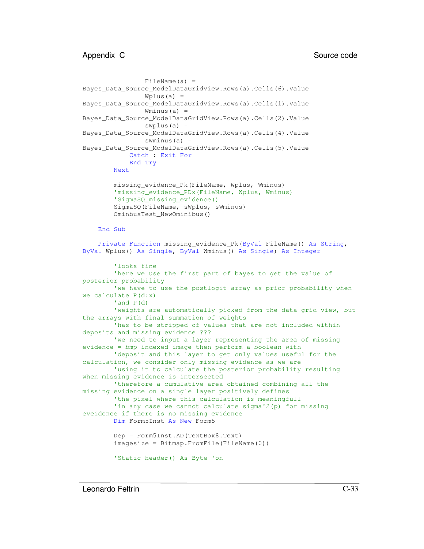```
FileName(a) =
Bayes_Data_Source_ModelDataGridView.Rows(a).Cells(6).Value
                Wplus(a) =Bayes_Data_Source_ModelDataGridView.Rows(a).Cells(1).Value
                Wminus(a) =Bayes_Data_Source_ModelDataGridView.Rows(a).Cells(2).Value
                sWplus(a) =
Bayes_Data_Source_ModelDataGridView.Rows(a).Cells(4).Value
                sWminus(a) =
Bayes_Data_Source_ModelDataGridView.Rows(a).Cells(5).Value
            Catch : Exit For
            End Try
       Next
       missing_evidence_Pk(FileName, Wplus, Wminus)
        'missing evidence PDx(FileName, Wplus, Wminus)
        'SigmaSQ_missing_evidence()
        SigmaSQ(FileName, sWplus, sWminus)
       OminbusTest_NewOminibus()
   End Sub
   Private Function missing_evidence_Pk(ByVal FileName() As String,
ByVal Wplus() As Single, ByVal Wminus() As Single) As Integer
        'looks fine
        'here we use the first part of bayes to get the value of
posterior probability
        'we have to use the postlogit array as prior probability when
we calculate P(d:x)
        'and P(d)
        'weights are automatically picked from the data grid view, but
the arrays with final summation of weights
        'has to be stripped of values that are not included within
deposits and missing evidence ???
        'we need to input a layer representing the area of missing
evidence = bmp indexed image then perform a boolean with
       'deposit and this layer to get only values useful for the
calculation, we consider only missing evidence as we are
        'using it to calculate the posterior probability resulting
when missing evidence is intersected
        'therefore a cumulative area obtained combining all the
missing evidence on a single layer positively defines
        'the pixel where this calculation is meaningfull
        'in any case we cannot calculate sigma^2(p) for missing
eveidence if there is no missing evidence
       Dim Form5Inst As New Form5
       Dep = Form5Inst.AD(TextBox8.Text)
        imagesize = Bitmap.FromFile(FileName(0))
        'Static header() As Byte 'on
```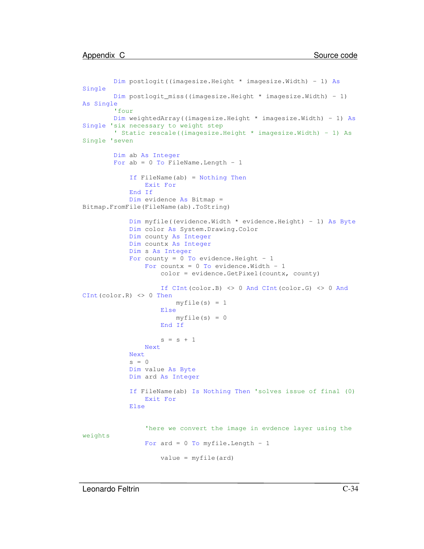```
Dim postlogit((imagesize.Height * imagesize.Width) - 1) As
Single
        Dim postlogit_miss((imagesize.Height * imagesize.Width) - 1)
As Single
        'four
        Dim weightedArray((imagesize.Height * imagesize.Width) - 1) As
Single 'six necessary to weight step
        ' Static rescale((imagesize.Height * imagesize.Width) - 1) As
Single 'seven
        Dim ab As Integer
        For ab = 0 To FileName. Length - 1
            If FileName(ab) = Nothing Then
                Exit For
            End If
            Dim evidence As Bitmap =
Bitmap.FromFile(FileName(ab).ToString)
            Dim myfile((evidence.Width * evidence.Height) - 1) As Byte
            Dim color As System.Drawing.Color
            Dim county As Integer
            Dim countx As Integer
            Dim s As Integer
            For county = 0 To evidence. Height - 1
                For countx = 0 To evidence. Width - 1
                    color = evidence.GetPixel(countx, county)
                    If CInt(color.B) <> 0 And CInt(color.G) <> 0 And
CInt(color.R) <> 0 Then
                        myfile(s) = 1Else
                        myfile(s) = 0End If
                    s = s + 1Next
            Next
            s = 0Dim value As Byte
            Dim ard As Integer
            If FileName(ab) Is Nothing Then 'solves issue of final (0)
                Exit For
            Else
                'here we convert the image in evdence layer using the
weights
                For ard = 0 To myfile. Length - 1
                    value = myfile(ard)
```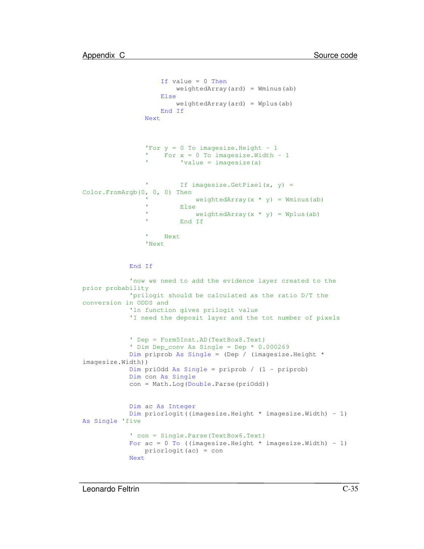```
If value = 0 Then
                        weightedArray(ard) = Wminus(ab)
                    Else
                       weightedArray(ard) = Wplus(ab)
                    End If
                Next
                'For y = 0 To imagesize. Height - 1
                ' For x = 0 To imagesize.Width - 1
                         'value = imagesize(a)
                'If imagesize.GetPixel(x, y) =Color.FromArgb(0, 0, 0) Then
                            weightedArray(x * y) = Wminus(ab)
                ' Else
                            weightedArray(x * y) = Wplus(ab)
                ' End If
                T
                    Next
                'Next
            End If
            'now we need to add the evidence layer created to the
prior probability
            'prilogit should be calculated as the ratio D/T the
conversion in ODDS and
            'ln function gives prilogit value
            'I need the deposit layer and the tot number of pixels
            ' Dep = Form5Inst.AD(TextBox8.Text)
            ' Dim Dep_conv As Single = Dep * 0.000269
            Dim priprob As Single = (Dep / (imagesize.Height *
imagesize.Width))
            Dim priOdd As Single = priprob / (1 - priprob)
            Dim con As Single
            con = Math.Log(Double.Parse(priOdd))
            Dim ac As Integer
            Dim priorlogit((imagesize.Height * imagesize.Width) - 1)
As Single 'five
            ' con = Single.Parse(TextBox6.Text)
            For ac = 0 To ((imagesize.Height * imagesize.Width) - 1)
               priorlogit(ac) = con
            Next
```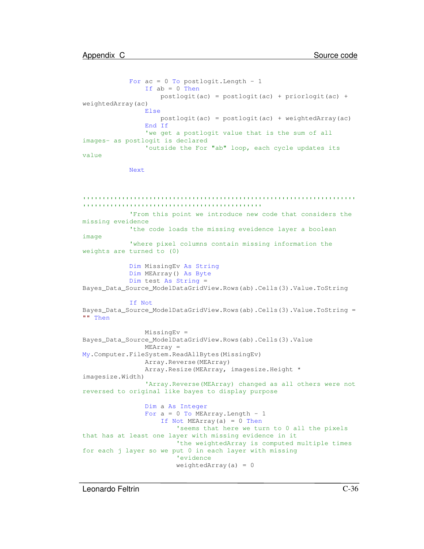```
For ac = 0 To postlogit. Length - 1
                If ab = 0 Then
                   postlogit(ac) = postlogit(ac) + priorlogit(ac) +
weightedArray(ac)
                Else
                    postlogit(ac) = postlogit(ac) + weightedArray(ac)
                End If
                'we get a postlogit value that is the sum of all
images- as postlogit is declared
                'outside the For "ab" loop, each cycle updates its
value
```
Next

```
'''''''''''''''''''''''''''''''''''''''''''''''''''''''''''''''''''''''''''''''''''''''''''''''''''''''''''''''''''''From this point we introduce new code that considers the
missing eveidence
            'the code loads the missing eveidence layer a boolean
image
            'where pixel columns contain missing information the
weights are turned to (0)
            Dim MissingEv As String
            Dim MEArray() As Byte
            Dim test As String =
Bayes_Data_Source_ModelDataGridView.Rows(ab).Cells(3).Value.ToString
            If Not
Bayes_Data_Source_ModelDataGridView.Rows(ab).Cells(3).Value.ToString =
"" Then
                MissingEv =
Bayes_Data_Source_ModelDataGridView.Rows(ab).Cells(3).Value
                MEArray =
My.Computer.FileSystem.ReadAllBytes(MissingEv)
                Array.Reverse(MEArray)
                Array.Resize(MEArray, imagesize.Height *
imagesize.Width)
                'Array.Reverse(MEArray) changed as all others were not
reversed to original like bayes to display purpose
                Dim a As Integer
                For a = 0 To MEArray. Length - 1
                    If Not MEArray(a) = 0 Then
                        'seems that here we turn to 0 all the pixels
that has at least one layer with missing evidence in it
                        'the weightedArray is computed multiple times
for each j layer so we put 0 in each layer with missing
                        'evidence
                        weightedArray(a) = 0
```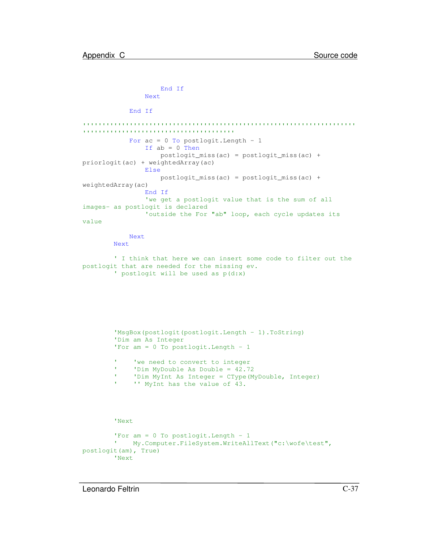```
End If
                Next
            End If
'''''''''''''''''''''''''''''''''''''''''''''''''''''''''''''''''''''''''''''''''''''''''''''''''''''''''''''For ac = 0 To postlogit. Length - 1
                If ab = 0 Then
                    postlogit_miss(ac) = postlogit_miss(ac) +
priorlogit(ac) + weightedArray(ac)
                Else
                    postlogit_miss(ac) = postlogit_miss(ac) +
weightedArray(ac)
                End If
                'we get a postlogit value that is the sum of all
images- as postlogit is declared
                'outside the For "ab" loop, each cycle updates its
value
            Next
        Next
        ' I think that here we can insert some code to filter out the
postlogit that are needed for the missing ev.
        ' postlogit will be used as p(d:x)
        'MsgBox(postlogit(postlogit.Length - 1).ToString)
        'Dim am As Integer
        'For am = 0 To postlogit.Length - 1
        ' 'we need to convert to integer
              'Dim MyDouble As Double = 42.72
              'Dim MyInt As Integer = CType(MyDouble, Integer)
        ' '' MyInt has the value of 43.
        'Next
        'For am = 0 To postlogit. Length - 1
        ' My.Computer.FileSystem.WriteAllText("c:\wofe\test",
postlogit(am), True)
        'Next
```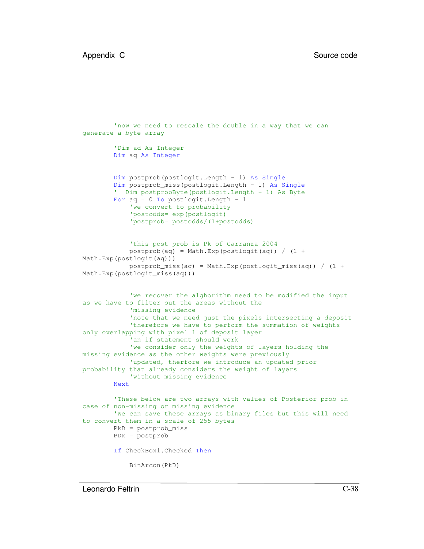```
'now we need to rescale the double in a way that we can
generate a byte array
        'Dim ad As Integer
       Dim aq As Integer
       Dim postprob(postlogit.Length - 1) As Single
       Dim postprob_miss(postlogit.Length - 1) As Single
        ' Dim postprobByte(postlogit.Length - 1) As Byte
       For aq = 0 To postlogit. Length - 1
            'we convert to probability
            'postodds= exp(postlogit)
            'postprob= postodds/(1+postodds)
            'this post prob is Pk of Carranza 2004
            postprob(aq) = Math.Exp (postlogit(aq)) / (1 +Math.Exp(postlogit(aq)))
            postprob_miss(aq) = Math.Exp(postlogit_miss(aq)) / (1 +Math.Exp(postlogit_miss(aq)))
            'we recover the alghorithm need to be modified the input
as we have to filter out the areas without the
            'missing evidence
            'note that we need just the pixels intersecting a deposit
            'therefore we have to perform the summation of weights
only overlapping with pixel 1 of deposit layer
            'an if statement should work
            'we consider only the weights of layers holding the
missing evidence as the other weights were previously
            'updated, therfore we introduce an updated prior
probability that already considers the weight of layers
            'without missing evidence
       Next
        'These below are two arrays with values of Posterior prob in
case of non-missing or missing evidence
        'We can save these arrays as binary files but this will need
to convert them in a scale of 255 bytes
       PkD = postprob_miss
       PDx = postprob
       If CheckBox1.Checked Then
            BinArcon(PkD)
```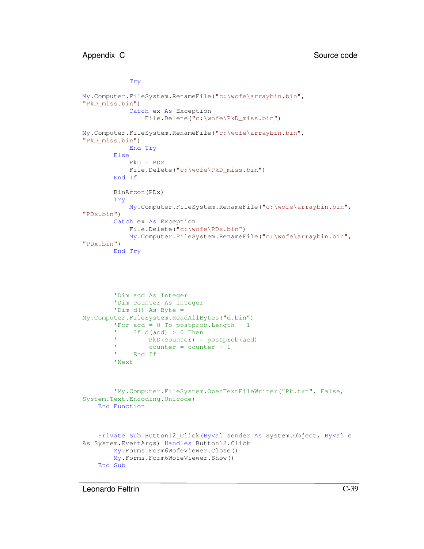Try

```
My.Computer.FileSystem.RenameFile("c:\wofe\arraybin.bin",
"PkD_miss.bin")
            Catch ex As Exception
                File.Delete("c:\wofe\PkD_miss.bin")
My.Computer.FileSystem.RenameFile("c:\wofe\arraybin.bin",
"PkD_miss.bin")
            End Try
        Else
            PkD = PDx
            File.Delete("c:\wofe\PkD_miss.bin")
        End If
        BinArcon(PDx)
        Try
            My.Computer.FileSystem.RenameFile("c:\wofe\arraybin.bin",
"PDx.bin")
        Catch ex As Exception
            File.Delete("c:\wofe\PDx.bin")
            My.Computer.FileSystem.RenameFile("c:\wofe\arraybin.bin",
"PDx.bin")
        End Try
        'Dim acd As Integer
        'Dim counter As Integer
        'Dim d() As Byte =
My.Computer.FileSystem.ReadAllBytes("d.bin")
        'For acd = 0 To postprob. Length - 1If d(acd) > 0 Then
        ' PkD(counter) = postprob(acd)
                 counter = counter + 1 End If
        'Next
        'My.Computer.FileSystem.OpenTextFileWriter("Pk.txt", False,
System.Text.Encoding.Unicode)
    End Function
   Private Sub Button12_Click(ByVal sender As System.Object, ByVal e
As System.EventArgs) Handles Button12.Click
        My.Forms.Form6WofeViewer.Close()
        My.Forms.Form6WofeViewer.Show()
    End Sub
```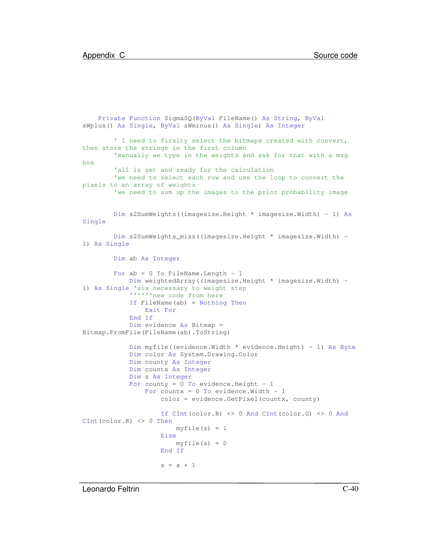```
Private Function SigmaSQ(ByVal FileName() As String, ByVal
sWplus() As Single, ByVal sWminus() As Single) As Integer
        ' I need to firslty select the bitmaps created with convert,
then store the strings in the first column
        'manually we type in the weights and ask for that with a msg
box
        'all is set and ready for the calculation
        'we need to select each row and use the loop to convert the
pixels to an array of weights
        'we need to sum up the images to the prior probability image
       Dim s2SumWeights((imagesize.Height * imagesize.Width) - 1) As
Single
       Dim s2SumWeights_miss((imagesize.Height * imagesize.Width) -
1) As Single
       Dim ab As Integer
       For ab = 0 To FileName. Length - 1
            Dim weightedArray((imagesize.Height * imagesize.Width) -
1) As Single 'six necessary to weight step
            ''''''new code from here
            If FileName(ab) = Nothing Then
               Exit For
            End If
            Dim evidence As Bitmap =
Bitmap.FromFile(FileName(ab).ToString)
            Dim myfile((evidence.Width * evidence.Height) - 1) As Byte
            Dim color As System.Drawing.Color
            Dim county As Integer
            Dim countx As Integer
            Dim s As Integer
            For county = 0 To evidence. Height - 1
                For countx = 0 To evidence. Width - 1
                    color = evidence.GetPixel(countx, county)
                    If CInt(color.B) <> 0 And CInt(color.G) <> 0 And
CInt(color.R) <> 0 Then
                        myfile(s) = 1Else
                        myfile(s) = 0End If
                    s = s + 1
```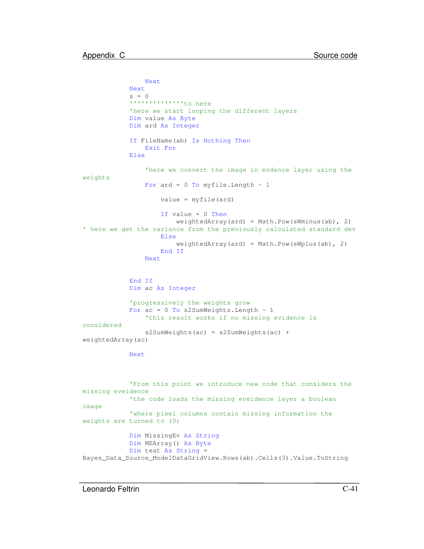```
Next
            Next
            s = 0''''''''''''''to here
            'here we start looping the different layers
            Dim value As Byte
            Dim ard As Integer
            If FileName(ab) Is Nothing Then
                Exit For
            Else
                'here we convert the image in evdence layer using the
weights
                For ard = 0 To myfile. Length - 1
                    value = myfile(ard)
                    If value = 0 Then
                        weightedArray(ard) = Math.Pow(sWminus(ab), 2)
' here we get the variance from the previously calculated standard dev
                    Else
                        weightedArray(ard) = Math.Pow(sWplus(ab), 2)
                    End If
                Next
            End If
            Dim ac As Integer
            'progressively the weights grow
            For ac = 0 To s2SumWeights. Length - 1
                'this result works if no missing evidence is
considered
                s2SumWeights(ac) = s2SumWeights(ac) +
weightedArray(ac)
            Next
            'From this point we introduce new code that considers the
missing eveidence
            'the code loads the missing eveidence layer a boolean
image
            'where pixel columns contain missing information the
weights are turned to (0)
            Dim MissingEv As String
            Dim MEArray() As Byte
            Dim test As String =
Bayes_Data_Source_ModelDataGridView.Rows(ab).Cells(3).Value.ToString
```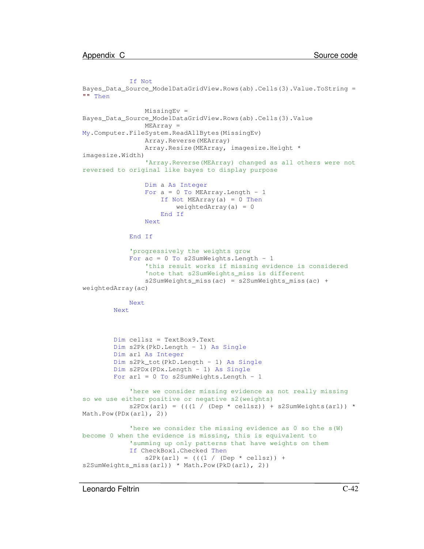If Not

```
Bayes_Data_Source_ModelDataGridView.Rows(ab).Cells(3).Value.ToString =
"" Then
                MissingEv =
Bayes_Data_Source_ModelDataGridView.Rows(ab).Cells(3).Value
                MEArray =
My.Computer.FileSystem.ReadAllBytes(MissingEv)
                Array.Reverse(MEArray)
                Array.Resize(MEArray, imagesize.Height *
imagesize.Width)
                'Array.Reverse(MEArray) changed as all others were not
reversed to original like bayes to display purpose
                Dim a As Integer
                For a = 0 To MEArray. Length - 1
                    If Not MEArray(a) = 0 Then
                        weightedArray(a) = 0End If
                Next
            End If
            'progressively the weights grow
            For ac = 0 To s2SumWeights. Length - 1
                'this result works if missing evidence is considered
                'note that s2SumWeights_miss is different
                s2SumWeights_miss(ac) = s2SumWeights_miss(ac) +
weightedArray(ac)
            Next
       Next
       Dim cellsz = TextBox9.Text
       Dim s2Pk(PkD.Length - 1) As Single
       Dim arl As Integer
       Dim s2Pk_tot(PkD.Length - 1) As Single
       Dim s2PDx(PDx.Length - 1) As Single
       For arl = 0 To s2SumWeights. Length - 1
            'here we consider missing evidence as not really missing
so we use either positive or negative s2(weights)
            s2PDX(ar1) = (((1 / (Dep * cellsz)) + s2SumWeights(ar1)) *Math.Pow(PDx(arl), 2))
            'here we consider the missing evidence as 0 so the s(W)
become 0 when the evidence is missing, this is equivalent to
            'summing up only patterns that have weights on them
            If CheckBox1.Checked Then
                s2Pk(ar1) = (((1 / (Dep * cellsz)) +s2SumWeights_miss(arl)) * Math.Pow(PkD(arl), 2))
```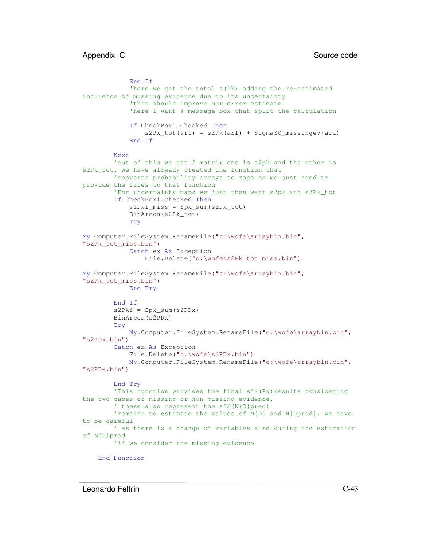```
End If
            'here we get the total s(Pk) adding the re-estimated
influence of missing evidence due to its uncertainty
            'this should improve our error estimate
            'here I want a message box that split the calculation
            If CheckBox1.Checked Then
                s2Pk_tot(arl) = s2Pk(arl) + SigmaSQ_missingev(arl)
            End If
        Next
        'out of this we get 2 matrix one is s2pk and the other is
s2Pk_tot, we have already created the function that
        'converts probability arrays to maps so we just need to
provide the files to that function
        'For uncertainty maps we just then want s2pk and s2Pk_tot
        If CheckBox1.Checked Then
            s2Pkf_miss = Spk_sum(s2Pk_tot)
            BinArcon(s2Pk_tot)
            Try
My.Computer.FileSystem.RenameFile("c:\wofe\arraybin.bin",
"s2Pk_tot_miss.bin")
            Catch ex As Exception
                File.Delete("c:\wofe\s2Pk_tot_miss.bin")
My.Computer.FileSystem.RenameFile("c:\wofe\arraybin.bin",
"s2Pk_tot_miss.bin")
            End Try
        End If
        s2Pkf = Spk\_sum(s2PDX)BinArcon(s2PDx)
        Try
           My.Computer.FileSystem.RenameFile("c:\wofe\arraybin.bin",
"s2PDx.bin")
        Catch ex As Exception
            File.Delete("c:\wofe\s2PDx.bin")
            My.Computer.FileSystem.RenameFile("c:\wofe\arraybin.bin",
"s2PDx.bin")
        End Try
        'This function provides the final s^2(Pk)results considering
the two cases of missing or non missing evidence,
        ' these also represent the s^2(N{D}pred)
        'remains to estimate the values of N{D} and N{Dpred}, we have
to be careful
        ' as there is a change of variables also during the estimation
of N{D}pred
        'if we consider the missing evidence
   End Function
```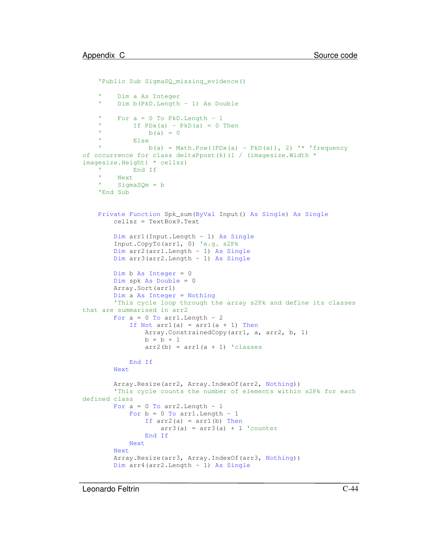```
'Public Sub SigmaSQ_missing_evidence()
         Dim a As Integer
    ' Dim b(PkD.Length - 1) As Double
    'For a = 0 To PkD. Length - 1
    'If PDX(a) - PkD(a) = 0 Then
    'b(a) = 0' Else
                b(a) = Math.Pow((PDx(a) - PkD(a)), 2) '* 'frequency
of occurrence for class deltaPpost(k)(1 / (imagesize.Width *imagesize.Height) * cellsz)
    ' End If
    ' Next
    ' SigmaSQm = b
   'End Sub
    Private Function Spk_sum(ByVal Input() As Single) As Single
        cellsz = TextBox9.Text
        Dim arr1(Input.Length - 1) As Single
        Input.CopyTo(arr1, 0) 'e.g. s2Pk
        Dim arr2(arr1.Length - 1) As Single
        Dim arr3(arr2.Length - 1) As Single
        Dim b As Integer = 0
        Dim spk As Double = 0
        Array.Sort(arr1)
        Dim a As Integer = Nothing
        'This cycle loop through the array s2Pk and define its classes
that are summarised in arr2
        For a = 0 To arr1. Length - 2
            If Not \arctan(a) = \arctan(a + 1) Then
                Array.ConstrainedCopy(arr1, a, arr2, b, 1)
                b = b + 1arr2(b) = arr1(a + 1) 'classes
            End If
        Next
        Array.Resize(arr2, Array.IndexOf(arr2, Nothing))
        'This cycle counts the number of elements within s2Pk for each
defined class
        For a = 0 To arr2. Length - 1
            For b = 0 To arr1. Length - 1
                If arr2(a) = arr1(b) Then
                    arr3(a) = arr3(a) + 1 'counterEnd If
            Next
        Next
        Array.Resize(arr3, Array.IndexOf(arr3, Nothing))
        Dim arr4(arr2.Length - 1) As Single
```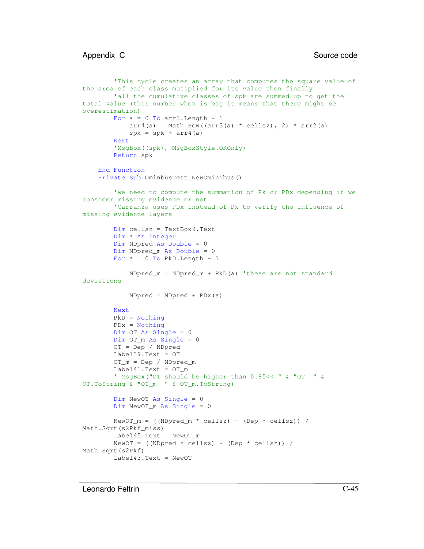```
'This cycle creates an array that computes the square value of
the area of each class mutiplied for its value then finally
       'all the cumulative classes of spk are summed up to get the
total value (this number when is big it means that there might be
overestimation)
       For a = 0 To arr2. Length - 1
            arr4(a) = Math.Pow((arr3(a) * cellsz), 2) * arr2(a)spk = spk + arr4(a)Next
        'MsgBox((spk), MsgBoxStyle.OKOnly)
       Return spk
    End Function
    Private Sub OminbusTest_NewOminibus()
        'we need to compute the summation of Pk or PDx depending if we
consider missing evidence or not
        'Carranza uses PDx instead of Pk to verify the influence of
missing evidence layers
       Dim cellsz = TextBox9.Text
       Dim a As Integer
       Dim NDpred As Double = 0
       Dim NDpred_m As Double = 0
       For a = 0 To PkD. Length - 1
            NDpred_m = NDpred_m + PkD(a) 'these are not standard
deviations
            NDpred = NDpred + PDx(a)
       Next
       PkD = Nothing
       PDx = Nothing
       Dim OT As Single = 0
       Dim OT_m As Single = 0
       OT = Dep / NDpred
       Label39.Text = OT
       OT_m = Dep / NDpred_m
       Label41.Text = OT_m
        ' MsgBox("OT should be higher than 0.85<< " & "OT " &
OT.ToString & "OT_m " & OT_m.ToString)
       Dim NewOT As Single = 0
       Dim NewOT_m As Single = 0
       NewOT_m = ( (NDpred_m * cellsz) - (Dep * cellsz)) /Math.Sqrt(s2Pkf_miss)
       Label45.Text = NewOT_m
       NewOT = (NDpred * cellsz) - (Dep * cellsz) /Math.Sqrt(s2Pkf)
       Label43.Text = NewOT
```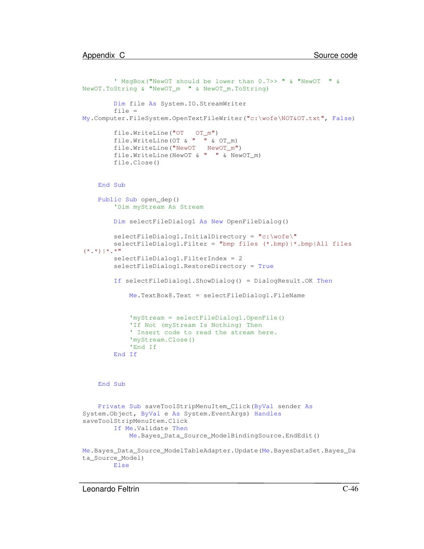```
' MsgBox("NewOT should be lower than 0.7>> " & "NewOT " &
NewOT.ToString & "NewOT_m " & NewOT_m.ToString)
       Dim file As System.IO.StreamWriter
       file =
My.Computer.FileSystem.OpenTextFileWriter("c:\wofe\NOT&OT.txt", False)
        file.WriteLine("OT OT_m")
       file.WriteLine(OT & " " & OT_m)
       file.WriteLine("NewOT NewOT_m")
       file.WriteLine(NewOT & " " & NewOT_m)
       file.Close()
   End Sub
   Public Sub open_dep()
        'Dim myStream As Stream
       Dim selectFileDialog1 As New OpenFileDialog()
       selectFileDialog1.InitialDirectory = "c:\wofe\"
       selectFileDialog1.Filter = "bmp files (*.bmp)|*.bmp|All files
(*,*) | * . * "
       selectFileDialog1.FilterIndex = 2
       selectFileDialog1.RestoreDirectory = True
       If selectFileDialog1.ShowDialog() = DialogResult.OK Then
            Me.TextBox8.Text = selectFileDialog1.FileName
            'myStream = selectFileDialog1.OpenFile()
            'If Not (myStream Is Nothing) Then
            ' Insert code to read the stream here.
            'myStream.Close()
            'End If
       End If
    End Sub
    Private Sub saveToolStripMenuItem_Click(ByVal sender As
System.Object, ByVal e As System.EventArgs) Handles
saveToolStripMenuItem.Click
       If Me.Validate Then
            Me.Bayes_Data_Source_ModelBindingSource.EndEdit()
Me.Bayes_Data_Source_ModelTableAdapter.Update(Me.BayesDataSet.Bayes_Da
ta_Source_Model)
       Else
```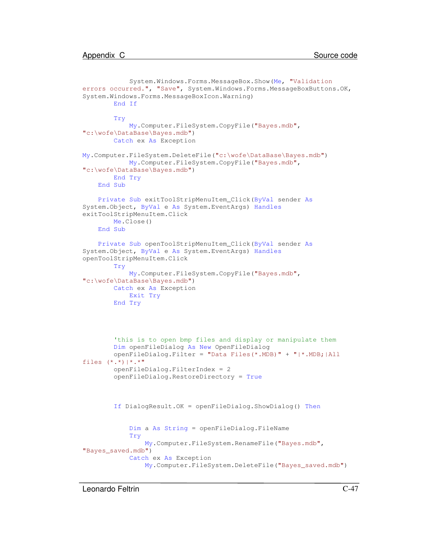```
System.Windows.Forms.MessageBox.Show(Me, "Validation
errors occurred.", "Save", System.Windows.Forms.MessageBoxButtons.OK,
System.Windows.Forms.MessageBoxIcon.Warning)
       End If
        Try
            My.Computer.FileSystem.CopyFile("Bayes.mdb",
"c:\wofe\DataBase\Bayes.mdb")
       Catch ex As Exception
My.Computer.FileSystem.DeleteFile("c:\wofe\DataBase\Bayes.mdb")
           My.Computer.FileSystem.CopyFile("Bayes.mdb",
"c:\wofe\DataBase\Bayes.mdb")
       End Try
   End Sub
    Private Sub exitToolStripMenuItem_Click(ByVal sender As
System.Object, ByVal e As System.EventArgs) Handles
exitToolStripMenuItem.Click
       Me.Close()
    End Sub
    Private Sub openToolStripMenuItem_Click(ByVal sender As
System.Object, ByVal e As System.EventArgs) Handles
openToolStripMenuItem.Click
       Try
            My.Computer.FileSystem.CopyFile("Bayes.mdb",
"c:\wofe\DataBase\Bayes.mdb")
       Catch ex As Exception
           Exit Try
       End Try
        'this is to open bmp files and display or manipulate them
       Dim openFileDialog As New OpenFileDialog
       openFileDialog.Filter = "Data Files(*.MDB)" + "|*.MDB;|All
files (*.*)|*.*"
        openFileDialog.FilterIndex = 2
        openFileDialog.RestoreDirectory = True
        If DialogResult.OK = openFileDialog.ShowDialog() Then
            Dim a As String = openFileDialog.FileName
            Try
                My.Computer.FileSystem.RenameFile("Bayes.mdb",
"Bayes saved.mdb")
            Catch ex As Exception
                My.Computer.FileSystem.DeleteFile("Bayes_saved.mdb")
```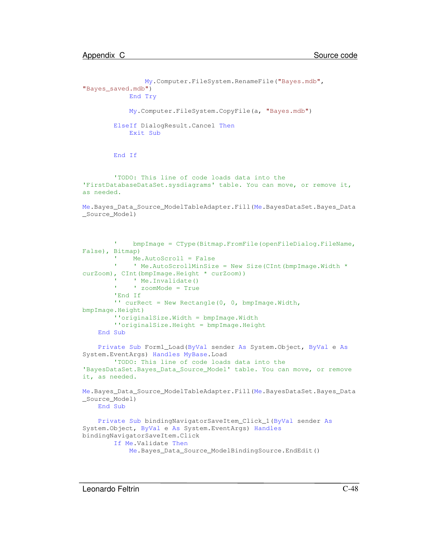```
My.Computer.FileSystem.RenameFile("Bayes.mdb",
"Bayes_saved.mdb")
            End Try
            My.Computer.FileSystem.CopyFile(a, "Bayes.mdb")
       ElseIf DialogResult.Cancel Then
            Exit Sub
       End If
        'TODO: This line of code loads data into the
'FirstDatabaseDataSet.sysdiagrams' table. You can move, or remove it,
as needed.
Me.Bayes_Data_Source_ModelTableAdapter.Fill(Me.BayesDataSet.Bayes_Data
_Source_Model)
        'bmpImage = CType(Bitmap.FromFile(openFileDialog.FileName,
False), Bitmap)
             Me.AutoScroll = False
        '' Me. AutoScrollMinSize = New Size(CInt(bmpImage.Width *curZoom), CInt(bmpImage.Height * curZoom))
             ' Me.Invalidate()
        ' ' zoomMode = True
        'End If
        '' curRect = New Rectangle(0, 0, bmpImage.Width,
bmpImage.Height)
        ''originalSize.Width = bmpImage.Width
        ''originalSize.Height = bmpImage.Height
    End Sub
    Private Sub Form1_Load(ByVal sender As System.Object, ByVal e As
System.EventArgs) Handles MyBase.Load
        'TODO: This line of code loads data into the
'BayesDataSet.Bayes_Data_Source_Model' table. You can move, or remove
it, as needed.
Me.Bayes_Data_Source_ModelTableAdapter.Fill(Me.BayesDataSet.Bayes_Data
_Source_Model)
   End Sub
    Private Sub bindingNavigatorSaveItem_Click_1(ByVal sender As
System.Object, ByVal e As System.EventArgs) Handles
bindingNavigatorSaveItem.Click
       If Me.Validate Then
            Me. Bayes Data Source ModelBindingSource. EndEdit()
```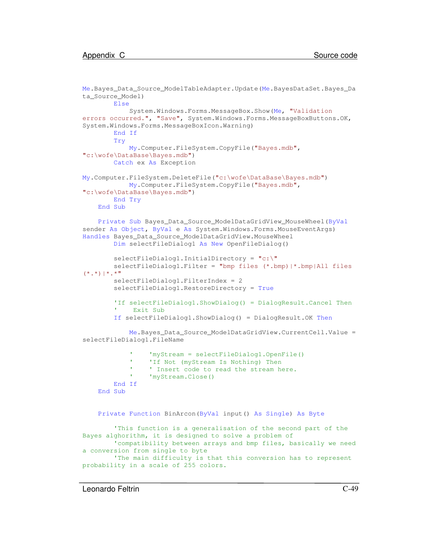```
Me.Bayes_Data_Source_ModelTableAdapter.Update(Me.BayesDataSet.Bayes_Da
ta_Source_Model)
        Else
            System.Windows.Forms.MessageBox.Show(Me, "Validation
errors occurred.", "Save", System.Windows.Forms.MessageBoxButtons.OK,
System.Windows.Forms.MessageBoxIcon.Warning)
        End If
        Try
            My.Computer.FileSystem.CopyFile("Bayes.mdb",
"c:\wofe\DataBase\Bayes.mdb")
        Catch ex As Exception
My.Computer.FileSystem.DeleteFile("c:\wofe\DataBase\Bayes.mdb")
           My.Computer.FileSystem.CopyFile("Bayes.mdb",
"c:\wofe\DataBase\Bayes.mdb")
        End Try
    End Sub
    Private Sub Bayes_Data_Source_ModelDataGridView_MouseWheel(ByVal
sender As Object, ByVal e As System. Windows. Forms. MouseEventArgs)
Handles Bayes_Data_Source_ModelDataGridView.MouseWheel
        Dim selectFileDialog1 As New OpenFileDialog()
        selectFileDialog1.InitialDirectory = "c:\PsiselectFileDialog1.Filter = "bmp files (*.bmp)|*.bmp|All files
(*,*)|*,**"selectFileDialog1.FilterIndex = 2
        selectFileDialog1.RestoreDirectory = True
        'If selectFileDialog1.ShowDialog() = DialogResult.Cancel Then
        ' Exit Sub
        If selectFileDialog1.ShowDialog() = DialogResult.OK Then
            Me.Bayes_Data_Source_ModelDataGridView.CurrentCell.Value =
selectFileDialog1.FileName
                  'myStream = selectFileDialog1.OpenFile()
                  'If Not (myStream Is Nothing) Then
                  ' Insert code to read the stream here.
                  'myStream.Close()
        End If
    End Sub
   Private Function BinArcon(ByVal input() As Single) As Byte
        'This function is a generalisation of the second part of the
Bayes alghorithm, it is designed to solve a problem of
        'compatibility between arrays and bmp files, basically we need
a conversion from single to byte
        'The main difficulty is that this conversion has to represent
probability in a scale of 255 colors.
```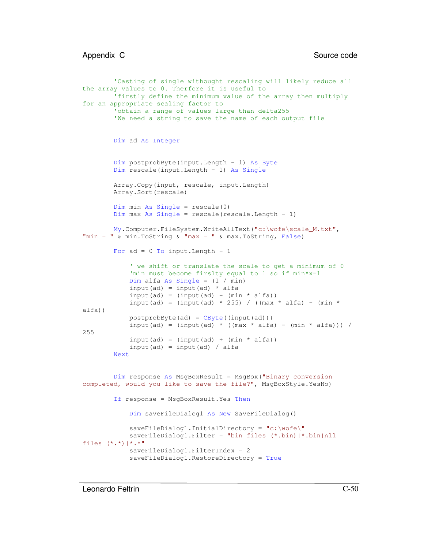```
'Casting of single withought rescaling will likely reduce all
the array values to 0. Therfore it is useful to
        'firstly define the minimum value of the array then multiply
for an appropriate scaling factor to
        'obtain a range of values large than delta255
        'We need a string to save the name of each output file
       Dim ad As Integer
       Dim postprobByte(input.Length - 1) As Byte
       Dim rescale(input.Length - 1) As Single
       Array.Copy(input, rescale, input.Length)
       Array.Sort(rescale)
       Dim min As Single = rescale(0)
       Dim max As Single = rescale(rescale.Length - 1)
       My.Computer.FileSystem.WriteAllText("c:\wofe\scale_M.txt",
"min = " & min.ToString & "max = " & max.ToString, False)
       For ad = 0 To input. Length - 1' we shift or translate the scale to get a minimum of 0
            'min must become firslty equal to 1 so if min*x=1
           Dim alfa As Single = (1 / min)
           input(ad) = input(ad) * alfa
            input(ad) = (input (add) - (min * alfa))input(ad) = (input(ad) * 255) / ((max * alfa) - (min *
alfa))
           postprobByte(ad) = CByte((input(ad)))
           input(ad) = (input(ad) * ((max * alfa) - (min * alfa))) /
255
            input(ad) = (input(ad) + (min * alfa))input(ad) = input(ad) / alfaNext
       Dim response As MsgBoxResult = MsgBox("Binary conversion
completed, would you like to save the file?", MsgBoxStyle.YesNo)
        If response = MsgBoxResult.Yes Then
           Dim saveFileDialog1 As New SaveFileDialog()
            saveFileDialog1.InitialDirectory = "c:\wofe\"
            saveFileDialog1.Filter = "bin files (*.bin)|*.bin|All
files (*,*)|*,*"saveFileDialog1.FilterIndex = 2
            saveFileDialog1.RestoreDirectory = True
```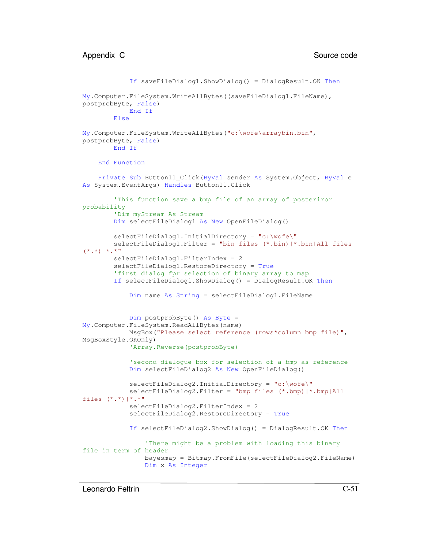```
If saveFileDialog1.ShowDialog() = DialogResult.OK Then
My.Computer.FileSystem.WriteAllBytes((saveFileDialog1.FileName),
postprobByte, False)
            End If
       Else
My.Computer.FileSystem.WriteAllBytes("c:\wofe\arraybin.bin",
postprobByte, False)
       End If
    End Function
   Private Sub Button11_Click(ByVal sender As System.Object, ByVal e
As System.EventArgs) Handles Button11.Click
        'This function save a bmp file of an array of posteriror
probability
        'Dim myStream As Stream
       Dim selectFileDialog1 As New OpenFileDialog()
       selectFileDialog1.InitialDirectory = "c:\wofe\"
       selectFileDialog1.Filter = "bin files (*.bin)|*.bin|All files
(*,*) | * . * "
       selectFileDialog1.FilterIndex = 2
       selectFileDialog1.RestoreDirectory = True
        'first dialog fpr selection of binary array to map
       If selectFileDialog1.ShowDialog() = DialogResult.OK Then
            Dim name As String = selectFileDialog1.FileName
            Dim postprobByte() As Byte =
My.Computer.FileSystem.ReadAllBytes(name)
            MsgBox("Please select reference (rows*column bmp file)",
MsgBoxStyle.OKOnly)
            'Array.Reverse(postprobByte)
            'second dialogue box for selection of a bmp as reference
            Dim selectFileDialog2 As New OpenFileDialog()
            selectFileDialog2.InitialDirectory = "c:\wofe\"
            selectFileDialog2.Filter = "bmp files (*.bmp)|*.bmp|All
files (*,*)|*,*"selectFileDialog2.FilterIndex = 2
            selectFileDialog2.RestoreDirectory = True
            If selectFileDialog2.ShowDialog() = DialogResult.OK Then
                'There might be a problem with loading this binary
file in term of header
                bayesmap = Bitmap.FromFile(selectFileDialog2.FileName)
                Dim x As Integer
```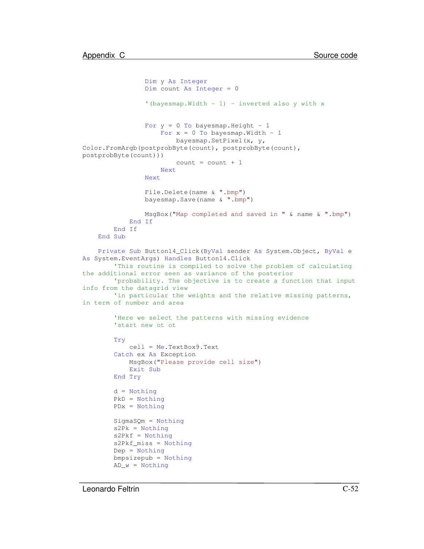```
Dim y As Integer
                Dim count As Integer = 0
                '(bayesmap. Width - 1) - inverted also y with xFor y = 0 To bayesmap. Height - 1
                    For x = 0 To bayesmap. Width - 1
                        bayesmap.SetPixel(x, y,
Color.FromArgb(postprobByte(count), postprobByte(count),
postprobByte(count)))
                        count = count + 1Next
                Next
                File.Delete(name & ".bmp")
                bayesmap.Save(name & ".bmp")
                MsgBox("Map completed and saved in " & name & ".bmp")
            End If
        End If
    End Sub
   Private Sub Button14_Click(ByVal sender As System.Object, ByVal e
As System.EventArgs) Handles Button14.Click
        'This routine is compiled to solve the problem of calculating
the additional error seen as variance of the posterior
        'probability. The objective is to create a function that input
info from the datagrid view
        'in particular the weights and the relative missing patterns,
in term of number and area
        'Here we select the patterns with missing evidence
        'start new ot ot
        Try
            cell = Me.TextBox9.Text
        Catch ex As Exception
           MsgBox("Please provide cell size")
            Exit Sub
        End Try
        d = Nothing
        PkD = Nothing
        PDx = Nothing
        SigmaSQm = Nothing
        s2Pk = Notbings2Pkf = Nothings2Pkf_miss = Nothing
        Dep = Nothing
        bmpsizepub = Nothing
        AD_w = Notbing
```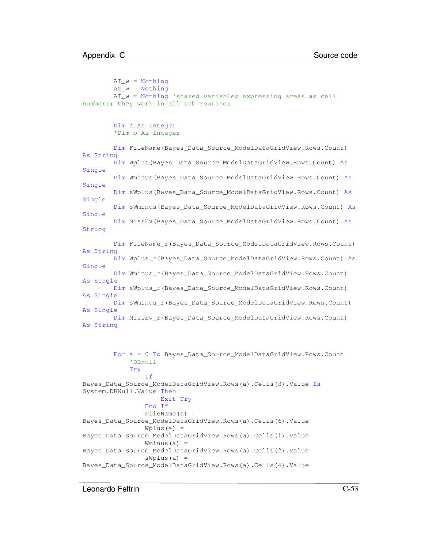```
AI w = Nothing
        AG_w = NotbingAT_w = Nothing 'shared variables expressing areas as cell
numbers; they work in all sub routines
        Dim a As Integer
        'Dim b As Integer
        Dim FileName(Bayes_Data_Source_ModelDataGridView.Rows.Count)
As String
        Dim Wplus(Bayes_Data_Source_ModelDataGridView.Rows.Count) As
Single
        Dim Wminus(Bayes_Data_Source_ModelDataGridView.Rows.Count) As
Single
        Dim sWplus(Bayes_Data_Source_ModelDataGridView.Rows.Count) As
Single
        Dim sWminus(Bayes_Data_Source_ModelDataGridView.Rows.Count) As
Single
        Dim MissEv(Bayes_Data_Source_ModelDataGridView.Rows.Count) As
String
        Dim FileName_r(Bayes_Data_Source_ModelDataGridView.Rows.Count)
As String
        Dim Wplus_r(Bayes_Data_Source_ModelDataGridView.Rows.Count) As
Single
        Dim Wminus_r(Bayes_Data_Source_ModelDataGridView.Rows.Count)
As Single
        Dim sWplus_r(Bayes_Data_Source_ModelDataGridView.Rows.Count)
As Single
        Dim sWminus_r(Bayes_Data_Source_ModelDataGridView.Rows.Count)
As Single
        Dim MissEv_r(Bayes_Data_Source_ModelDataGridView.Rows.Count)
As String
        For a = 0 To Bayes_Data_Source_ModelDataGridView.Rows.Count
            'DBnull
            Try
                T \notinBayes_Data_Source_ModelDataGridView.Rows(a).Cells(3).Value Is
System.DBNull.Value Then
                    Exit Try
                End If
                FileName(a) =
Bayes_Data_Source_ModelDataGridView.Rows(a).Cells(6).Value
                Wplus(a) =
```
Bayes\_Data\_Source\_ModelDataGridView.Rows(a).Cells(2).Value  $sWplus(a) =$ 

Bayes\_Data\_Source\_ModelDataGridView.Rows(a).Cells(4).Value

Bayes\_Data\_Source\_ModelDataGridView.Rows(a).Cells(1).Value

Wminus $(a) =$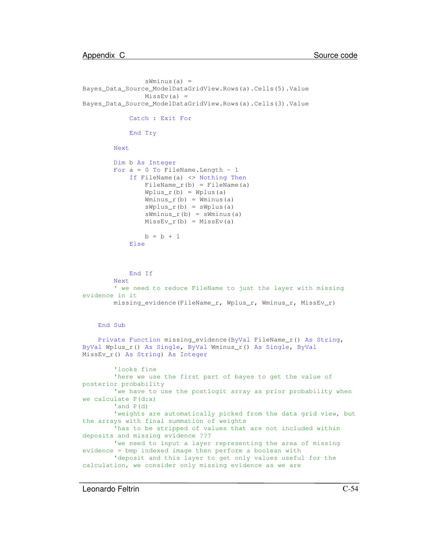```
sWminus(a) =
Bayes_Data_Source_ModelDataGridView.Rows(a).Cells(5).Value
                MissEv(a) =Bayes_Data_Source_ModelDataGridView.Rows(a).Cells(3).Value
            Catch : Exit For
            End Try
       Next
       Dim b As Integer
       For a = 0 To FileName. Length - 1
            If FileName(a) <> Nothing Then
                FileName r(b) = FileName(a)
                Wplus r(b) = Wplus(a)Wminus r(b) = Wminus(a)
                sWplus_r(b) = sWplus(a)sWminus_r(b) = sWminus(a)
                MissEv_r(b) = MissEv(a)b = b + 1Else
            End If
       Next
        ' we need to reduce FileName to just the layer with missing
evidence in it
       missing_evidence(FileName_r, Wplus_r, Wminus_r, MissEv_r)
    End Sub
    Private Function missing_evidence(ByVal FileName_r() As String,
ByVal Wplus_r() As Single, ByVal Wminus_r() As Single, ByVal
MissEv_r() As String) As Integer
        'looks fine
        'here we use the first part of bayes to get the value of
posterior probability
        'we have to use the postlogit array as prior probability when
we calculate P(d:x)
        'and P(d)
        'weights are automatically picked from the data grid view, but
the arrays with final summation of weights
        'has to be stripped of values that are not included within
deposits and missing evidence ???
        'we need to input a layer representing the area of missing
evidence = bmp indexed image then perform a boolean with
        'deposit and this layer to get only values useful for the
calculation, we consider only missing evidence as we are
```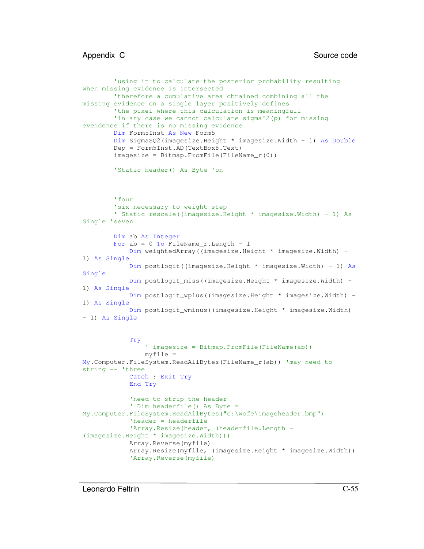```
'using it to calculate the posterior probability resulting
when missing evidence is intersected
        'therefore a cumulative area obtained combining all the
missing evidence on a single layer positively defines
        'the pixel where this calculation is meaningfull
        'in any case we cannot calculate sigma^2(p) for missing
eveidence if there is no missing evidence
        Dim Form5Inst As New Form5
        Dim SigmaSQ2(imagesize.Height * imagesize.Width - 1) As Double
        Dep = Form5Inst.AD(TextBox8.Text)
        imagesize = Bitmap.FromFile(FileName_r(0))
        'Static header() As Byte 'on
        'four
        'six necessary to weight step
        ' Static rescale((imagesize.Height * imagesize.Width) - 1) As
Single 'seven
        Dim ab As Integer
        For ab = 0 To FileName_r. Length - 1
            Dim weightedArray((imagesize.Height * imagesize.Width) -
1) As Single
            Dim postlogit((imagesize.Height * imagesize.Width) - 1) As
Single
            Dim postlogit_miss((imagesize.Height * imagesize.Width) -
1) As Single
            Dim postlogit_wplus((imagesize.Height * imagesize.Width) -
1) As Single
            Dim postlogit_wminus((imagesize.Height * imagesize.Width)
- 1) As Single
            Try
                ' imagesize = Bitmap.FromFile(FileName(ab))
                myfile =
My.Computer.FileSystem.ReadAllBytes(FileName_r(ab)) 'may need to
string -- 'three
            Catch : Exit Try
            End Try
            'need to strip the header
            ' Dim headerfile() As Byte =
My.Computer.FileSystem.ReadAllBytes("c:\wofe\imageheader.bmp")
            'header = headerfile
            'Array. Resize (header, (headerfile. Length -
(imagesize.Height * imagesize.Width)))
            Array.Reverse(myfile)
            Array.Resize(myfile, (imagesize.Height * imagesize.Width))
            'Array.Reverse(myfile)
```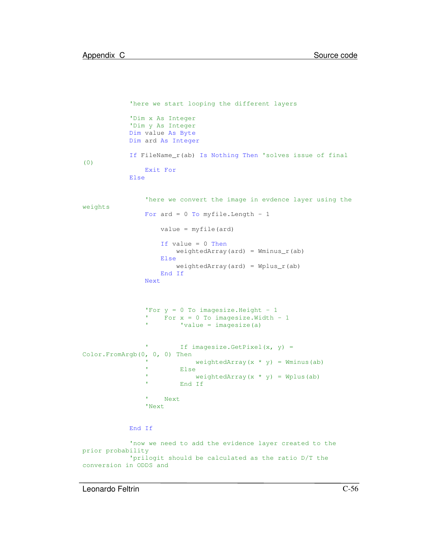```
'here we start looping the different layers
            'Dim x As Integer
            'Dim y As Integer
            Dim value As Byte
            Dim ard As Integer
            If FileName_r(ab) Is Nothing Then 'solves issue of final
(0)
                Exit For
            Else
                'here we convert the image in evdence layer using the
weights
                For ard = 0 To myfile. Length - 1
                    value = myfile(ard)
                    If value = 0 Then
                        weightedArray(ard) = Wminus_r(ab)
                    Else
                        weightedArray(ard) = Why_{us_r(ab)}End If
                Next
                'For y = 0 To imagesize. Height - 1
                 ' For x = 0 To imagesize.Width - 1
                ' 'value = imagesize(a)
                          If imagesize.GetPixel(x, y) =
Color.FromArgb(0, 0, 0) Then
                            weightedArray(x * y) = Wminus(ab)
                          Else
                            weightedArray(x * y) = Wplus(ab)
                ' End If
                 ' Next
                'Next
            End If
            'now we need to add the evidence layer created to the
prior probability
            'prilogit should be calculated as the ratio D/T the
conversion in ODDS and
```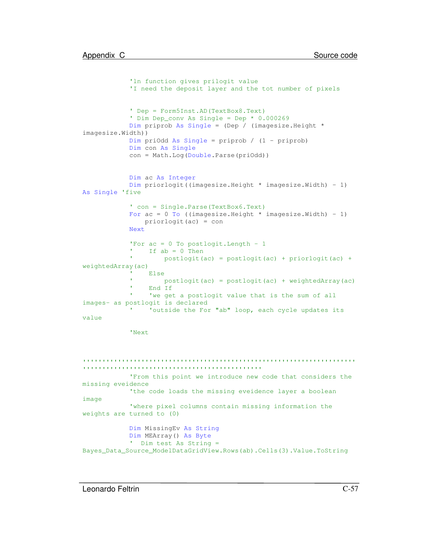```
'ln function gives prilogit value
            'I need the deposit layer and the tot number of pixels
            ' Dep = Form5Inst.AD(TextBox8.Text)
            ' Dim Dep_conv As Single = Dep * 0.000269
            Dim priprob As Single = (Dep / (imagesize.Height *
imagesize.Width))
            Dim priOdd As Single = priprob / (1 - priprob)
            Dim con As Single
            con = Math.Log(Double.Parse(priOdd))
            Dim ac As Integer
            Dim priorlogit((imagesize.Height * imagesize.Width) - 1)
As Single 'five
            ' con = Single.Parse(TextBox6.Text)
            For ac = 0 To ((imagesize.Height * imagesize.Width) - 1)
               priorlogit(ac) = con
            Next
            'For ac = 0 To postlogit. Length - 1
            ' If ab = 0 Then
            ' postlogit(ac) = postlogit(ac) + priorlogit(ac) +
weightedArray(ac)
                 Else
                     postlogit(ac) = postlogit(ac) + weightedArray(ac)
                 End If
                 'we get a postlogit value that is the sum of all
images- as postlogit is declared
            ' 'outside the For "ab" loop, each cycle updates its
value
            'Next
'''''''''''''''''''''''''''''''''''''''''''''''''''''''''''''''''''''''''''''''''''''''''''''''''''''''''''''''''''''From this point we introduce new code that considers the
missing eveidence
            'the code loads the missing eveidence layer a boolean
image
            'where pixel columns contain missing information the
weights are turned to (0)
```
Dim MissingEv As String Dim MEArray() As Byte ' Dim test As String = Bayes\_Data\_Source\_ModelDataGridView.Rows(ab).Cells(3).Value.ToString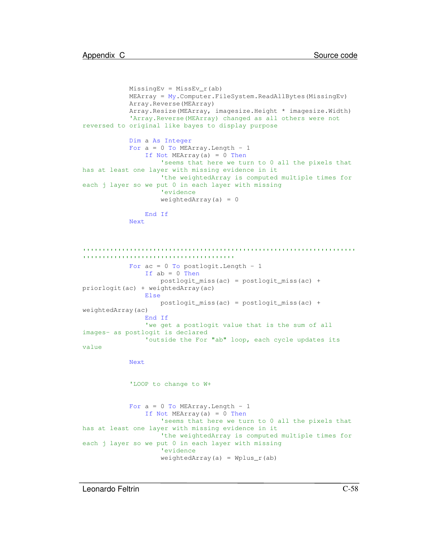```
MissingEv = MissEv_r(ab)MEArray = My.Computer.FileSystem.ReadAllBytes(MissingEv)
            Array.Reverse(MEArray)
            Array.Resize(MEArray, imagesize.Height * imagesize.Width)
            'Array.Reverse(MEArray) changed as all others were not
reversed to original like bayes to display purpose
            Dim a As Integer
            For a = 0 To MEArray. Length - 1
               If Not MEArray(a) = 0 Then
                    'seems that here we turn to 0 all the pixels that
has at least one layer with missing evidence in it
                    'the weightedArray is computed multiple times for
each j layer so we put 0 in each layer with missing
                    'evidence
                    weightedArray(a) = 0End If
            Next
'''''''''''''''''''''''''''''''''''''''''''''''''''''''''''''''''''''''''''''''''''''''''''''''''''''''''''''For ac = 0 To postlogit. Length - 1
                If ab = 0 Then
                    postlogit_miss(ac) = postlogit_miss(ac) +
priorlogit(ac) + weightedArray(ac)
                Else
                    postlogit_miss(ac) = postlogit_miss(ac) +
weightedArray(ac)
                End If
                'we get a postlogit value that is the sum of all
images- as postlogit is declared
                'outside the For "ab" loop, each cycle updates its
value
            Next
            'LOOP to change to W+
            For a = 0 To MEArray. Length - 1
                If Not MEArray(a) = 0 Then
                    'seems that here we turn to 0 all the pixels that
has at least one layer with missing evidence in it
                    'the weightedArray is computed multiple times for
each j layer so we put 0 in each layer with missing
                    'evidence
                    weightedArray(a) = Whylus_r(ab)
```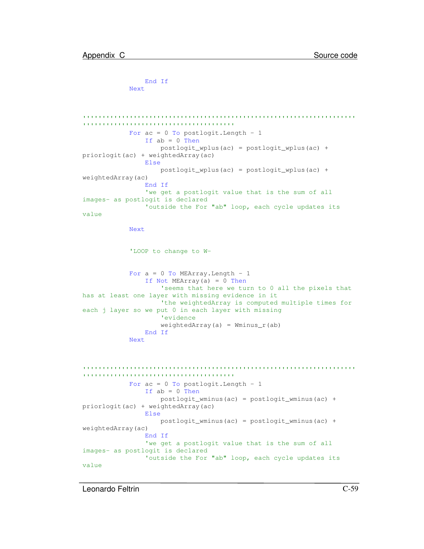```
End If
            Next
'''''''''''''''''''''''''''''''''''''''''''''''''''''''''''''''''''''''''''''''''''''''''''''''''''''''''''''For ac = 0 To postlogit. Length - 1
                If ab = 0 Then
                    postlogit_wplus(ac) = postlogit_wplus(ac) +
priorlogit(ac) + weightedArray(ac)
                Else
                    postlogit_wplus(ac) = postlogit_wplus(ac) +
weightedArray(ac)
                End If
                'we get a postlogit value that is the sum of all
images- as postlogit is declared
                'outside the For "ab" loop, each cycle updates its
value
            Next
            'LOOP to change to W-
            For a = 0 To MEArray. Length - 1
                If Not MEArray(a) = 0 Then
                    'seems that here we turn to 0 all the pixels that
has at least one layer with missing evidence in it
                    'the weightedArray is computed multiple times for
each j layer so we put 0 in each layer with missing
                    'evidence
                    weightedArray(a) = Wminus_r(ab)End If
            Next
 '''''''''''''''''''''''''''''''''''''''''''''''''''''''''''''''''''''''''''''''''''''''''''''''''''''''''''''For ac = 0 To postlogit. Length - 1
                If ab = 0 Then
                    postlogit_wminus(ac) = postlogit_wminus(ac) +
priorlogit(ac) + weightedArray(ac)
                Else
                    postlogit wminus(ac) = postlogit wminus(ac) +
weightedArray(ac)
                End If
                'we get a postlogit value that is the sum of all
images- as postlogit is declared
                'outside the For "ab" loop, each cycle updates its
value
```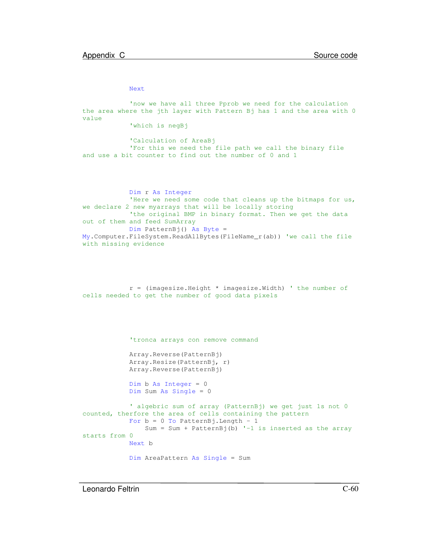Next

'now we have all three Pprob we need for the calculation the area where the jth layer with Pattern Bj has 1 and the area with 0 value 'which is negBj 'Calculation of AreaBj 'For this we need the file path we call the binary file and use a bit counter to find out the number of 0 and 1 Dim r As Integer 'Here we need some code that cleans up the bitmaps for us, we declare 2 new myarrays that will be locally storing 'the original BMP in binary format. Then we get the data out of them and feed SumArray Dim PatternBj() As Byte = My.Computer.FileSystem.ReadAllBytes(FileName\_r(ab)) 'we call the file with missing evidence r = (imagesize.Height \* imagesize.Width) ' the number of cells needed to get the number of good data pixels 'tronca arrays con remove command Array.Reverse(PatternBj) Array.Resize(PatternBj, r) Array.Reverse(PatternBj) Dim b As Integer =  $0$ Dim Sum As Single = 0 ' algebric sum of array (PatternBj) we get just 1s not 0 counted, therfore the area of cells containing the pattern For  $b = 0$  To PatternBj. Length - 1 Sum = Sum + PatternBj(b)  $-1$  is inserted as the array starts from 0 Next b Dim AreaPattern As Single = Sum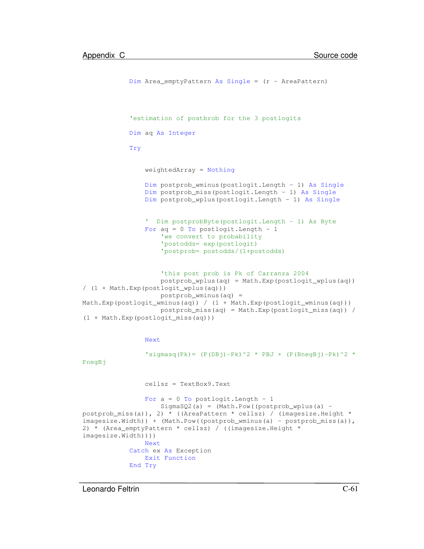```
Dim Area emptyPattern As Single = (r - AreaPattern)
            'estimation of postbrob for the 3 postlogits
            Dim aq As Integer
            Try
                weightedArray = Nothing
                Dim postprob_wminus(postlogit.Length - 1) As Single
                Dim postprob_miss(postlogit.Length - 1) As Single
                Dim postprob_wplus(postlogit.Length - 1) As Single
                ' Dim postprobByte(postlogit.Length - 1) As Byte
                For aq = 0 To postlogit. Length - 1
                    'we convert to probability
                    'postodds= exp(postlogit)
                    'postprob= postodds/(1+postodds)
                    'this post prob is Pk of Carranza 2004
                    postprob_wplus(aq) = Math.Exp(postlogit_wplus(aq))
/ (1 + Math.Exp(postlogit_wplus(aq)))
                    postprob_wminus(aq) =
Math.Exp(postlogit_wminus(aq)) / (1 + Math.Exp(postlogit_wminus(aq)))
                    postprob_miss(aq) = Math.Exp(postlogit_miss(aq)) /
(1 + Math.Exp(postlogit_miss(aq)))
                Next
                'sigmasq(Pk)= (P(DBj)-Pk)^2 * PBJ + (P(BnegBj)-Pk)^2 *PnegBj
                cellsz = TextBox9.Text
                For a = 0 To postlogit. Length - 1
                    SigmaSQ2(a) = (Math.Pow (postprob_wplus(a) -postprob_miss(a)), 2) * ((AreaPattern * cellsz) / (imagesize.Height *
imagesize.Width)) + (Math.Pow((postprob_wminus(a) - postprob_miss(a)),
2) * (Area_emptyPattern * cellsz) / ((imagesize.Height *
imagesize.Width))))
                Next
            Catch ex As Exception
                Exit Function
            End Try
```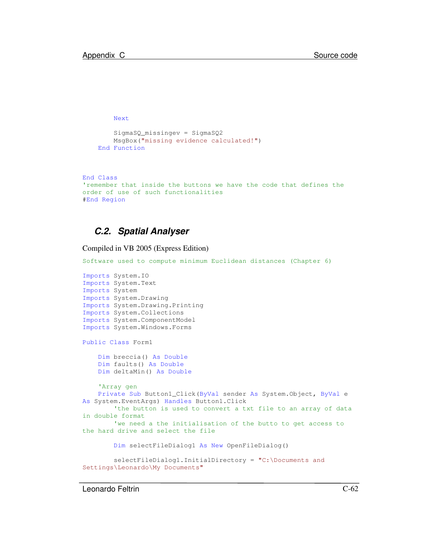Next

```
SigmaSQ_missingev = SigmaSQ2
    MsgBox("missing evidence calculated!")
End Function
```

```
End Class
'remember that inside the buttons we have the code that defines the
order of use of such functionalities
#End Region
```
#### *C.2. Spatial Analyser*

Compiled in VB 2005 (Express Edition)

```
Software used to compute minimum Euclidean distances (Chapter 6)
Imports System.IO
Imports System.Text
Imports System
Imports System.Drawing
Imports System.Drawing.Printing
Imports System.Collections
Imports System.ComponentModel
Imports System.Windows.Forms
Public Class Form1
   Dim breccia() As Double
   Dim faults() As Double
   Dim deltaMin() As Double
    'Array gen
   Private Sub Button1_Click(ByVal sender As System.Object, ByVal e
As System.EventArgs) Handles Button1.Click
        'the button is used to convert a txt file to an array of data
in double format
        'we need a the initialisation of the butto to get access to
the hard drive and select the file
       Dim selectFileDialog1 As New OpenFileDialog()
        selectFileDialog1.InitialDirectory = "C:\Documents and
Settings\Leonardo\My Documents"
```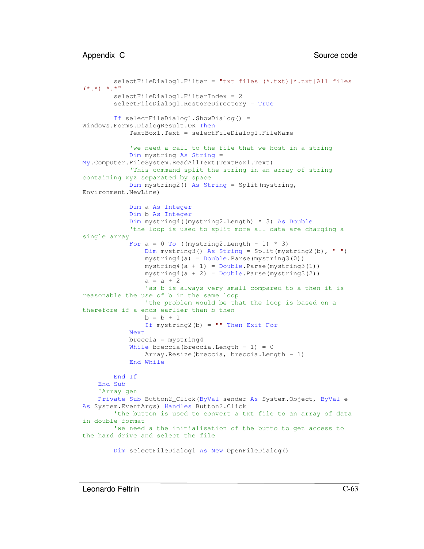```
selectFileDialog1.Filter = "txt files (*.txt)|*.txt|All files
(*.*)|*.*"
       selectFileDialog1.FilterIndex = 2
        selectFileDialog1.RestoreDirectory = True
       If selectFileDialog1.ShowDialog() =
Windows.Forms.DialogResult.OK Then
            TextBox1.Text = selectFileDialog1.FileName
            'we need a call to the file that we host in a string
            Dim mystring As String =
My.Computer.FileSystem.ReadAllText(TextBox1.Text)
            'This command split the string in an array of string
containing xyz separated by space
            Dim mystring2() As String = Split(mystring,
Environment.NewLine)
            Dim a As Integer
            Dim b As Integer
            Dim mystring4((mystring2.Length) * 3) As Double
            'the loop is used to split more all data are charging a
single array
            For a = 0 To ((mystring2. Length - 1) * 3)
                Dim mystring3() As String = Split(mystring2(b), " ")
                mystring4(a) = Double.Parse(mystring3(0))
                mystring4(a + 1) = Double.Parse(mystring3(1))mystring4(a + 2) = Double.Parse(mystring3(2))
                a = a + 2'as b is always very small compared to a then it is
reasonable the use of b in the same loop
                'the problem would be that the loop is based on a
therefore if a ends earlier than b then
                b = b + 1If mystring2(b) = "" Then Exit For
            Next
            breccia = mystring4
            While breccia(breccia.Length - 1) = 0
                Array.Resize(breccia, breccia.Length - 1)
            End While
       End If
    End Sub
    'Array gen
    Private Sub Button2_Click(ByVal sender As System.Object, ByVal e
As System.EventArgs) Handles Button2.Click
        'the button is used to convert a txt file to an array of data
in double format
        'we need a the initialisation of the butto to get access to
the hard drive and select the file
```
Dim selectFileDialog1 As New OpenFileDialog()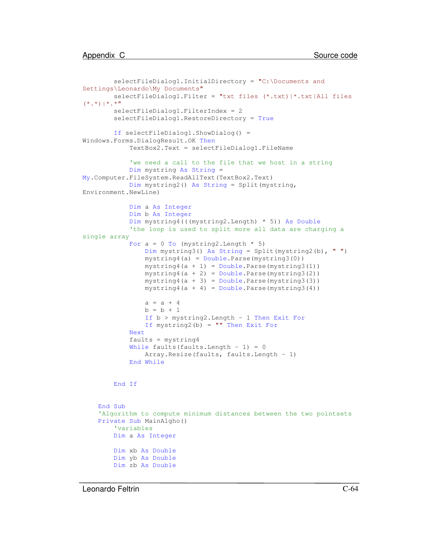```
selectFileDialog1.InitialDirectory = "C:\Documents and
Settings\Leonardo\My Documents"
       selectFileDialog1.Filter = "txt files (*.txt)|*.txt|All files
(*.*)|*.*"
       selectFileDialog1.FilterIndex = 2
        selectFileDialog1.RestoreDirectory = True
       If selectFileDialog1.ShowDialog() =
Windows.Forms.DialogResult.OK Then
            TextBox2.Text = selectFileDialog1.FileName
            'we need a call to the file that we host in a string
            Dim mystring As String =
My.Computer.FileSystem.ReadAllText(TextBox2.Text)
            Dim mystring2() As String = Split(mystring,
Environment.NewLine)
            Dim a As Integer
            Dim b As Integer
            Dim mystring4(((mystring2.Length) * 5)) As Double
            'the loop is used to split more all data are charging a
single array
            For a = 0 To (mystring2. Length * 5)
                Dim mystring3() As String = Split(mystring2(b), " ")
                mystring4(a) = Double.Parse(mystring3(0))
                mystring4(a + 1) = Double.Parse(mystring3(1))mystring4(a + 2) = Double.Parse(mystring3(2))
                mystring4(a + 3) = Double.Parse(mystring3(3))
                mystring4(a + 4) = Double.Parse(mystring3(4))a = a + 4b = b + 1If b > mystring2.Length - 1 Then Exit For
                If mystring2(b) = "" Then Exit For
            Next
            faults = mystring4
            While faults(faults.Length - 1) = 0Array.Resize(faults, faults.Length - 1)
            End While
       End If
    End Sub
    'Algorithm to compute minimum distances between the two pointsets
   Private Sub MainAlgho()
        'variables
       Dim a As Integer
       Dim xb As Double
       Dim yb As Double
       Dim zb As Double
```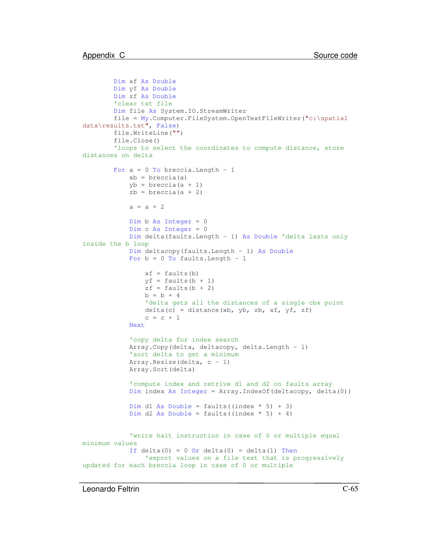```
Dim xf As Double
       Dim yf As Double
       Dim zf As Double
        'clear txt file
       Dim file As System.IO.StreamWriter
       file = My.Computer.FileSystem.OpenTextFileWriter("c:\spatial
data\results.txt", False)
       file.WriteLine("")
        file.Close()
        'loops to select the coordinates to compute distance, store
distances on delta
       For a = 0 To breccia. Length - 1
           xb = breccia(a)yb = breccia(a + 1)zb = breccia(a + 2)a = a + 2Dim b As Integer = 0
           Dim c As Integer = 0
           Dim delta(faults.Length - 1) As Double 'delta lasts only
inside the b loop
           Dim deltacopy(faults.Length - 1) As Double
           For b = 0 To faults. Length - 1
                xf = faults(b)yf = faults(b + 1)
                zf = faults(b + 2)b = b + 4'delta gets all the distances of a single cbx point
                delta(c) = distance(xb, yb, zb, xf, yf, zf)c = c + 1Next
            'copy delta for index search
           Array.Copy(delta, deltacopy, delta.Length - 1)
            'sort delta to get a minimum
           Array.Resize(delta, c - 1)
           Array.Sort(delta)
            'compute index and retrive d1 and d2 on faults array
           Dim index As Integer = Array.IndexOf(deltacopy, delta(0))
           Dim d1 As Double = faults((index * 5) + 3)
           Dim d2 As Double = faults((index * 5) + 4)
            'write halt instruction in case of 0 or multiple equal
minimum values
            If delta(0) = 0 Or delta(0) = delta(1) Then
                'export values on a file text that is progressively
updated for each breccia loop in case of 0 or multiple
```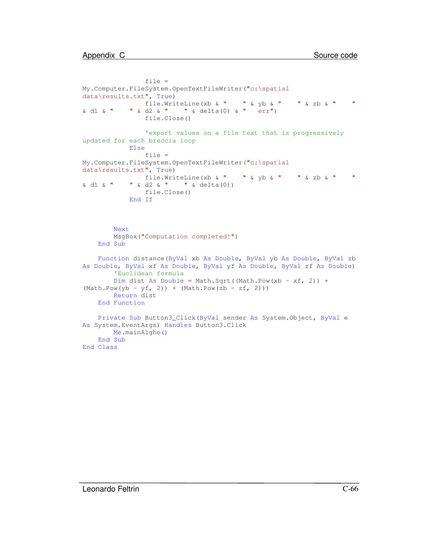```
file =
My.Computer.FileSystem.OpenTextFileWriter("c:\spatial
data\results.txt", True)
               file.WriteLine(xb & " " & yb & " " & zb & " "
& d1 & " " & d2 & " " & delta(0) & " err")
               file.Close()
               'export values on a file text that is progressively
updated for each breccia loop
           Else
               file =
My.Computer.FileSystem.OpenTextFileWriter("c:\spatial
data\results.txt", True)
              file.WriteLine(xb & " " & yb & " " & zb & " "
\& d1 \& " " \& d2 \& " " \& delta(0))
               file.Close()
           End If
       Next
       MsgBox("Computation completed!")
   End Sub
   Function distance(ByVal xb As Double, ByVal yb As Double, ByVal zb
As Double, ByVal xf As Double, ByVal yf As Double, ByVal zf As Double)
       'Euclidean formula
       Dim dist As Double = Math.Sqrt((Math.Pow(xb - xf, 2)) +
(Math.Pow(yb - yf, 2)) + (Math.Pow(zb - zf, 2)))Return dist
   End Function
   Private Sub Button3_Click(ByVal sender As System.Object, ByVal e
As System.EventArgs) Handles Button3.Click
       Me.mainAlgho()
   End Sub
End Class
```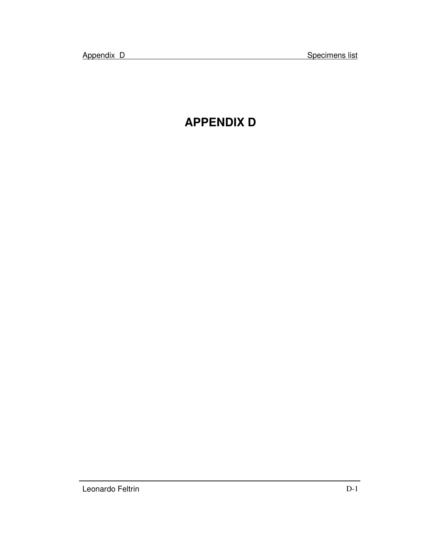## **APPENDIX D**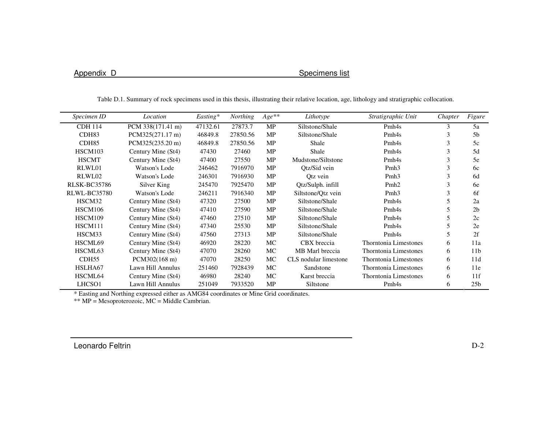Appendix D<br>
Specimens list

| Specimen ID         | Location           | $Easting*$ | <b>Northing</b> | $Age**$   | Lithotype             | Stratigraphic Unit           | Chapter | Figure          |
|---------------------|--------------------|------------|-----------------|-----------|-----------------------|------------------------------|---------|-----------------|
| <b>CDH 114</b>      | PCM 338(171.41 m)  | 47132.61   | 27873.7         | <b>MP</b> | Siltstone/Shale       | Pmh <sub>4s</sub>            | 3       | 5a              |
| CDH83               | PCM325(271.17 m)   | 46849.8    | 27850.56        | <b>MP</b> | Siltstone/Shale       | Pmh <sub>4s</sub>            | 3       | 5 <sub>b</sub>  |
| CDH <sub>85</sub>   | PCM325(235.20 m)   | 46849.8    | 27850.56        | <b>MP</b> | Shale                 | Pmh <sub>4s</sub>            | 3       | 5c              |
| HSCM103             | Century Mine (St4) | 47430      | 27460           | <b>MP</b> | Shale                 | Pmh <sub>4s</sub>            | 3       | 5d              |
| <b>HSCMT</b>        | Century Mine (St4) | 47400      | 27550           | <b>MP</b> | Mudstone/Siltstone    | Pmh <sub>4s</sub>            | 3       | 5e              |
| RLWL01              | Watson's Lode      | 246462     | 7916970         | <b>MP</b> | Otz/Sid vein          | Pmh <sub>3</sub>             | 3       | 6c              |
| RLWL02              | Watson's Lode      | 246301     | 7916930         | MP        | Otz vein              | Pmh <sub>3</sub>             | 3       | 6d              |
| <b>RLSK-BC35786</b> | Silver King        | 245470     | 7925470         | MP        | Qtz/Sulph. infill     | Pmh <sub>2</sub>             | 3       | 6e              |
| RLWL-BC35780        | Watson's Lode      | 246211     | 7916340         | <b>MP</b> | Siltstone/Qtz vein    | Pmh <sub>3</sub>             | 3       | 6f              |
| HSCM32              | Century Mine (St4) | 47320      | 27500           | <b>MP</b> | Siltstone/Shale       | Pmh <sub>4s</sub>            | 5       | 2a              |
| HSCM106             | Century Mine (St4) | 47410      | 27590           | MP        | Siltstone/Shale       | Pmh <sub>4s</sub>            |         | 2 <sub>b</sub>  |
| HSCM109             | Century Mine (St4) | 47460      | 27510           | <b>MP</b> | Siltstone/Shale       | Pmh <sub>4s</sub>            | 5       | 2c              |
| HSCM111             | Century Mine (St4) | 47340      | 25530           | <b>MP</b> | Siltstone/Shale       | Pmh <sub>4s</sub>            | 5       | 2e              |
| HSCM33              | Century Mine (St4) | 47560      | 27313           | <b>MP</b> | Siltstone/Shale       | Pmh <sub>4s</sub>            | 5       | 2f              |
| HSCML69             | Century Mine (St4) | 46920      | 28220           | MC        | CBX breccia           | Thorntonia Limestones        | 6       | 11a             |
| HSCML63             | Century Mine (St4) | 47070      | 28260           | MC        | MB Marl breccia       | Thorntonia Limestones        | 6       | 11 <sub>b</sub> |
| CDH55               | PCM302(168 m)      | 47070      | 28250           | <b>MC</b> | CLS nodular limestone | Thorntonia Limestones        | 6       | 11d             |
| HSLHA67             | Lawn Hill Annulus  | 251460     | 7928439         | MC.       | Sandstone             | Thorntonia Limestones        | 6       | 11e             |
| HSCML64             | Century Mine (St4) | 46980      | 28240           | MC        | Karst breccia         | <b>Thorntonia Limestones</b> | 6       | 11f             |
| LHCSO1              | Lawn Hill Annulus  | 251049     | 7933520         | <b>MP</b> | Siltstone             | Pmh <sub>4s</sub>            | 6       | 25 <sub>b</sub> |

Table D.1. Summary of rock specimens used in this thesis, illustrating their relative location, age, lithology and stratigraphic collocation.

\* Easting and Northing expressed either as AMG84 coordinates or Mine Grid coordinates. \*\* MP <sup>=</sup> Mesoproterozoic, MC <sup>=</sup> Middle Cambrian.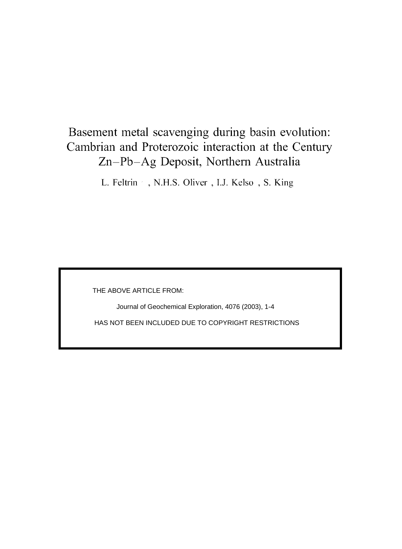### Basement metal scavenging during basin evolution: Cambrian and Proterozoic interaction at the Century Zn-Pb-Ag Deposit, Northern Australia

L. Feltrin , N.H.S. Oliver, I.J. Kelso, S. King

THE ABOVE ARTICLE FROM:

Journal of Geochemical Exploration, 4076 (2003), 1-4

HAS NOT BEEN INCLUDED DUE TO COPYRIGHT RESTRICTIONS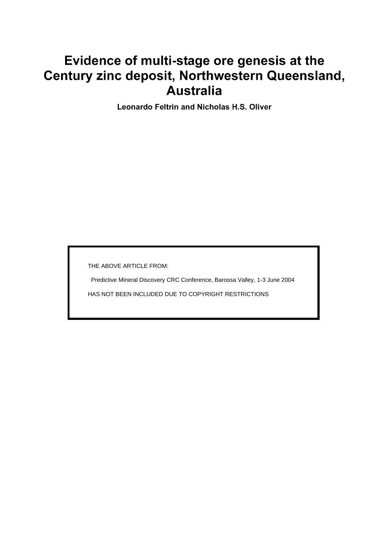# Evidence of multi-stage ore genesis at the Century zinc deposit, Northwestern Queensland, **Australia**

**Leonardo Feltrin and Nicholas H.S. Oliver** 

THE ABOVE ARTICLE FROM:

Predictive Mineral Discovery CRC Conference, Barossa Valley, 1-3 June 2004 HAS NOT BEEN INCLUDED DUE TO COPYRIGHT RESTRICTIONS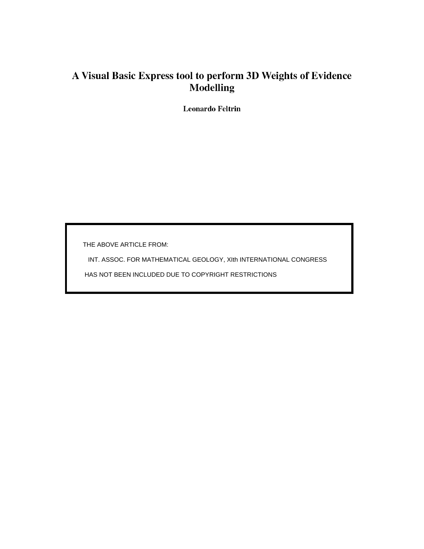### A Visual Basic Express tool to perform 3D Weights of Evidence Modelling

**Leonardo Feltrin** 

THE ABOVE ARTICLE FROM:

INT. ASSOC. FOR MATHEMATICAL GEOLOGY, XIth INTERNATIONAL CONGRESS

HAS NOT BEEN INCLUDED DUE TO COPYRIGHT RESTRICTIONS